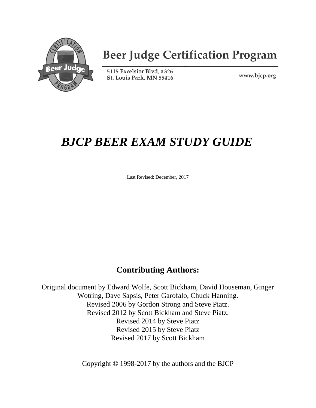

# **Beer Judge Certification Program**

5115 Excelsior Blvd, #326 St. Louis Park, MN 55416

www.bjcp.org

# *BJCP BEER EXAM STUDY GUIDE*

Last Revised: December, 2017

## **Contributing Authors:**

Original document by Edward Wolfe, Scott Bickham, David Houseman, Ginger Wotring, Dave Sapsis, Peter Garofalo, Chuck Hanning. Revised 2006 by Gordon Strong and Steve Piatz. Revised 2012 by Scott Bickham and Steve Piatz. Revised 2014 by Steve Piatz Revised 2015 by Steve Piatz Revised 2017 by Scott Bickham

Copyright © 1998-2017 by the authors and the BJCP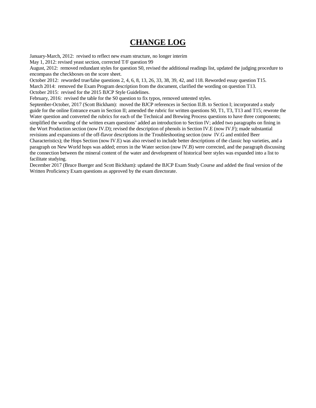## **CHANGE LOG**

January-March, 2012: revised to reflect new exam structure, no longer interim

May 1, 2012: revised yeast section, corrected T/F question 99

August, 2012: removed redundant styles for question S0, revised the additional readings list, updated the judging procedure to encompass the checkboxes on the score sheet.

October 2012: reworded true/false questions 2, 4, 6, 8, 13, 26, 33, 38, 39, 42, and 118. Reworded essay question T15.

March 2014: removed the Exam Program description from the document, clarified the wording on question T13. October 2015: revised for the 2015 BJCP Style Guidelines.

February, 2016: revised the table for the S0 question to fix typos, removed untested styles.

September-October, 2017 (Scott Bickham): moved the BJCP references in Section II.B. to Section I; incorporated a study guide for the online Entrance exam in Section II; amended the rubric for written questions S0, T1, T3, T13 and T15; rewrote the Water question and converted the rubrics for each of the Technical and Brewing Process questions to have three components; simplified the wording of the written exam questions' added an introduction to Section IV; added two paragraphs on fining in the Wort Production section (now IV.D); revised the description of phenols in Section IV.E (now IV.F); made substantial revisions and expansions of the off-flavor descriptions in the Troubleshooting section (now IV.G and entitled Beer

Characteristics); the Hops Section (now IV.E) was also revised to include better descriptions of the classic hop varieties, and a paragraph on New World hops was added; errors in the Water section (now IV.B) were corrected, and the paragraph discussing the connection between the mineral content of the water and development of historical beer styles was expanded into a list to facilitate studying.

December 2017 (Bruce Buerger and Scott Bickham): updated the BJCP Exam Study Course and added the final version of the Written Proficiency Exam questions as approved by the exam directorate.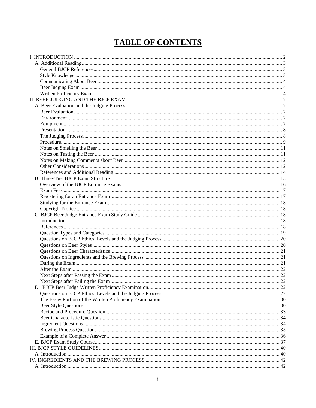## **TABLE OF CONTENTS**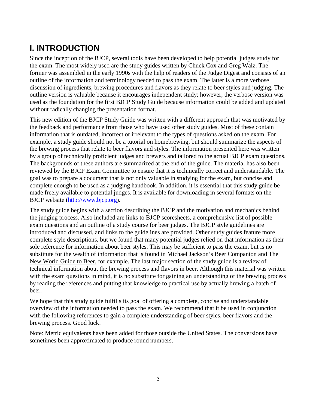## <span id="page-5-0"></span>**I. INTRODUCTION**

Since the inception of the BJCP, several tools have been developed to help potential judges study for the exam. The most widely used are the study guides written by Chuck Cox and Greg Walz. The former was assembled in the early 1990s with the help of readers of the Judge Digest and consists of an outline of the information and terminology needed to pass the exam. The latter is a more verbose discussion of ingredients, brewing procedures and flavors as they relate to beer styles and judging. The outline version is valuable because it encourages independent study; however, the verbose version was used as the foundation for the first BJCP Study Guide because information could be added and updated without radically changing the presentation format.

This new edition of the BJCP Study Guide was written with a different approach that was motivated by the feedback and performance from those who have used other study guides. Most of these contain information that is outdated, incorrect or irrelevant to the types of questions asked on the exam. For example, a study guide should not be a tutorial on homebrewing, but should summarize the aspects of the brewing process that relate to beer flavors and styles. The information presented here was written by a group of technically proficient judges and brewers and tailored to the actual BJCP exam questions. The backgrounds of these authors are summarized at the end of the guide. The material has also been reviewed by the BJCP Exam Committee to ensure that it is technically correct and understandable. The goal was to prepare a document that is not only valuable in studying for the exam, but concise and complete enough to be used as a judging handbook. In addition, it is essential that this study guide be made freely available to potential judges. It is available for downloading in several formats on the BJCP website [\(http://www.bjcp.org\)](http://www.bjcp.org/).

The study guide begins with a section describing the BJCP and the motivation and mechanics behind the judging process. Also included are links to BJCP scoresheets, a comprehensive list of possible exam questions and an outline of a study course for beer judges. The BJCP style guidelines are introduced and discussed, and links to the guidelines are provided. Other study guides feature more complete style descriptions, but we found that many potential judges relied on that information as their sole reference for information about beer styles. This may be sufficient to pass the exam, but is no substitute for the wealth of information that is found in Michael Jackson's Beer Companion and The New World Guide to Beer, for example. The last major section of the study guide is a review of technical information about the brewing process and flavors in beer. Although this material was written with the exam questions in mind, it is no substitute for gaining an understanding of the brewing process by reading the references and putting that knowledge to practical use by actually brewing a batch of beer.

We hope that this study guide fulfills its goal of offering a complete, concise and understandable overview of the information needed to pass the exam. We recommend that it be used in conjunction with the following references to gain a complete understanding of beer styles, beer flavors and the brewing process. Good luck!

Note: Metric equivalents have been added for those outside the United States. The conversions have sometimes been approximated to produce round numbers.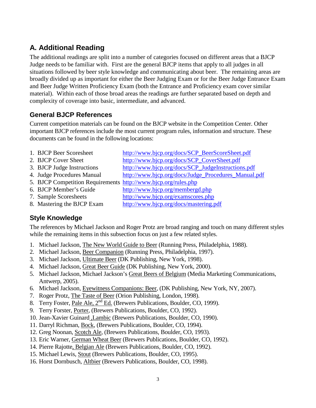## <span id="page-6-0"></span>**A. Additional Reading**

The additional readings are split into a number of categories focused on different areas that a BJCP Judge needs to be familiar with. First are the general BJCP items that apply to all judges in all situations followed by beer style knowledge and communicating about beer. The remaining areas are broadly divided up as important for either the Beer Judging Exam or for the Beer Judge Entrance Exam and Beer Judge Written Proficiency Exam (both the Entrance and Proficiency exam cover similar material). Within each of those broad areas the readings are further separated based on depth and complexity of coverage into basic, intermediate, and advanced.

## <span id="page-6-1"></span>**General BJCP References**

Current competition materials can be found on the BJCP website in the Competition Center. Other important BJCP references include the most current program rules, information and structure. These documents can be found in the following locations:

- 1. BJCP Beer Scoresheet [http://www.bjcp.org/docs/SCP\\_BeerScoreSheet.pdf](http://www.bjcp.org/docs/SCP_BeerScoreSheet.pdf)
- 2. BJCP Cover Sheet [http://www.bjcp.org/docs/SCP\\_CoverSheet.pdf](http://www.bjcp.org/docs/SCP_CoverSheet.pdf)
- 3. BJCP Judge Instructions [http://www.bjcp.org/docs/SCP\\_JudgeInstructions.pdf](http://www.bjcp.org/docs/SCP_JudgeInstructions.pdf)
- 4. Judge Procedures Manual [http://www.bjcp.org/docs/Judge\\_Procedures\\_Manual.pdf](http://www.bjcp.org/docs/Judge_Procedures_Manual.pdf)
	- 5. BJCP Competition Requirements <http://www.bjcp.org/rules.php>
	- 6. BJCP Member's Guide <http://www.bjcp.org/membergd.php>
	- 7. Sample Scoresheets <http://www.bjcp.org/examscores.php>
	- 8. Mastering the BJCP Exam <http://www.bjcp.org/docs/mastering.pdf>

## <span id="page-6-2"></span>**Style Knowledge**

The references by Michael Jackson and Roger Protz are broad ranging and touch on many different styles while the remaining items in this subsection focus on just a few related styles.

- 1. Michael Jackson, The New World Guide to Beer (Running Press, Philadelphia, 1988).
- 2. Michael Jackson, Beer Companion (Running Press, Philadelphia, 1997).
- 3. Michael Jackson, Ultimate Beer (DK Publishing, New York, 1998).
- 4. Michael Jackson, Great Beer Guide (DK Publishing, New York, 2000).
- 5. Michael Jackson, Michael Jackson's Great Beers of Belgium (Media Marketing Communications, Antwerp, 2005).
- 6. Michael Jackson, Eyewitness Companions: Beer, (DK Publishing, New York, NY, 2007).
- 7. Roger Protz, The Taste of Beer (Orion Publishing, London, 1998).
- 8. Terry Foster, Pale Ale, 2<sup>nd</sup> Ed. (Brewers Publications, Boulder, CO, 1999).
- 9. Terry Forster, Porter, (Brewers Publications, Boulder, CO, 1992).
- 10. Jean-Xavier Guinard ,Lambic (Brewers Publications, Boulder, CO, 1990).
- 11. Darryl Richman, Bock, (Brewers Publications, Boulder, CO, 1994).
- 12. Greg Noonan, Scotch Ale, (Brewers Publications, Boulder, CO, 1993).
- 13. Eric Warner, German Wheat Beer (Brewers Publications, Boulder, CO, 1992).
- 14. Pierre Rajotte, Belgian Ale (Brewers Publications, Boulder, CO, 1992).
- 15. Michael Lewis, Stout (Brewers Publications, Boulder, CO, 1995).
- 16. Horst Dornbusch, Altbier (Brewers Publications, Boulder, CO, 1998).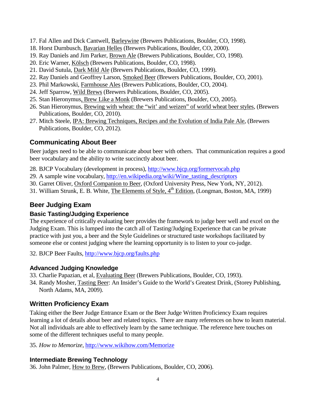- 17. Fal Allen and Dick Cantwell, Barleywine (Brewers Publications, Boulder, CO, 1998).
- 18. Horst Durnbusch, Bavarian Helles (Brewers Publications, Boulder, CO, 2000).
- 19. Ray Daniels and Jim Parker, Brown Ale (Brewers Publications, Boulder, CO, 1998).
- 20. Eric Warner, Kölsch (Brewers Publications, Boulder, CO, 1998).
- 21. David Sutula, Dark Mild Ale (Brewers Publications, Boulder, CO, 1999).
- 22. Ray Daniels and Geoffrey Larson, Smoked Beer (Brewers Publications, Boulder, CO, 2001).
- 23. Phil Markowski, Farmhouse Ales (Brewers Publications, Boulder, CO, 2004).
- 24. Jeff Sparrow, Wild Brews (Brewers Publications, Boulder, CO, 2005).
- 25. Stan Hieronymus, Brew Like a Monk (Brewers Publications, Boulder, CO, 2005).
- 26. Stan Hieronymus, Brewing with wheat: the "wit' and weizen" of world wheat beer styles, (Brewers Publications, Boulder, CO, 2010).
- 27. Mitch Steele, IPA: Brewing Techniques, Recipes and the Evolution of India Pale Ale, (Brewers Publications, Boulder, CO, 2012).

## <span id="page-7-0"></span>**Communicating About Beer**

Beer judges need to be able to communicate about beer with others. That communication requires a good beer vocabulary and the ability to write succinctly about beer.

- 28. BJCP Vocabulary (development in process),<http://www.bjcp.org/formervocab.php>
- 29. A sample wine vocabulary, [http://en.wikipedia.org/wiki/Wine\\_tasting\\_descriptors](http://en.wikipedia.org/wiki/Wine_tasting_descriptors)
- 30. Garret Oliver, Oxford Companion to Beer, (Oxford University Press, New York, NY, 2012).
- 31. William Strunk, E. B. White, The Elements of Style,  $4^{\text{th}}$  Edition, (Longman, Boston, MA, 1999)

## <span id="page-7-1"></span>**Beer Judging Exam**

#### **Basic Tasting/Judging Experience**

The experience of critically evaluating beer provides the framework to judge beer well and excel on the Judging Exam. This is lumped into the catch all of Tasting/Judging Experience that can be private practice with just you, a beer and the Style Guidelines or structured taste workshops facilitated by someone else or contest judging where the learning opportunity is to listen to your co-judge.

32. BJCP Beer Faults,<http://www.bjcp.org/faults.php>

## **Advanced Judging Knowledge**

- 33. Charlie Papazian, et al, Evaluating Beer (Brewers Publications, Boulder, CO, 1993).
- 34. Randy Mosher, Tasting Beer: An Insider's Guide to the World's Greatest Drink, (Storey Publishing, North Adams, MA, 2009).

## <span id="page-7-2"></span>**Written Proficiency Exam**

Taking either the Beer Judge Entrance Exam or the Beer Judge Written Proficiency Exam requires learning a lot of details about beer and related topics. There are many references on how to learn material. Not all individuals are able to effectively learn by the same technique. The reference here touches on some of the different techniques useful to many people.

35. *How to Memorize*,<http://www.wikihow.com/Memorize>

#### **Intermediate Brewing Technology**

36. John Palmer, How to Brew, (Brewers Publications, Boulder, CO, 2006).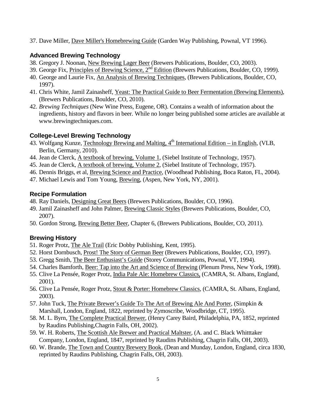37. Dave Miller, Dave Miller's Homebrewing Guide (Garden Way Publishing, Pownal, VT 1996).

#### **Advanced Brewing Technology**

- 38. Gregory J. Noonan, New Brewing Lager Beer (Brewers Publications, Boulder, CO, 2003).
- 39. George Fix, Principles of Brewing Science, 2nd Edition (Brewers Publications, Boulder, CO, 1999).
- 40. George and Laurie Fix, An Analysis of Brewing Techniques, (Brewers Publications, Boulder, CO, 1997).
- 41. Chris White, Jamil Zainasheff, Yeast: The Practical Guide to Beer Fermentation (Brewing Elements), (Brewers Publications, Boulder, CO, 2010).
- 42. *Brewing Techniques* (New Wine Press, Eugene, OR). Contains a wealth of information about the ingredients, history and flavors in beer. While no longer being published some articles are available at www.brewingtechniques.com.

#### **College-Level Brewing Technology**

- 43. Wolfgang Kunze, Technology Brewing and Malting,  $4<sup>th</sup>$  International Edition in English, (VLB, Berlin, Germany, 2010).
- 44. Jean de Clerck, A textbook of brewing, Volume 1, (Siebel Institute of Technology, 1957).
- 45. Jean de Clerck, A textbook of brewing, Volume 2, (Siebel Institute of Technology, 1957).
- 46. Dennis Briggs, et al, Brewing Science and Practice, (Woodhead Publishing, Boca Raton, FL, 2004).
- 47. Michael Lewis and Tom Young, Brewing, (Aspen, New York, NY, 2001).

#### **Recipe Formulation**

- 48. Ray Daniels, Designing Great Beers (Brewers Publications, Boulder, CO, 1996).
- 49. Jamil Zainasheff and John Palmer, Brewing Classic Styles (Brewers Publications, Boulder, CO, 2007).
- 50. Gordon Strong, Brewing Better Beer, Chapter 6, (Brewers Publications, Boulder, CO, 2011).

#### **Brewing History**

- 51. Roger Protz, The Ale Trail (Eric Dobby Publishing, Kent, 1995).
- 52. Horst Dornbusch, Prost! The Story of German Beer (Brewers Publications, Boulder, CO, 1997).
- 53. Gregg Smith, The Beer Enthusiast's Guide (Storey Communications, Pownal, VT, 1994).
- 54. Charles Bamforth, *Beer: Tap into the Art and Science of Brewing (Plenum Press, New York, 1998).*
- 55. Clive La Pensée, Roger Protz, India Pale Ale: Homebrew Classics, (CAMRA, St. Albans, England, 2001).
- 56. Clive La Pensée, Roger Protz, Stout & Porter: Homebrew Classics, (CAMRA, St. Albans, England, 2003).
- 57. John Tuck, The Private Brewer's Guide To The Art of Brewing Ale And Porter, (Simpkin & Marshall, London, England, 1822, reprinted by Zymoscribe, Woodbridge, CT, 1995).
- 58. M. L. Byrn, The Complete Practical Brewer, (Henry Carey Baird, Philadelphia, PA, 1852, reprinted by Raudins Publishing,Chagrin Falls, OH, 2002).
- 59. W. H. Roberts, The Scottish Ale Brewer and Practical Maltster, (A. and C. Black Whitttaker Company, London, England, 1847, reprinted by Raudins Publishing, Chagrin Falls, OH, 2003).
- 60. W. Brande, The Town and Country Brewery Book, (Dean and Munday, London, England, circa 1830, reprinted by Raudins Publishing, Chagrin Falls, OH, 2003).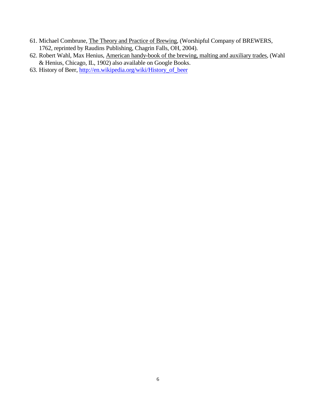- 61. Michael Combrune, The Theory and Practice of Brewing, (Worshipful Company of BREWERS, 1762, reprinted by Raudins Publishing, Chagrin Falls, OH, 2004).
- 62. Robert Wahl, Max Henius, American handy-book of the brewing, malting and auxiliary trades, (Wahl & Henius, Chicago, IL, 1902) also available on Google Books.
- 63. History of Beer, [http://en.wikipedia.org/wiki/History\\_of\\_beer](http://en.wikipedia.org/wiki/History_of_beer)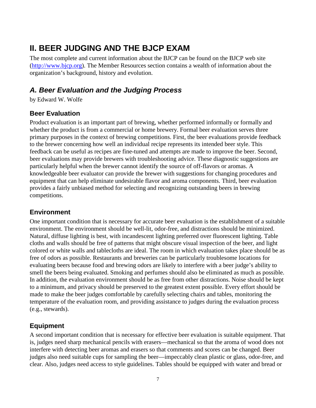## <span id="page-10-0"></span>**II. BEER JUDGING AND THE BJCP EXAM**

The most complete and current information about the BJCP can be found on the BJCP web site [\(http://www.bjcp.org\)](http://www.bjcp.org/). The Member Resources section contains a wealth of information about the organization's background, history and evolution.

## <span id="page-10-1"></span>*A. Beer Evaluation and the Judging Process*

by Edward W. Wolfe

## <span id="page-10-2"></span>**Beer Evaluation**

Product evaluation is an important part of brewing, whether performed informally or formally and whether the product is from a commercial or home brewery. Formal beer evaluation serves three primary purposes in the context of brewing competitions. First, the beer evaluations provide feedback to the brewer concerning how well an individual recipe represents its intended beer style. This feedback can be useful as recipes are fine-tuned and attempts are made to improve the beer. Second, beer evaluations may provide brewers with troubleshooting advice. These diagnostic suggestions are particularly helpful when the brewer cannot identify the source of off-flavors or aromas. A knowledgeable beer evaluator can provide the brewer with suggestions for changing procedures and equipment that can help eliminate undesirable flavor and aroma components. Third, beer evaluation provides a fairly unbiased method for selecting and recognizing outstanding beers in brewing competitions.

## <span id="page-10-3"></span>**Environment**

One important condition that is necessary for accurate beer evaluation is the establishment of a suitable environment. The environment should be well-lit, odor-free, and distractions should be minimized. Natural, diffuse lighting is best, with incandescent lighting preferred over fluorescent lighting. Table cloths and walls should be free of patterns that might obscure visual inspection of the beer, and light colored or white walls and tablecloths are ideal. The room in which evaluation takes place should be as free of odors as possible. Restaurants and breweries can be particularly troublesome locations for evaluating beers because food and brewing odors are likely to interfere with a beer judge's ability to smell the beers being evaluated. Smoking and perfumes should also be eliminated as much as possible. In addition, the evaluation environment should be as free from other distractions. Noise should be kept to a minimum, and privacy should be preserved to the greatest extent possible. Every effort should be made to make the beer judges comfortable by carefully selecting chairs and tables, monitoring the temperature of the evaluation room, and providing assistance to judges during the evaluation process (e.g., stewards).

## <span id="page-10-4"></span>**Equipment**

A second important condition that is necessary for effective beer evaluation is suitable equipment. That is, judges need sharp mechanical pencils with erasers—mechanical so that the aroma of wood does not interfere with detecting beer aromas and erasers so that comments and scores can be changed. Beer judges also need suitable cups for sampling the beer—impeccably clean plastic or glass, odor-free, and clear. Also, judges need access to style guidelines. Tables should be equipped with water and bread or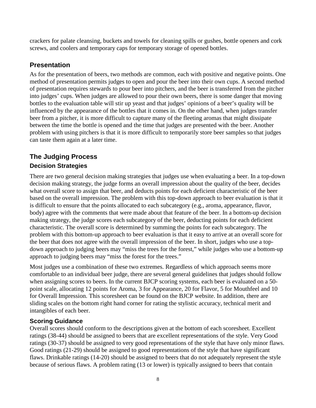crackers for palate cleansing, buckets and towels for cleaning spills or gushes, bottle openers and cork screws, and coolers and temporary caps for temporary storage of opened bottles.

## <span id="page-11-0"></span>**Presentation**

As for the presentation of beers, two methods are common, each with positive and negative points. One method of presentation permits judges to open and pour the beer into their own cups. A second method of presentation requires stewards to pour beer into pitchers, and the beer is transferred from the pitcher into judges' cups. When judges are allowed to pour their own beers, there is some danger that moving bottles to the evaluation table will stir up yeast and that judges' opinions of a beer's quality will be influenced by the appearance of the bottles that it comes in. On the other hand, when judges transfer beer from a pitcher, it is more difficult to capture many of the fleeting aromas that might dissipate between the time the bottle is opened and the time that judges are presented with the beer. Another problem with using pitchers is that it is more difficult to temporarily store beer samples so that judges can taste them again at a later time.

## <span id="page-11-1"></span>**The Judging Process Decision Strategies**

There are two general decision making strategies that judges use when evaluating a beer. In a top-down decision making strategy, the judge forms an overall impression about the quality of the beer, decides what overall score to assign that beer, and deducts points for each deficient characteristic of the beer based on the overall impression. The problem with this top-down approach to beer evaluation is that it is difficult to ensure that the points allocated to each subcategory (e.g., aroma, appearance, flavor, body) agree with the comments that were made about that feature of the beer. In a bottom-up decision making strategy, the judge scores each subcategory of the beer, deducting points for each deficient characteristic. The overall score is determined by summing the points for each subcategory. The problem with this bottom-up approach to beer evaluation is that it easy to arrive at an overall score for the beer that does not agree with the overall impression of the beer. In short, judges who use a topdown approach to judging beers may "miss the trees for the forest," while judges who use a bottom-up approach to judging beers may "miss the forest for the trees."

Most judges use a combination of these two extremes. Regardless of which approach seems more comfortable to an individual beer judge, there are several general guidelines that judges should follow when assigning scores to beers. In the current BJCP scoring systems, each beer is evaluated on a 50 point scale, allocating 12 points for Aroma, 3 for Appearance, 20 for Flavor, 5 for Mouthfeel and 10 for Overall Impression. This scoresheet can be found on the BJCP website. In addition, there are sliding scales on the bottom right hand corner for rating the stylistic accuracy, technical merit and intangibles of each beer.

## **Scoring Guidance**

Overall scores should conform to the descriptions given at the bottom of each scoresheet. Excellent ratings (38-44) should be assigned to beers that are excellent representations of the style. Very Good ratings (30-37) should be assigned to very good representations of the style that have only minor flaws. Good ratings (21-29) should be assigned to good representations of the style that have significant flaws. Drinkable ratings (14-20) should be assigned to beers that do not adequately represent the style because of serious flaws. A problem rating (13 or lower) is typically assigned to beers that contain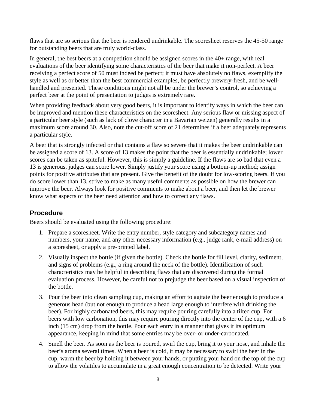flaws that are so serious that the beer is rendered undrinkable. The scoresheet reserves the 45-50 range for outstanding beers that are truly world-class.

In general, the best beers at a competition should be assigned scores in the 40+ range, with real evaluations of the beer identifying some characteristics of the beer that make it non-perfect. A beer receiving a perfect score of 50 must indeed be perfect; it must have absolutely no flaws, exemplify the style as well as or better than the best commercial examples, be perfectly brewery-fresh, and be wellhandled and presented. These conditions might not all be under the brewer's control, so achieving a perfect beer at the point of presentation to judges is extremely rare.

When providing feedback about very good beers, it is important to identify ways in which the beer can be improved and mention these characteristics on the scoresheet. Any serious flaw or missing aspect of a particular beer style (such as lack of clove character in a Bavarian weizen) generally results in a maximum score around 30. Also, note the cut-off score of 21 determines if a beer adequately represents a particular style.

A beer that is strongly infected or that contains a flaw so severe that it makes the beer undrinkable can be assigned a score of 13. A score of 13 makes the point that the beer is essentially undrinkable; lower scores can be taken as spiteful. However, this is simply a guideline. If the flaws are so bad that even a 13 is generous, judges can score lower. Simply justify your score using a bottom-up method; assign points for positive attributes that are present. Give the benefit of the doubt for low-scoring beers. If you do score lower than 13, strive to make as many useful comments as possible on how the brewer can improve the beer. Always look for positive comments to make about a beer, and then let the brewer know what aspects of the beer need attention and how to correct any flaws.

## <span id="page-12-0"></span>**Procedure**

Beers should be evaluated using the following procedure:

- 1. Prepare a scoresheet. Write the entry number, style category and subcategory names and numbers, your name, and any other necessary information (e.g., judge rank, e-mail address) on a scoresheet, or apply a pre-printed label.
- 2. Visually inspect the bottle (if given the bottle). Check the bottle for fill level, clarity, sediment, and signs of problems (e.g., a ring around the neck of the bottle). Identification of such characteristics may be helpful in describing flaws that are discovered during the formal evaluation process. However, be careful not to prejudge the beer based on a visual inspection of the bottle.
- 3. Pour the beer into clean sampling cup, making an effort to agitate the beer enough to produce a generous head (but not enough to produce a head large enough to interfere with drinking the beer). For highly carbonated beers, this may require pouring carefully into a tilted cup. For beers with low carbonation, this may require pouring directly into the center of the cup, with a 6 inch (15 cm) drop from the bottle. Pour each entry in a manner that gives it its optimum appearance, keeping in mind that some entries may be over- or under-carbonated.
- 4. Smell the beer. As soon as the beer is poured, swirl the cup, bring it to your nose, and inhale the beer's aroma several times. When a beer is cold, it may be necessary to swirl the beer in the cup, warm the beer by holding it between your hands, or putting your hand on the top of the cup to allow the volatiles to accumulate in a great enough concentration to be detected. Write your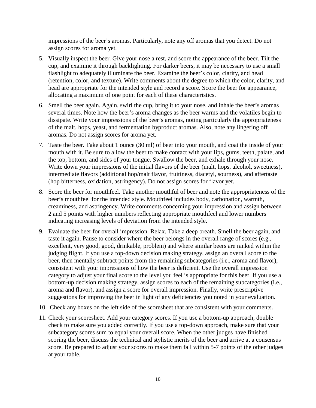impressions of the beer's aromas. Particularly, note any off aromas that you detect. Do not assign scores for aroma yet.

- 5. Visually inspect the beer. Give your nose a rest, and score the appearance of the beer. Tilt the cup, and examine it through backlighting. For darker beers, it may be necessary to use a small flashlight to adequately illuminate the beer. Examine the beer's color, clarity, and head (retention, color, and texture). Write comments about the degree to which the color, clarity, and head are appropriate for the intended style and record a score. Score the beer for appearance, allocating a maximum of one point for each of these characteristics.
- 6. Smell the beer again. Again, swirl the cup, bring it to your nose, and inhale the beer's aromas several times. Note how the beer's aroma changes as the beer warms and the volatiles begin to dissipate. Write your impressions of the beer's aromas, noting particularly the appropriateness of the malt, hops, yeast, and fermentation byproduct aromas. Also, note any lingering off aromas. Do not assign scores for aroma yet.
- 7. Taste the beer. Take about 1 ounce (30 ml) of beer into your mouth, and coat the inside of your mouth with it. Be sure to allow the beer to make contact with your lips, gums, teeth, palate, and the top, bottom, and sides of your tongue. Swallow the beer, and exhale through your nose. Write down your impressions of the initial flavors of the beer (malt, hops, alcohol, sweetness), intermediate flavors (additional hop/malt flavor, fruitiness, diacetyl, sourness), and aftertaste (hop bitterness, oxidation, astringency). Do not assign scores for flavor yet.
- 8. Score the beer for mouthfeel. Take another mouthful of beer and note the appropriateness of the beer's mouthfeel for the intended style. Mouthfeel includes body, carbonation, warmth, creaminess, and astringency. Write comments concerning your impression and assign between 2 and 5 points with higher numbers reflecting appropriate mouthfeel and lower numbers indicating increasing levels of deviation from the intended style.
- 9. Evaluate the beer for overall impression. Relax. Take a deep breath. Smell the beer again, and taste it again. Pause to consider where the beer belongs in the overall range of scores (e.g., excellent, very good, good, drinkable, problem) and where similar beers are ranked within the judging flight. If you use a top-down decision making strategy, assign an overall score to the beer, then mentally subtract points from the remaining subcategories (i.e., aroma and flavor), consistent with your impressions of how the beer is deficient. Use the overall impression category to adjust your final score to the level you feel is appropriate for this beer. If you use a bottom-up decision making strategy, assign scores to each of the remaining subcategories (i.e., aroma and flavor), and assign a score for overall impression. Finally, write prescriptive suggestions for improving the beer in light of any deficiencies you noted in your evaluation.
- 10. Check any boxes on the left side of the scoresheet that are consistent with your comments.
- 11. Check your scoresheet. Add your category scores. If you use a bottom-up approach, double check to make sure you added correctly. If you use a top-down approach, make sure that your subcategory scores sum to equal your overall score. When the other judges have finished scoring the beer, discuss the technical and stylistic merits of the beer and arrive at a consensus score. Be prepared to adjust your scores to make them fall within 5-7 points of the other judges at your table.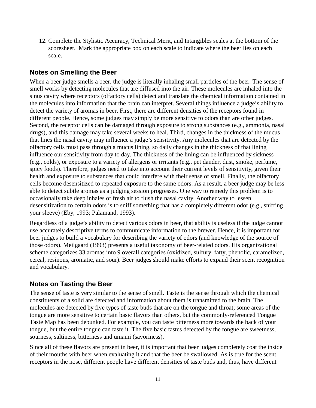12. Complete the Stylistic Accuracy, Technical Merit, and Intangibles scales at the bottom of the scoresheet. Mark the appropriate box on each scale to indicate where the beer lies on each scale.

#### <span id="page-14-0"></span>**Notes on Smelling the Beer**

When a beer judge smells a beer, the judge is literally inhaling small particles of the beer. The sense of smell works by detecting molecules that are diffused into the air. These molecules are inhaled into the sinus cavity where receptors (olfactory cells) detect and translate the chemical information contained in the molecules into information that the brain can interpret. Several things influence a judge's ability to detect the variety of aromas in beer. First, there are different densities of the receptors found in different people. Hence, some judges may simply be more sensitive to odors than are other judges. Second, the receptor cells can be damaged through exposure to strong substances (e.g., ammonia, nasal drugs), and this damage may take several weeks to heal. Third, changes in the thickness of the mucus that lines the nasal cavity may influence a judge's sensitivity. Any molecules that are detected by the olfactory cells must pass through a mucus lining, so daily changes in the thickness of that lining influence our sensitivity from day to day. The thickness of the lining can be influenced by sickness (e.g., colds), or exposure to a variety of allergens or irritants (e.g., pet dander, dust, smoke, perfume, spicy foods). Therefore, judges need to take into account their current levels of sensitivity, given their health and exposure to substances that could interfere with their sense of smell. Finally, the olfactory cells become desensitized to repeated exposure to the same odors. As a result, a beer judge may be less able to detect subtle aromas as a judging session progresses. One way to remedy this problem is to occasionally take deep inhales of fresh air to flush the nasal cavity. Another way to lessen desensitization to certain odors is to sniff something that has a completely different odor (e.g., sniffing your sleeve) (Eby, 1993; Palamand, 1993).

Regardless of a judge's ability to detect various odors in beer, that ability is useless if the judge cannot use accurately descriptive terms to communicate information to the brewer. Hence, it is important for beer judges to build a vocabulary for describing the variety of odors (and knowledge of the source of those odors). Meilgaard (1993) presents a useful taxonomy of beer-related odors. His organizational scheme categorizes 33 aromas into 9 overall categories (oxidized, sulfury, fatty, phenolic, caramelized, cereal, resinous, aromatic, and sour). Beer judges should make efforts to expand their scent recognition and vocabulary.

#### <span id="page-14-1"></span>**Notes on Tasting the Beer**

The sense of taste is very similar to the sense of smell. Taste is the sense through which the chemical constituents of a solid are detected and information about them is transmitted to the brain. The molecules are detected by five types of taste buds that are on the tongue and throat; some areas of the tongue are more sensitive to certain basic flavors than others, but the commonly-referenced Tongue Taste Map has been debunked. For example, you can taste bitterness more towards the back of your tongue, but the entire tongue can taste it. The five basic tastes detected by the tongue are sweetness, sourness, saltiness, bitterness and umami (savoriness).

Since all of these flavors are present in beer, it is important that beer judges completely coat the inside of their mouths with beer when evaluating it and that the beer be swallowed. As is true for the scent receptors in the nose, different people have different densities of taste buds and, thus, have different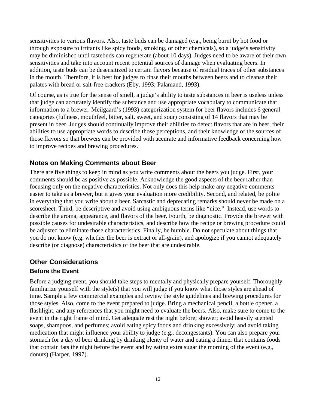sensitivities to various flavors. Also, taste buds can be damaged (e.g., being burnt by hot food or through exposure to irritants like spicy foods, smoking, or other chemicals), so a judge's sensitivity may be diminished until tastebuds can regenerate (about 10 days). Judges need to be aware of their own sensitivities and take into account recent potential sources of damage when evaluating beers. In addition, taste buds can be desensitized to certain flavors because of residual traces of other substances in the mouth. Therefore, it is best for judges to rinse their mouths between beers and to cleanse their palates with bread or salt-free crackers (Eby, 1993; Palamand, 1993).

Of course, as is true for the sense of smell, a judge's ability to taste substances in beer is useless unless that judge can accurately identify the substance and use appropriate vocabulary to communicate that information to a brewer. Meilgaard's (1993) categorization system for beer flavors includes 6 general categories (fullness, mouthfeel, bitter, salt, sweet, and sour) consisting of 14 flavors that may be present in beer. Judges should continually improve their abilities to detect flavors that are in beer, their abilities to use appropriate words to describe those perceptions, and their knowledge of the sources of those flavors so that brewers can be provided with accurate and informative feedback concerning how to improve recipes and brewing procedures.

## <span id="page-15-0"></span>**Notes on Making Comments about Beer**

There are five things to keep in mind as you write comments about the beers you judge. First, your comments should be as positive as possible. Acknowledge the good aspects of the beer rather than focusing only on the negative characteristics. Not only does this help make any negative comments easier to take as a brewer, but it gives your evaluation more credibility. Second, and related, be polite in everything that you write about a beer. Sarcastic and deprecating remarks should never be made on a scoresheet. Third, be descriptive and avoid using ambiguous terms like "nice." Instead, use words to describe the aroma, appearance, and flavors of the beer. Fourth, be diagnostic. Provide the brewer with possible causes for undesirable characteristics, and describe how the recipe or brewing procedure could be adjusted to eliminate those characteristics. Finally, be humble. Do not speculate about things that you do not know (e.g. whether the beer is extract or all-grain), and apologize if you cannot adequately describe (or diagnose) characteristics of the beer that are undesirable.

## <span id="page-15-1"></span>**Other Considerations**

#### **Before the Event**

Before a judging event, you should take steps to mentally and physically prepare yourself. Thoroughly familiarize yourself with the style(s) that you will judge if you know what those styles are ahead of time. Sample a few commercial examples and review the style guidelines and brewing procedures for those styles. Also, come to the event prepared to judge. Bring a mechanical pencil, a bottle opener, a flashlight, and any references that you might need to evaluate the beers. Also, make sure to come to the event in the right frame of mind. Get adequate rest the night before; shower; avoid heavily scented soaps, shampoos, and perfumes; avoid eating spicy foods and drinking excessively; and avoid taking medication that might influence your ability to judge (e.g., decongestants). You can also prepare your stomach for a day of beer drinking by drinking plenty of water and eating a dinner that contains foods that contain fats the night before the event and by eating extra sugar the morning of the event (e.g., donuts) (Harper, 1997).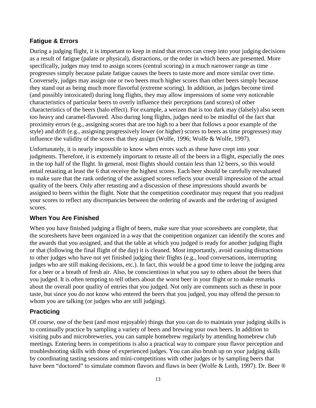#### **Fatigue & Errors**

During a judging flight, it is important to keep in mind that errors can creep into your judging decisions as a result of fatigue (palate or physical), distractions, or the order in which beers are presented. More specifically, judges may tend to assign scores (central scoring) in a much narrower range as time progresses simply because palate fatigue causes the beers to taste more and more similar over time. Conversely, judges may assign one or two beers much higher scores than other beers simply because they stand out as being much more flavorful (extreme scoring). In addition, as judges become tired (and possibly intoxicated) during long flights, they may allow impressions of some very noticeable characteristics of particular beers to overly influence their perceptions (and scores) of other characteristics of the beers (halo effect). For example, a weizen that is too dark may (falsely) also seem too heavy and caramel-flavored. Also during long flights, judges need to be mindful of the fact that proximity errors (e.g., assigning scores that are too high to a beer that follows a poor example of the style) and drift (e.g., assigning progressively lower (or higher) scores to beers as time progresses) may influence the validity of the scores that they assign (Wolfe, 1996; Wolfe & Wolfe, 1997).

Unfortunately, it is nearly impossible to know when errors such as these have crept into your judgments. Therefore, it is extremely important to retaste all of the beers in a flight, especially the ones in the top half of the flight. In general, most flights should contain less than 12 beers, so this would entail retasting at least the 6 that receive the highest scores. Each beer should be carefully reevaluated to make sure that the rank ordering of the assigned scores reflects your overall impression of the actual quality of the beers. Only after retasting and a discussion of these impressions should awards be assigned to beers within the flight. Note that the competition coordinator may request that you readjust your scores to reflect any discrepancies between the ordering of awards and the ordering of assigned scores.

#### **When You Are Finished**

When you have finished judging a flight of beers, make sure that your scoresheets are complete, that the scoresheets have been organized in a way that the competition organizer can identify the scores and the awards that you assigned, and that the table at which you judged is ready for another judging flight or that (following the final flight of the day) it is cleaned. Most importantly, avoid causing distractions to other judges who have not yet finished judging their flights (e.g., loud conversations, interrupting judges who are still making decisions, etc.). In fact, this would be a good time to leave the judging area for a beer or a breath of fresh air. Also, be conscientious in what you say to others about the beers that you judged. It is often tempting to tell others about the worst beer in your flight or to make remarks about the overall poor quality of entries that you judged. Not only are comments such as these in poor taste, but since you do not know who entered the beers that you judged, you may offend the person to whom you are talking (or judges who are still judging).

## **Practicing**

Of course, one of the best (and most enjoyable) things that you can do to maintain your judging skills is to continually practice by sampling a variety of beers and brewing your own beers. In addition to visiting pubs and microbreweries, you can sample homebrew regularly by attending homebrew club meetings. Entering beers in competitions is also a practical way to compare your flavor perception and troubleshooting skills with those of experienced judges. You can also brush up on your judging skills by coordinating tasting sessions and mini-competitions with other judges or by sampling beers that have been "doctored" to simulate common flavors and flaws in beer (Wolfe & Leith, 1997). Dr. Beer ®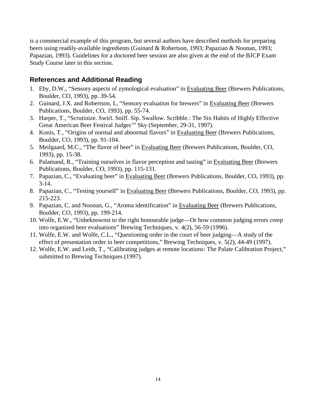is a commercial example of this program, but several authors have described methods for preparing beers using readily-available ingredients (Guinard & Robertson, 1993; Papazian & Noonan, 1993; Papazian, 1993). Guidelines for a doctored beer session are also given at the end of the BJCP Exam Study Course later in this section.

#### <span id="page-17-0"></span>**References and Additional Reading**

- 1. Eby, D.W., "Sensory aspects of zymological evaluation" in Evaluating Beer (Brewers Publications, Boulder, CO, 1993), pp. 39-54.
- 2. Guinard, J.X. and Robertson, I., "Sensory evaluation for brewers" in Evaluating Beer (Brewers Publications, Boulder, CO, 1993), pp. 55-74.
- 3. Harper, T., "Scrutinize. Swirl. Sniff. Sip. Swallow. Scribble.: The Six Habits of Highly Effective Great American Beer Festival Judges'" Sky (September, 29-31, 1997).
- 4. Konis, T., "Origins of normal and abnormal flavors" in Evaluating Beer (Brewers Publications, Boulder, CO, 1993), pp. 91-104.
- 5. Meilgaard, M.C., "The flavor of beer" in Evaluating Beer (Brewers Publications, Boulder, CO, 1993), pp. 15-38.
- 6. Palamand, R., "Training ourselves in flavor perception and tasting" in Evaluating Beer (Brewers Publications, Boulder, CO, 1993), pp. 115-131.
- 7. Papazian, C., "Evaluating beer" in Evaluating Beer (Brewers Publications, Boulder, CO, 1993), pp.  $3-14.$
- 8. Papazian, C., "Testing yourself" in Evaluating Beer (Brewers Publications, Boulder, CO, 1993), pp. 215-223.
- 9. Papazian, C. and Noonan, G., "Aroma identification" in Evaluating Beer (Brewers Publications, Boulder, CO, 1993), pp. 199-214.
- 10. Wolfe, E.W., "Unbeknownst to the right honourable judge—Or how common judging errors creep into organized beer evaluations" Brewing Techniques, v. 4(2), 56-59 (1996).
- 11. Wolfe, E.W. and Wolfe, C.L., "Questioning order in the court of beer judging—A study of the effect of presentation order in beer competitions," Brewing Techniques, v. 5(2), 44-49 (1997).
- 12. Wolfe, E.W. and Leith, T., "Calibrating judges at remote locations: The Palate Calibration Project," submitted to Brewing Techniques (1997).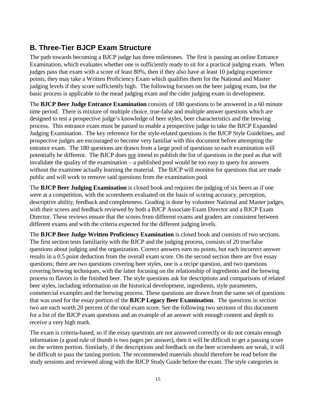## <span id="page-18-0"></span>**B. Three-Tier BJCP Exam Structure**

The path towards becoming a BJCP judge has three milestones. The first is passing an online Entrance Examination, which evaluates whether one is sufficiently ready to sit for a practical judging exam. When judges pass that exam with a score of least 80%, then if they also have at least 10 judging experience points, they may take a Written Proficiency Exam which qualifies them for the National and Master judging levels if they score sufficiently high. The following focuses on the beer judging exam, but the basic process is applicable to the mead judging exam and the cider judging exam in development.

The **BJCP Beer Judge Entrance Examination** consists of 180 questions to be answered in a 60 minute time period. There is mixture of multiple choice, true-false and multiple answer questions which are designed to test a prospective judge's knowledge of beer styles, beer characteristics and the brewing process. This entrance exam must be passed to enable a prospective judge to take the BJCP Expanded Judging Examination. The key reference for the style-related questions is the BJCP Style Guidelines, and prospective judges are encouraged to become very familiar with this document before attempting the entrance exam. The 180 questions are drawn from a large pool of questions so each examination will potentially be different. The BJCP does not intend to publish the list of questions in the pool as that will invalidate the quality of the examination – a published pool would be too easy to query for answers without the examinee actually learning the material. The BJCP will monitor for questions that are made public and will work to remove said questions from the examination pool.

The **BJCP Beer Judging Examination** is closed book and requires the judging of six beers as if one were at a competition, with the scoresheets evaluated on the basis of scoring accuracy, perception, descriptive ability, feedback and completeness. Grading is done by volunteer National and Master judges, with their scores and feedback reviewed by both a BJCP Associate Exam Director and a BJCP Exam Director. These reviews ensure that the scores from different exams and graders are consistent between different exams and with the criteria expected for the different judging levels.

The **BJCP Beer Judge Written Proficiency Examination** is closed book and consists of two sections. The first section tests familiarity with the BJCP and the judging process, consists of 20 true/false questions about judging and the organization. Correct answers earn no points, but each incorrect answer results in a 0.5 point deduction from the overall exam score. On the second section there are five essay questions; there are two questions covering beer styles, one is a recipe question, and two questions covering brewing techniques, with the latter focusing on the relationship of ingredients and the brewing process to flavors in the finished beer. The style questions ask for descriptions and comparisons of related beer styles, including information on the historical development, ingredients, style parameters, commercial examples and the brewing process. These questions are drawn from the same set of questions that was used for the essay portion of the **BJCP Legacy Beer Examination**. The questions in section two are each worth 20 percent of the total exam score. See the following two sections of this document for a list of the BJCP exam questions and an example of an answer with enough content and depth to receive a very high mark.

The exam is criteria-based, so if the essay questions are not answered correctly or do not contain enough information (a good rule of thumb is two pages per answer), then it will be difficult to get a passing score on the written portion. Similarly, if the descriptions and feedback on the beer scoresheets are weak, it will be difficult to pass the tasting portion. The recommended materials should therefore be read before the study sessions and reviewed along with the BJCP Study Guide before the exam. The style categories in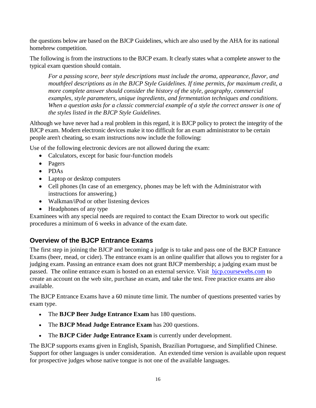the questions below are based on the BJCP Guidelines, which are also used by the AHA for its national homebrew competition.

The following is from the instructions to the BJCP exam. It clearly states what a complete answer to the typical exam question should contain.

*For a passing score, beer style descriptions must include the aroma, appearance, flavor, and mouthfeel descriptions as in the BJCP Style Guidelines. If time permits, for maximum credit, a more complete answer should consider the history of the style, geography, commercial examples, style parameters, unique ingredients, and fermentation techniques and conditions. When a question asks for a classic commercial example of a style the correct answer is one of the styles listed in the BJCP Style Guidelines.*

Although we have never had a real problem in this regard, it is BJCP policy to protect the integrity of the BJCP exam. Modern electronic devices make it too difficult for an exam administrator to be certain people aren't cheating, so exam instructions now include the following:

Use of the following electronic devices are not allowed during the exam:

- Calculators, except for basic four-function models
- Pagers
- PDAs
- Laptop or desktop computers
- Cell phones (In case of an emergency, phones may be left with the Administrator with instructions for answering.)
- Walkman/iPod or other listening devices
- Headphones of any type

Examinees with any special needs are required to contact the Exam Director to work out specific procedures a minimum of 6 weeks in advance of the exam date.

## <span id="page-19-0"></span>**Overview of the BJCP Entrance Exams**

The first step in joining the BJCP and becoming a judge is to take and pass one of the BJCP Entrance Exams (beer, mead, or cider). The entrance exam is an online qualifier that allows you to register for a judging exam. Passing an entrance exam does not grant BJCP membership; a judging exam must be passed. The online entrance exam is hosted on an external service. Visit bicp.coursewebs.com to create an account on the web site, purchase an exam, and take the test. Free practice exams are also available.

The BJCP Entrance Exams have a 60 minute time limit. The number of questions presented varies by exam type.

- The **BJCP Beer Judge Entrance Exam** has 180 questions.
- The **BJCP Mead Judge Entrance Exam** has 200 questions.
- The **BJCP Cider Judge Entrance Exam** is currently under development.

The BJCP supports exams given in English, Spanish, Brazilian Portuguese, and Simplified Chinese. Support for other languages is under consideration. An extended time version is available upon request for prospective judges whose native tongue is not one of the available languages.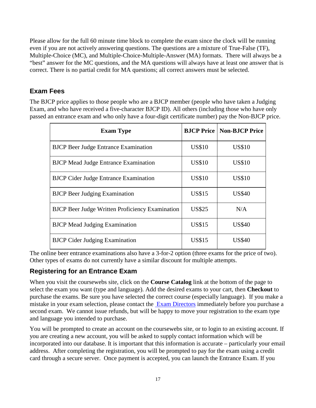Please allow for the full 60 minute time block to complete the exam since the clock will be running even if you are not actively answering questions. The questions are a mixture of True-False (TF), Multiple-Choice (MC), and Multiple-Choice-Multiple-Answer (MA) formats. There will always be a "best" answer for the MC questions, and the MA questions will always have at least one answer that is correct. There is no partial credit for MA questions; all correct answers must be selected.

## <span id="page-20-0"></span>**Exam Fees**

The BJCP price applies to those people who are a BJCP member (people who have taken a Judging Exam, and who have received a five-character BJCP ID). All others (including those who have only passed an entrance exam and who only have a four-digit certificate number) pay the Non-BJCP price.

| <b>Exam Type</b>                                       | <b>BJCP</b> Price | <b>Non-BJCP Price</b> |
|--------------------------------------------------------|-------------------|-----------------------|
| <b>BJCP</b> Beer Judge Entrance Examination            | <b>US\$10</b>     | <b>US\$10</b>         |
| <b>BJCP</b> Mead Judge Entrance Examination            | <b>US\$10</b>     | <b>US\$10</b>         |
| <b>BJCP</b> Cider Judge Entrance Examination           | <b>US\$10</b>     | <b>US\$10</b>         |
| <b>BJCP</b> Beer Judging Examination                   | <b>US\$15</b>     | <b>US\$40</b>         |
| <b>BJCP</b> Beer Judge Written Proficiency Examination | <b>US\$25</b>     | N/A                   |
| <b>BJCP</b> Mead Judging Examination                   | <b>US\$15</b>     | <b>US\$40</b>         |
| <b>BJCP</b> Cider Judging Examination                  | <b>US\$15</b>     | <b>US\$40</b>         |

The online beer entrance examinations also have a 3-for-2 option (three exams for the price of two). Other types of exams do not currently have a similar discount for multiple attempts.

## <span id="page-20-1"></span>**Registering for an Entrance Exam**

When you visit the coursewebs site, click on the **Course Catalog** link at the bottom of the page to select the exam you want (type and language). Add the desired exams to your cart, then **Checkout** to purchase the exams. Be sure you have selected the correct course (especially language). If you make a mistake in your exam selection, please contact the [Exam Directors](mailto:exam_director@bjcp.org) immediately before you purchase a second exam. We cannot issue refunds, but will be happy to move your registration to the exam type and language you intended to purchase.

You will be prompted to create an account on the coursewebs site, or to login to an existing account. If you are creating a new account, you will be asked to supply contact information which will be incorporated into our database. It is important that this information is accurate – particularly your email address. After completing the registration, you will be prompted to pay for the exam using a credit card through a secure server. Once payment is accepted, you can launch the Entrance Exam. If you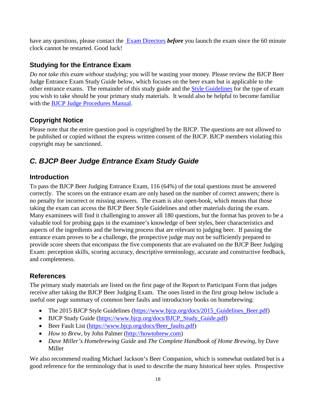have any questions, please contact the **Exam Directors** *before* you launch the exam since the 60 minute clock cannot be restarted. Good luck!

## <span id="page-21-0"></span>**Studying for the Entrance Exam**

*Do not take this exam without studying*; you will be wasting your money. Please review the BJCP Beer Judge Entrance Exam Study Guide below, which focuses on the beer exam but is applicable to the other entrance exams. The remainder of this study guide and the [Style Guidelines](http://dev.bjcp.org/beer-styles/beer-style-guidelines/) for the type of exam you wish to take should be your primary study materials. It would also be helpful to become familiar with the **BJCP Judge Procedures Manual**.

## <span id="page-21-1"></span>**Copyright Notice**

Please note that the entire question pool is copyrighted by the BJCP. The questions are not allowed to be published or copied without the express written consent of the BJCP. BJCP members violating this copyright may be sanctioned.

## <span id="page-21-2"></span>*C. BJCP Beer Judge Entrance Exam Study Guide*

## <span id="page-21-3"></span>**Introduction**

To pass the BJCP Beer Judging Entrance Exam, 116 (64%) of the total questions must be answered correctly. The scores on the entrance exam are only based on the number of correct answers; there is no penalty for incorrect or missing answers. The exam is also open-book, which means that those taking the exam can access the BJCP Beer Style Guidelines and other materials during the exam. Many examinees will find it challenging to answer all 180 questions, but the format has proven to be a valuable tool for probing gaps in the examinee's knowledge of beer styles, beer characteristics and aspects of the ingredients and the brewing process that are relevant to judging beer. If passing the entrance exam proves to be a challenge, the prospective judge may not be sufficiently prepared to provide score sheets that encompass the five components that are evaluated on the BJCP Beer Judging Exam: perception skills, scoring accuracy, descriptive terminology, accurate and constructive feedback, and completeness.

## <span id="page-21-4"></span>**References**

The primary study materials are listed on the first page of the Report to Participant Form that judges receive after taking the BJCP Beer Judging Exam. The ones listed in the first group below include a useful one page summary of common beer faults and introductory books on homebrewing:

- The 2015 BJCP Style Guidelines [\(https://www.bjcp.org/docs/2015\\_Guidelines\\_Beer.pdf\)](https://www.bjcp.org/docs/2015_Guidelines_Beer.pdf)
- BJCP Study Guide [\(https://www.bjcp.org/docs/BJCP\\_Study\\_Guide.pdf\)](https://www.bjcp.org/docs/BJCP_Study_Guide.pdf)
- Beer Fault List [\(https://www.bjcp.org/docs/Beer\\_faults.pdf\)](https://www.bjcp.org/docs/Beer_faults.pdf)
- *How to Brew*, by John Palmer [\(http://howtobrew.com\)](http://howtobrew.com/)
- *Dave Miller's Homebrewing Guide* and *The Complete Handbook of Home Brewing*, by Dave Miller

We also recommend reading Michael Jackson's Beer Companion, which is somewhat outdated but is a good reference for the terminology that is used to describe the many historical beer styles. Prospective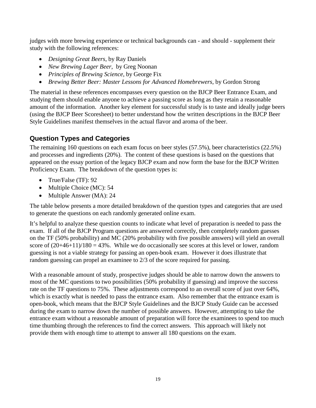judges with more brewing experience or technical backgrounds can - and should - supplement their study with the following references:

- *Designing Great Beers*, by Ray Daniels
- *New Brewing Lager Beer*, by Greg Noonan
- *Principles of Brewing Science*, by George Fix
- *Brewing Better Beer: Master Lessons for Advanced Homebrewers*, by Gordon Strong

The material in these references encompasses every question on the BJCP Beer Entrance Exam, and studying them should enable anyone to achieve a passing score as long as they retain a reasonable amount of the information. Another key element for successful study is to taste and ideally judge beers (using the BJCP Beer Scoresheet) to better understand how the written descriptions in the BJCP Beer Style Guidelines manifest themselves in the actual flavor and aroma of the beer.

## <span id="page-22-0"></span>**Question Types and Categories**

The remaining 160 questions on each exam focus on beer styles (57.5%), beer characteristics (22.5%) and processes and ingredients (20%). The content of these questions is based on the questions that appeared on the essay portion of the legacy BJCP exam and now form the base for the BJCP Written Proficiency Exam. The breakdown of the question types is:

- True/False (TF): 92
- Multiple Choice (MC): 54
- Multiple Answer (MA): 24

The table below presents a more detailed breakdown of the question types and categories that are used to generate the questions on each randomly generated online exam.

It's helpful to analyze these question counts to indicate what level of preparation is needed to pass the exam. If all of the BJCP Program questions are answered correctly, then completely random guesses on the TF (50% probability) and MC (20% probability with five possible answers) will yield an overall score of  $(20+46+11)/180 = 43\%$ . While we do occasionally see scores at this level or lower, random guessing is not a viable strategy for passing an open-book exam. However it does illustrate that random guessing can propel an examinee to 2/3 of the score required for passing.

With a reasonable amount of study, prospective judges should be able to narrow down the answers to most of the MC questions to two possibilities (50% probability if guessing) and improve the success rate on the TF questions to 75%. These adjustments correspond to an overall score of just over 64%, which is exactly what is needed to pass the entrance exam. Also remember that the entrance exam is open-book, which means that the BJCP Style Guidelines and the BJCP Study Guide can be accessed during the exam to narrow down the number of possible answers. However, attempting to take the entrance exam without a reasonable amount of preparation will force the examinees to spend too much time thumbing through the references to find the correct answers. This approach will likely not provide them with enough time to attempt to answer all 180 questions on the exam.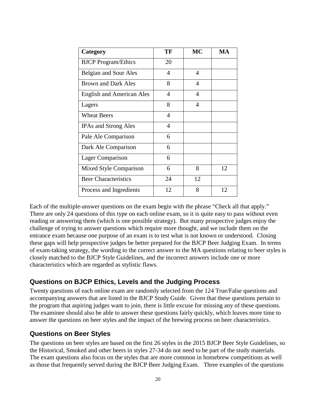| Category                         | TF             | MC | MA |
|----------------------------------|----------------|----|----|
| <b>BJCP</b> Program/Ethics       | 20             |    |    |
| Belgian and Sour Ales            | 4              | 4  |    |
| <b>Brown and Dark Ales</b>       | 8              | 4  |    |
| <b>English and American Ales</b> | 4              | 4  |    |
| Lagers                           | 8              | 4  |    |
| <b>Wheat Beers</b>               | $\overline{4}$ |    |    |
| <b>IPAs and Strong Ales</b>      | 4              |    |    |
| Pale Ale Comparison              | 6              |    |    |
| Dark Ale Comparison              | 6              |    |    |
| <b>Lager Comparison</b>          | 6              |    |    |
| Mixed Style Comparison           | 6              | 8  | 12 |
| <b>Beer Characteristics</b>      | 24             | 12 |    |
| Process and Ingredients          | 12             | 8  | 12 |

Each of the multiple-answer questions on the exam begin with the phrase "Check all that apply." There are only 24 questions of this type on each online exam, so it is quite easy to pass without even reading or answering them (which is one possible strategy). But many prospective judges enjoy the challenge of trying to answer questions which require more thought, and we include them on the entrance exam because one purpose of an exam is to test what is not known or understood. Closing these gaps will help prospective judges be better prepared for the BJCP Beer Judging Exam. In terms of exam-taking strategy, the wording to the correct answer to the MA questions relating to beer styles is closely matched to the BJCP Style Guidelines, and the incorrect answers include one or more characteristics which are regarded as stylistic flaws.

#### <span id="page-23-0"></span>**Questions on BJCP Ethics, Levels and the Judging Process**

Twenty questions of each online exam are randomly selected from the 124 True/False questions and accompanying answers that are listed in the BJCP Study Guide. Given that these questions pertain to the program that aspiring judges want to join, there is little excuse for missing any of these questions. The examinee should also be able to answer these questions fairly quickly, which leaves more time to answer the questions on beer styles and the impact of the brewing process on beer characteristics.

#### <span id="page-23-1"></span>**Questions on Beer Styles**

The questions on beer styles are based on the first 26 styles in the 2015 BJCP Beer Style Guidelines, so the Historical, Smoked and other beers in styles 27-34 do not need to be part of the study materials. The exam questions also focus on the styles that are more common in homebrew competitions as well as those that frequently served during the BJCP Beer Judging Exam. Three examples of the questions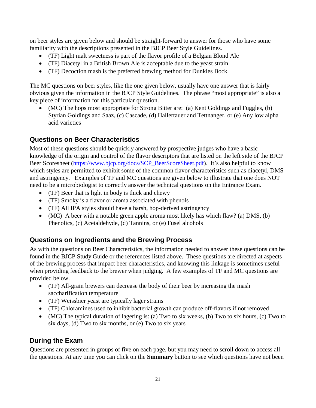on beer styles are given below and should be straight-forward to answer for those who have some familiarity with the descriptions presented in the BJCP Beer Style Guidelines.

- (TF) Light malt sweetness is part of the flavor profile of a Belgian Blond Ale
- (TF) Diacetyl in a British Brown Ale is acceptable due to the yeast strain
- (TF) Decoction mash is the preferred brewing method for Dunkles Bock

The MC questions on beer styles, like the one given below, usually have one answer that is fairly obvious given the information in the BJCP Style Guidelines. The phrase "most appropriate" is also a key piece of information for this particular question.

• (MC) The hops most appropriate for Strong Bitter are: (a) Kent Goldings and Fuggles, (b) Styrian Goldings and Saaz, (c) Cascade, (d) Hallertauer and Tettnanger, or (e) Any low alpha acid varieties

## <span id="page-24-0"></span>**Questions on Beer Characteristics**

Most of these questions should be quickly answered by prospective judges who have a basic knowledge of the origin and control of the flavor descriptors that are listed on the left side of the BJCP Beer Scoresheet [\(https://www.bjcp.org/docs/SCP\\_BeerScoreSheet.pdf\)](https://www.bjcp.org/docs/SCP_BeerScoreSheet.pdf). It's also helpful to know which styles are permitted to exhibit some of the common flavor characteristics such as diacetyl, DMS and astringency. Examples of TF and MC questions are given below to illustrate that one does NOT need to be a microbiologist to correctly answer the technical questions on the Entrance Exam.

- (TF) Beer that is light in body is thick and chewy
- (TF) Smoky is a flavor or aroma associated with phenols
- (TF) All IPA styles should have a harsh, hop-derived astringency
- (MC) A beer with a notable green apple aroma most likely has which flaw? (a) DMS, (b) Phenolics, (c) Acetaldehyde, (d) Tannins, or (e) Fusel alcohols

## <span id="page-24-1"></span>**Questions on Ingredients and the Brewing Process**

As with the questions on Beer Characteristics, the information needed to answer these questions can be found in the BJCP Study Guide or the references listed above. These questions are directed at aspects of the brewing process that impact beer characteristics, and knowing this linkage is sometimes useful when providing feedback to the brewer when judging. A few examples of TF and MC questions are provided below.

- (TF) All-grain brewers can decrease the body of their beer by increasing the mash saccharification temperature
- (TF) Weissbier yeast are typically lager strains
- (TF) Chloramines used to inhibit bacterial growth can produce off-flavors if not removed
- (MC) The typical duration of lagering is: (a) Two to six weeks, (b) Two to six hours, (c) Two to six days, (d) Two to six months, or (e) Two to six years

## <span id="page-24-2"></span>**During the Exam**

Questions are presented in groups of five on each page, but you may need to scroll down to access all the questions. At any time you can click on the **Summary** button to see which questions have not been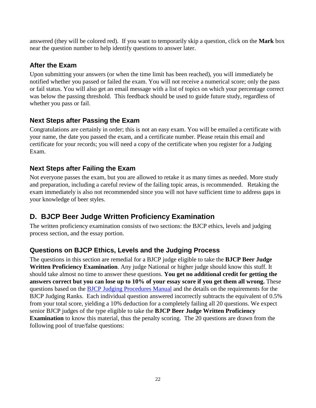answered (they will be colored red). If you want to temporarily skip a question, click on the **Mark** box near the question number to help identify questions to answer later.

## <span id="page-25-0"></span>**After the Exam**

Upon submitting your answers (or when the time limit has been reached), you will immediately be notified whether you passed or failed the exam. You will not receive a numerical score; only the pass or fail status. You will also get an email message with a list of topics on which your percentage correct was below the passing threshold. This feedback should be used to guide future study, regardless of whether you pass or fail.

## <span id="page-25-1"></span>**Next Steps after Passing the Exam**

Congratulations are certainly in order; this is not an easy exam. You will be emailed a certificate with your name, the date you passed the exam, and a certificate number. Please retain this email and certificate for your records; you will need a copy of the certificate when you register for a Judging Exam.

## <span id="page-25-2"></span>**Next Steps after Failing the Exam**

Not everyone passes the exam, but you are allowed to retake it as many times as needed. More study and preparation, including a careful review of the failing topic areas, is recommended. Retaking the exam immediately is also not recommended since you will not have sufficient time to address gaps in your knowledge of beer styles.

## <span id="page-25-3"></span>**D. BJCP Beer Judge Written Proficiency Examination**

The written proficiency examination consists of two sections: the BJCP ethics, levels and judging process section, and the essay portion.

## <span id="page-25-4"></span>**Questions on BJCP Ethics, Levels and the Judging Process**

The questions in this section are remedial for a BJCP judge eligible to take the **BJCP Beer Judge Written Proficiency Examination**. Any judge National or higher judge should know this stuff. It should take almost no time to answer these questions. **You get no additional credit for getting the answers correct but you can lose up to 10% of your essay score if you get them all wrong.** These questions based on the [BJCP Judging Procedures Manual](http://www.bjcp.org/judgeprocman.php) and the details on the requirements for the BJCP Judging Ranks. Each individual question answered incorrectly subtracts the equivalent of 0.5% from your total score, yielding a 10% deduction for a completely failing all 20 questions. We expect senior BJCP judges of the type eligible to take the **BJCP Beer Judge Written Proficiency Examination** to know this material, thus the penalty scoring. The 20 questions are drawn from the following pool of true/false questions: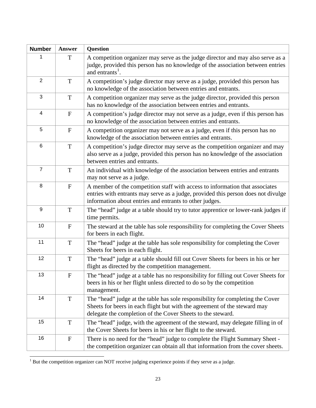| <b>Number</b>  | Answer                    | Question                                                                                                                                                                                                                     |
|----------------|---------------------------|------------------------------------------------------------------------------------------------------------------------------------------------------------------------------------------------------------------------------|
| 1              | T                         | A competition organizer may serve as the judge director and may also serve as a<br>judge, provided this person has no knowledge of the association between entries<br>and entrants <sup>1</sup> .                            |
| $\overline{2}$ | T                         | A competition's judge director may serve as a judge, provided this person has<br>no knowledge of the association between entries and entrants.                                                                               |
| 3              | T                         | A competition organizer may serve as the judge director, provided this person<br>has no knowledge of the association between entries and entrants.                                                                           |
| 4              | $\mathbf F$               | A competition's judge director may not serve as a judge, even if this person has<br>no knowledge of the association between entries and entrants.                                                                            |
| 5              | ${\bf F}$                 | A competition organizer may not serve as a judge, even if this person has no<br>knowledge of the association between entries and entrants.                                                                                   |
| 6              | $\mathbf T$               | A competition's judge director may serve as the competition organizer and may<br>also serve as a judge, provided this person has no knowledge of the association<br>between entries and entrants.                            |
| $\overline{7}$ | $\mathbf T$               | An individual with knowledge of the association between entries and entrants<br>may not serve as a judge.                                                                                                                    |
| 8              | $\mathbf F$               | A member of the competition staff with access to information that associates<br>entries with entrants may serve as a judge, provided this person does not divulge<br>information about entries and entrants to other judges. |
| 9              | T                         | The "head" judge at a table should try to tutor apprentice or lower-rank judges if<br>time permits.                                                                                                                          |
| 10             | ${\bf F}$                 | The steward at the table has sole responsibility for completing the Cover Sheets<br>for beers in each flight.                                                                                                                |
| 11             | T                         | The "head" judge at the table has sole responsibility for completing the Cover<br>Sheets for beers in each flight.                                                                                                           |
| 12             | T                         | The "head" judge at a table should fill out Cover Sheets for beers in his or her<br>flight as directed by the competition management.                                                                                        |
| 13             | ${\bf F}$                 | The "head" judge at a table has no responsibility for filling out Cover Sheets for<br>beers in his or her flight unless directed to do so by the competition<br>management.                                                  |
| 14             | T                         | The "head" judge at the table has sole responsibility for completing the Cover<br>Sheets for beers in each flight but with the agreement of the steward may<br>delegate the completion of the Cover Sheets to the steward.   |
| 15             | $\mathbf T$               | The "head" judge, with the agreement of the steward, may delegate filling in of<br>the Cover Sheets for beers in his or her flight to the steward.                                                                           |
| 16             | $\boldsymbol{\mathrm{F}}$ | There is no need for the "head" judge to complete the Flight Summary Sheet -<br>the competition organizer can obtain all that information from the cover sheets.                                                             |

<span id="page-26-0"></span> $1$  But the competition organizer can NOT receive judging experience points if they serve as a judge. l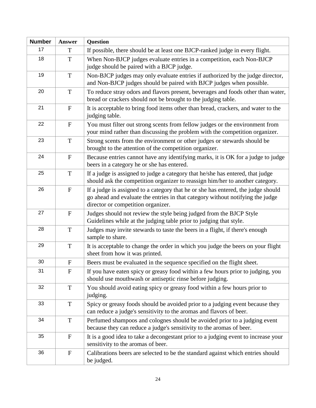| <b>Number</b> | <b>Answer</b>    | Question                                                                                                                                                                                                  |
|---------------|------------------|-----------------------------------------------------------------------------------------------------------------------------------------------------------------------------------------------------------|
| 17            | T                | If possible, there should be at least one BJCP-ranked judge in every flight.                                                                                                                              |
| 18            | $\mathbf T$      | When Non-BJCP judges evaluate entries in a competition, each Non-BJCP<br>judge should be paired with a BJCP judge.                                                                                        |
| 19            | $\mathbf T$      | Non-BJCP judges may only evaluate entries if authorized by the judge director,<br>and Non-BJCP judges should be paired with BJCP judges when possible.                                                    |
| 20            | T                | To reduce stray odors and flavors present, beverages and foods other than water,<br>bread or crackers should not be brought to the judging table.                                                         |
| 21            | ${\bf F}$        | It is acceptable to bring food items other than bread, crackers, and water to the<br>judging table.                                                                                                       |
| 22            | $\mathbf F$      | You must filter out strong scents from fellow judges or the environment from<br>your mind rather than discussing the problem with the competition organizer.                                              |
| 23            | $\mathbf T$      | Strong scents from the environment or other judges or stewards should be<br>brought to the attention of the competition organizer.                                                                        |
| 24            | $\mathbf{F}$     | Because entries cannot have any identifying marks, it is OK for a judge to judge<br>beers in a category he or she has entered.                                                                            |
| 25            | $\mathbf T$      | If a judge is assigned to judge a category that he/she has entered, that judge<br>should ask the competition organizer to reassign him/her to another category.                                           |
| 26            | $\mathbf{F}$     | If a judge is assigned to a category that he or she has entered, the judge should<br>go ahead and evaluate the entries in that category without notifying the judge<br>director or competition organizer. |
| 27            | $\mathbf{F}$     | Judges should not review the style being judged from the BJCP Style<br>Guidelines while at the judging table prior to judging that style.                                                                 |
| 28            | T                | Judges may invite stewards to taste the beers in a flight, if there's enough<br>sample to share.                                                                                                          |
| 29            | $\mathbf T$      | It is acceptable to change the order in which you judge the beers on your flight<br>sheet from how it was printed.                                                                                        |
| 30            | ${\bf F}$        | Beers must be evaluated in the sequence specified on the flight sheet.                                                                                                                                    |
| 31            | $\mathbf{F}$     | If you have eaten spicy or greasy food within a few hours prior to judging, you<br>should use mouthwash or antiseptic rinse before judging.                                                               |
| 32            | $\mathbf T$      | You should avoid eating spicy or greasy food within a few hours prior to<br>judging.                                                                                                                      |
| 33            | T                | Spicy or greasy foods should be avoided prior to a judging event because they<br>can reduce a judge's sensitivity to the aromas and flavors of beer.                                                      |
| 34            | $\mathbf T$      | Perfumed shampoos and colognes should be avoided prior to a judging event<br>because they can reduce a judge's sensitivity to the aromas of beer.                                                         |
| 35            | $\mathbf{F}$     | It is a good idea to take a decongestant prior to a judging event to increase your<br>sensitivity to the aromas of beer.                                                                                  |
| 36            | $\boldsymbol{F}$ | Calibrations beers are selected to be the standard against which entries should<br>be judged.                                                                                                             |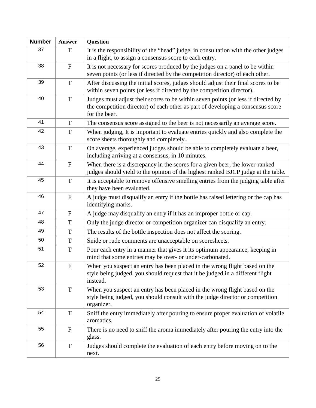| <b>Number</b> | <b>Answer</b>             | <b>Question</b>                                                                                                                                                                       |
|---------------|---------------------------|---------------------------------------------------------------------------------------------------------------------------------------------------------------------------------------|
| 37            | T                         | It is the responsibility of the "head" judge, in consultation with the other judges<br>in a flight, to assign a consensus score to each entry.                                        |
| 38            | $\mathbf F$               | It is not necessary for scores produced by the judges on a panel to be within<br>seven points (or less if directed by the competition director) of each other.                        |
| 39            | T                         | After discussing the initial scores, judges should adjust their final scores to be<br>within seven points (or less if directed by the competition director).                          |
| 40            | $\mathbf T$               | Judges must adjust their scores to be within seven points (or less if directed by<br>the competition director) of each other as part of developing a consensus score<br>for the beer. |
| 41            | T                         | The consensus score assigned to the beer is not necessarily an average score.                                                                                                         |
| 42            | T                         | When judging, It is important to evaluate entries quickly and also complete the<br>score sheets thoroughly and completely                                                             |
| 43            | T                         | On average, experienced judges should be able to completely evaluate a beer,<br>including arriving at a consensus, in 10 minutes.                                                     |
| 44            | $\mathbf F$               | When there is a discrepancy in the scores for a given beer, the lower-ranked<br>judges should yield to the opinion of the highest ranked BJCP judge at the table.                     |
| 45            | $\mathbf T$               | It is acceptable to remove offensive smelling entries from the judging table after<br>they have been evaluated.                                                                       |
| 46            | ${\bf F}$                 | A judge must disqualify an entry if the bottle has raised lettering or the cap has<br>identifying marks.                                                                              |
| 47            | $\mathbf F$               | A judge may disqualify an entry if it has an improper bottle or cap.                                                                                                                  |
| 48            | T                         | Only the judge director or competition organizer can disqualify an entry.                                                                                                             |
| 49            | T                         | The results of the bottle inspection does not affect the scoring.                                                                                                                     |
| 50            | T                         | Snide or rude comments are unacceptable on scoresheets.                                                                                                                               |
| 51            | $\mathbf T$               | Pour each entry in a manner that gives it its optimum appearance, keeping in<br>mind that some entries may be over- or under-carbonated.                                              |
| 52            | $\boldsymbol{\mathrm{F}}$ | When you suspect an entry has been placed in the wrong flight based on the<br>style being judged, you should request that it be judged in a different flight<br>instead.              |
| 53            | $\mathbf T$               | When you suspect an entry has been placed in the wrong flight based on the<br>style being judged, you should consult with the judge director or competition<br>organizer.             |
| 54            | T                         | Sniff the entry immediately after pouring to ensure proper evaluation of volatile<br>aromatics.                                                                                       |
| 55            | $\mathbf F$               | There is no need to sniff the aroma immediately after pouring the entry into the<br>glass.                                                                                            |
| 56            | $\mathbf T$               | Judges should complete the evaluation of each entry before moving on to the<br>next.                                                                                                  |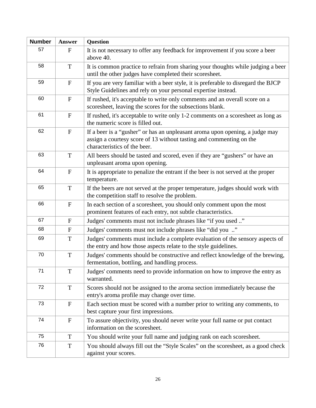| <b>Number</b> | Answer       | <b>Question</b>                                                                                                                                                                     |
|---------------|--------------|-------------------------------------------------------------------------------------------------------------------------------------------------------------------------------------|
| 57            | $\mathbf{F}$ | It is not necessary to offer any feedback for improvement if you score a beer<br>above 40.                                                                                          |
| 58            | T            | It is common practice to refrain from sharing your thoughts while judging a beer<br>until the other judges have completed their scoresheet.                                         |
| 59            | $\mathbf F$  | If you are very familiar with a beer style, it is preferable to disregard the BJCP<br>Style Guidelines and rely on your personal expertise instead.                                 |
| 60            | $\mathbf F$  | If rushed, it's acceptable to write only comments and an overall score on a<br>scoresheet, leaving the scores for the subsections blank.                                            |
| 61            | $\mathbf F$  | If rushed, it's acceptable to write only 1-2 comments on a scoresheet as long as<br>the numeric score is filled out.                                                                |
| 62            | $\mathbf F$  | If a beer is a "gusher" or has an unpleasant aroma upon opening, a judge may<br>assign a courtesy score of 13 without tasting and commenting on the<br>characteristics of the beer. |
| 63            | T            | All beers should be tasted and scored, even if they are "gushers" or have an<br>unpleasant aroma upon opening.                                                                      |
| 64            | $\mathbf F$  | It is appropriate to penalize the entrant if the beer is not served at the proper<br>temperature.                                                                                   |
| 65            | T            | If the beers are not served at the proper temperature, judges should work with<br>the competition staff to resolve the problem.                                                     |
| 66            | $\mathbf F$  | In each section of a scoresheet, you should only comment upon the most<br>prominent features of each entry, not subtle characteristics.                                             |
| 67            | $\mathbf{F}$ | Judges' comments must not include phrases like "if you used "                                                                                                                       |
| 68            | $\mathbf{F}$ | Judges' comments must not include phrases like "did you "                                                                                                                           |
| 69            | T            | Judges' comments must include a complete evaluation of the sensory aspects of<br>the entry and how those aspects relate to the style guidelines.                                    |
| 70            | T            | Judges' comments should be constructive and reflect knowledge of the brewing,<br>fermentation, bottling, and handling process.                                                      |
| 71            | T            | Judges' comments need to provide information on how to improve the entry as<br>warranted.                                                                                           |
| 72            | T            | Scores should not be assigned to the aroma section immediately because the<br>entry's aroma profile may change over time.                                                           |
| 73            | ${\bf F}$    | Each section must be scored with a number prior to writing any comments, to<br>best capture your first impressions.                                                                 |
| 74            | $\mathbf F$  | To assure objectivity, you should never write your full name or put contact<br>information on the scoresheet.                                                                       |
| 75            | T            | You should write your full name and judging rank on each scoresheet.                                                                                                                |
| 76            | T            | You should always fill out the "Style Scales" on the scoresheet, as a good check<br>against your scores.                                                                            |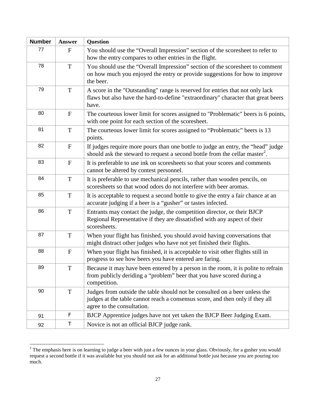| <b>Number</b> | Answer       | <b>Question</b>                                                                                                                                                                           |
|---------------|--------------|-------------------------------------------------------------------------------------------------------------------------------------------------------------------------------------------|
| 77            | $\mathbf{F}$ | You should use the "Overall Impression" section of the scoresheet to refer to<br>how the entry compares to other entries in the flight.                                                   |
| 78            | $\mathbf T$  | You should use the "Overall Impression" section of the scoresheet to comment<br>on how much you enjoyed the entry or provide suggestions for how to improve<br>the beer.                  |
| 79            | T            | A score in the "Outstanding" range is reserved for entries that not only lack<br>flaws but also have the hard-to-define "extraordinary" character that great beers<br>have.               |
| 80            | $\mathbf{F}$ | The courteous lower limit for scores assigned to "Problematic" beers is 6 points,<br>with one point for each section of the scoresheet.                                                   |
| 81            | T            | The courteous lower limit for scores assigned to "Problematic" beers is 13<br>points.                                                                                                     |
| 82            | $\mathbf{F}$ | If judges require more pours than one bottle to judge an entry, the "head" judge<br>should ask the steward to request a second bottle from the cellar master <sup>2</sup> .               |
| 83            | $\mathbf{F}$ | It is preferable to use ink on scoresheets so that your scores and comments<br>cannot be altered by contest personnel.                                                                    |
| 84            | $\mathbf T$  | It is preferable to use mechanical pencils, rather than wooden pencils, on<br>scoresheets so that wood odors do not interfere with beer aromas.                                           |
| 85            | T            | It is acceptable to request a second bottle to give the entry a fair chance at an<br>accurate judging if a beer is a "gusher" or tastes infected.                                         |
| 86            | $\mathbf T$  | Entrants may contact the judge, the competition director, or their BJCP<br>Regional Representative if they are dissatisfied with any aspect of their<br>scoresheets.                      |
| 87            | T            | When your flight has finished, you should avoid having conversations that<br>might distract other judges who have not yet finished their flights.                                         |
| 88            | $\mathbf{F}$ | When your flight has finished, it is acceptable to visit other flights still in<br>progress to see how beers you have entered are faring.                                                 |
| 89            | $\mathbf T$  | Because it may have been entered by a person in the room, it is polite to refrain<br>from publicly deriding a "problem" beer that you have scored during a<br>competition.                |
| 90            | T            | Judges from outside the table should not be consulted on a beer unless the<br>judges at the table cannot reach a consensus score, and then only if they all<br>agree to the consultation. |
| 91            | F            | BJCP Apprentice judges have not yet taken the BJCP Beer Judging Exam.                                                                                                                     |
| 92            | Τ            | Novice is not an official BJCP judge rank.                                                                                                                                                |

<span id="page-30-0"></span> $2^2$  The emphasis here is on learning to judge a beer with just a few ounces in your glass. Obviously, for a gusher you would request a second bottle if it was available but you should not ask for an additional bottle just because you are pouring too much. -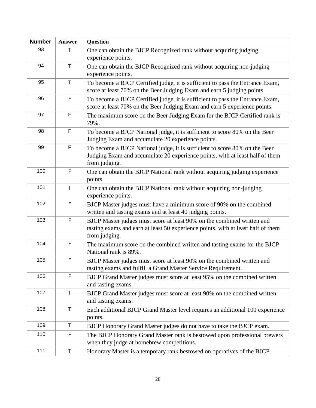| <b>Number</b> | <b>Answer</b> | <b>Question</b>                                                                                                                                                             |
|---------------|---------------|-----------------------------------------------------------------------------------------------------------------------------------------------------------------------------|
| 93            | Τ             | One can obtain the BJCP Recognized rank without acquiring judging<br>experience points.                                                                                     |
| 94            | T             | One can obtain the BJCP Recognized rank without acquiring non-judging<br>experience points.                                                                                 |
| 95            | $\mathsf T$   | To become a BJCP Certified judge, it is sufficient to pass the Entrance Exam,<br>score at least 70% on the Beer Judging Exam and earn 5 judging points.                     |
| 96            | F             | To become a BJCP Certified judge, it is sufficient to pass the Entrance Exam,<br>score at least 70% on the Beer Judging Exam and earn 5 experience points.                  |
| 97            | $\mathsf F$   | The maximum score on the Beer Judging Exam for the BJCP Certified rank is<br>79%.                                                                                           |
| 98            | F             | To become a BJCP National judge, it is sufficient to score 80% on the Beer<br>Judging Exam and accumulate 20 experience points.                                             |
| 99            | F             | To become a BJCP National judge, it is sufficient to score 80% on the Beer<br>Judging Exam and accumulate 20 experience points, with at least half of them<br>from judging. |
| 100           | F             | One can obtain the BJCP National rank without acquiring judging experience<br>points.                                                                                       |
| 101           | T             | One can obtain the BJCP National rank without acquiring non-judging<br>experience points.                                                                                   |
| 102           | F             | BJCP Master judges must have a minimum score of 90% on the combined<br>written and tasting exams and at least 40 judging points.                                            |
| 103           | F             | BJCP Master judges must score at least 90% on the combined written and<br>tasting exams and earn at least 50 experience points, with at least half of them<br>from judging. |
| 104           | F             | The maximum score on the combined written and tasting exams for the BJCP<br>National rank is 89%.                                                                           |
| 105           | $\mathsf F$   | BJCP Master judges must score at least 90% on the combined written and<br>tasting exams and fulfill a Grand Master Service Requirement.                                     |
| 106           | F             | BJCP Grand Master judges must score at least 95% on the combined written<br>and tasting exams.                                                                              |
| 107           | T             | BJCP Grand Master judges must score at least 90% on the combined written<br>and tasting exams.                                                                              |
| 108           | $\top$        | Each additional BJCP Grand Master level requires an additional 100 experience<br>points.                                                                                    |
| 109           | Τ             | BJCP Honorary Grand Master judges do not have to take the BJCP exam.                                                                                                        |
| 110           | F             | The BJCP Honorary Grand Master rank is bestowed upon professional brewers<br>when they judge at homebrew competitions.                                                      |
| 111           | Τ             | Honorary Master is a temporary rank bestowed on operatives of the BJCP.                                                                                                     |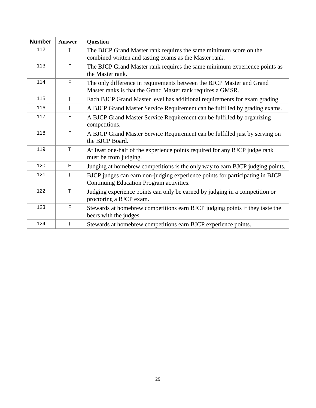| <b>Number</b> | <b>Answer</b> | <b>Question</b>                                                               |
|---------------|---------------|-------------------------------------------------------------------------------|
| 112           | Τ             | The BJCP Grand Master rank requires the same minimum score on the             |
|               |               | combined written and tasting exams as the Master rank.                        |
| 113           | F             | The BJCP Grand Master rank requires the same minimum experience points as     |
|               |               | the Master rank.                                                              |
| 114           | F             | The only difference in requirements between the BJCP Master and Grand         |
|               |               | Master ranks is that the Grand Master rank requires a GMSR.                   |
| 115           | T             | Each BJCP Grand Master level has additional requirements for exam grading.    |
| 116           | Τ             | A BJCP Grand Master Service Requirement can be fulfilled by grading exams.    |
| 117           | F             | A BJCP Grand Master Service Requirement can be fulfilled by organizing        |
|               |               | competitions.                                                                 |
| 118           | F             | A BJCP Grand Master Service Requirement can be fulfilled just by serving on   |
|               |               | the BJCP Board.                                                               |
| 119           | T.            | At least one-half of the experience points required for any BJCP judge rank   |
|               |               | must be from judging.                                                         |
| 120           | F             | Judging at homebrew competitions is the only way to earn BJCP judging points. |
| 121           | T.            | BJCP judges can earn non-judging experience points for participating in BJCP  |
|               |               | Continuing Education Program activities.                                      |
| 122           | $\top$        | Judging experience points can only be earned by judging in a competition or   |
|               |               | proctoring a BJCP exam.                                                       |
| 123           | F             | Stewards at homebrew competitions earn BJCP judging points if they taste the  |
|               |               | beers with the judges.                                                        |
| 124           | T             | Stewards at homebrew competitions earn BJCP experience points.                |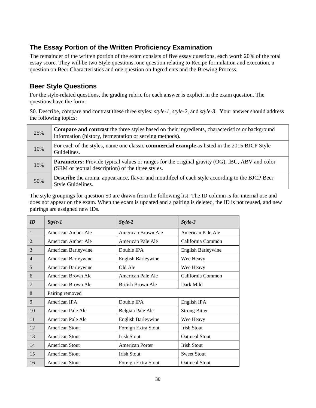## <span id="page-33-0"></span>**The Essay Portion of the Written Proficiency Examination**

The remainder of the written portion of the exam consists of five essay questions, each worth 20% of the total essay score. They will be two Style questions, one question relating to Recipe formulation and execution, a question on Beer Characteristics and one question on Ingredients and the Brewing Process.

## <span id="page-33-1"></span>**Beer Style Questions**

For the style-related questions, the grading rubric for each answer is explicit in the exam question. The questions have the form:

S0. Describe, compare and contrast these three styles: *style-1*, *style-2*, and *style-3*. Your answer should address the following topics:

| 25% | <b>Compare and contrast</b> the three styles based on their ingredients, characteristics or background<br>information (history, fermentation or serving methods). |
|-----|-------------------------------------------------------------------------------------------------------------------------------------------------------------------|
| 10% | For each of the styles, name one classic <b>commercial example</b> as listed in the 2015 BJCP Style<br>Guidelines.                                                |
| 15% | <b>Parameters:</b> Provide typical values or ranges for the original gravity (OG), IBU, ABV and color<br>(SRM or textual description) of the three styles.        |
| 50% | <b>Describe</b> the aroma, appearance, flavor and mouthfeel of each style according to the BJCP Beer<br>Style Guidelines.                                         |

The style groupings for question S0 are drawn from the following list. The ID column is for internal use and does not appear on the exam. When the exam is updated and a pairing is deleted, the ID is not reused, and new pairings are assigned new IDs.

| ID                       | Style-1               | Style-2                   | Style-3                   |
|--------------------------|-----------------------|---------------------------|---------------------------|
| 1                        | American Amber Ale    | American Brown Ale        | American Pale Ale         |
| $\overline{2}$           | American Amber Ale    | American Pale Ale         | California Common         |
| 3                        | American Barleywine   | Double IPA                | <b>English Barleywine</b> |
| $\overline{\mathcal{L}}$ | American Barleywine   | <b>English Barleywine</b> | Wee Heavy                 |
| 5                        | American Barleywine   | Old Ale                   | Wee Heavy                 |
| 6                        | American Brown Ale    | American Pale Ale         | California Common         |
| 7                        | American Brown Ale    | British Brown Ale         | Dark Mild                 |
| 8                        | Pairing removed       |                           |                           |
| 9                        | American IPA          | Double IPA                | English IPA               |
| 10                       | American Pale Ale     | Belgian Pale Ale          | <b>Strong Bitter</b>      |
| 11                       | American Pale Ale     | <b>English Barleywine</b> | Wee Heavy                 |
| 12                       | American Stout        | Foreign Extra Stout       | <b>Irish Stout</b>        |
| 13                       | American Stout        | <b>Irish Stout</b>        | <b>Oatmeal Stout</b>      |
| 14                       | American Stout        | American Porter           | <b>Irish Stout</b>        |
| 15                       | <b>American Stout</b> | <b>Irish Stout</b>        | <b>Sweet Stout</b>        |
| 16                       | American Stout        | Foreign Extra Stout       | <b>Oatmeal Stout</b>      |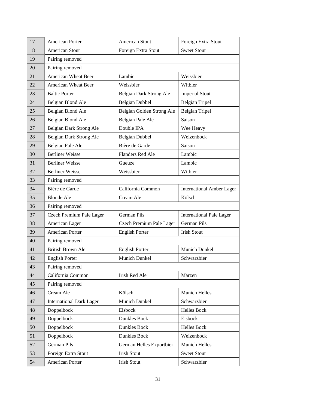| 17 | American Porter                 | <b>American Stout</b>     | Foreign Extra Stout              |
|----|---------------------------------|---------------------------|----------------------------------|
| 18 | <b>American Stout</b>           | Foreign Extra Stout       | <b>Sweet Stout</b>               |
| 19 | Pairing removed                 |                           |                                  |
| 20 | Pairing removed                 |                           |                                  |
| 21 | American Wheat Beer             | Lambic                    | Weissbier                        |
| 22 | American Wheat Beer             | Weissbier                 | Witbier                          |
| 23 | <b>Baltic Porter</b>            | Belgian Dark Strong Ale   | <b>Imperial Stout</b>            |
| 24 | Belgian Blond Ale               | <b>Belgian Dubbel</b>     | <b>Belgian Tripel</b>            |
| 25 | Belgian Blond Ale               | Belgian Golden Strong Ale | <b>Belgian Tripel</b>            |
| 26 | Belgian Blond Ale               | Belgian Pale Ale          | Saison                           |
| 27 | Belgian Dark Strong Ale         | Double IPA                | Wee Heavy                        |
| 28 | Belgian Dark Strong Ale         | <b>Belgian Dubbel</b>     | Weizenbock                       |
| 29 | Belgian Pale Ale                | Bière de Garde            | Saison                           |
| 30 | <b>Berliner Weisse</b>          | Flanders Red Ale          | Lambic                           |
| 31 | <b>Berliner Weisse</b>          | Gueuze                    | Lambic                           |
| 32 | <b>Berliner Weisse</b>          | Weissbier                 | Witbier                          |
| 33 | Pairing removed                 |                           |                                  |
| 34 | Bière de Garde                  | California Common         | <b>International Amber Lager</b> |
| 35 | <b>Blonde Ale</b>               | Cream Ale                 | Kölsch                           |
|    |                                 |                           |                                  |
| 36 | Pairing removed                 |                           |                                  |
| 37 | Czech Premium Pale Lager        | <b>German Pils</b>        | <b>International Pale Lager</b>  |
| 38 | American Lager                  | Czech Premium Pale Lager  | <b>German Pils</b>               |
| 39 | American Porter                 | <b>English Porter</b>     | <b>Irish Stout</b>               |
| 40 | Pairing removed                 |                           |                                  |
| 41 | <b>British Brown Ale</b>        | <b>English Porter</b>     | Munich Dunkel                    |
| 42 | <b>English Porter</b>           | Munich Dunkel             | Schwarzbier                      |
| 43 | Pairing removed                 |                           |                                  |
| 44 | California Common               | Irish Red Ale             | Märzen                           |
| 45 | Pairing removed                 |                           |                                  |
| 46 | Cream Ale                       | Kölsch                    | Munich Helles                    |
| 47 | <b>International Dark Lager</b> | Munich Dunkel             | Schwarzbier                      |
| 48 | Doppelbock                      | Eisbock                   | <b>Helles Bock</b>               |
| 49 | Doppelbock                      | Dunkles Bock              | Eisbock                          |
| 50 | Doppelbock                      | Dunkles Bock              | <b>Helles Bock</b>               |
| 51 | Doppelbock                      | Dunkles Bock              | Weizenbock                       |
| 52 | German Pils                     | German Helles Exportbier  | Munich Helles                    |
| 53 | Foreign Extra Stout             | <b>Irish Stout</b>        | <b>Sweet Stout</b>               |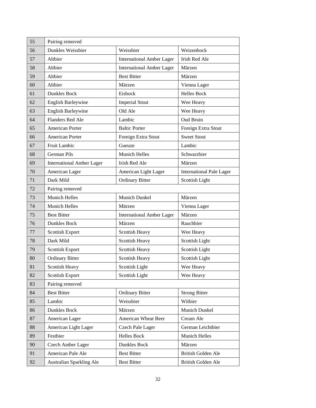| 55 | Pairing removed                  |                                  |                                 |
|----|----------------------------------|----------------------------------|---------------------------------|
| 56 | Dunkles Weissbier                | Weissbier                        | Weizenbock                      |
| 57 | Altbier                          | <b>International Amber Lager</b> | Irish Red Ale                   |
| 58 | Altbier                          | <b>International Amber Lager</b> | Märzen                          |
| 59 | Altbier                          | <b>Best Bitter</b>               | Märzen                          |
| 60 | Altbier                          | Märzen                           | Vienna Lager                    |
| 61 | <b>Dunkles Bock</b>              | Eisbock                          | <b>Helles Bock</b>              |
| 62 | English Barleywine               | <b>Imperial Stout</b>            | Wee Heavy                       |
| 63 | English Barleywine               | Old Ale                          | Wee Heavy                       |
| 64 | Flanders Red Ale                 | Lambic                           | Oud Bruin                       |
| 65 | American Porter                  | <b>Baltic Porter</b>             | Foreign Extra Stout             |
| 66 | <b>American Porter</b>           | Foreign Extra Stout              | <b>Sweet Stout</b>              |
| 67 | Fruit Lambic                     | Gueuze                           | Lambic                          |
| 68 | German Pils                      | <b>Munich Helles</b>             | Schwarzbier                     |
| 69 | <b>International Amber Lager</b> | Irish Red Ale                    | Märzen                          |
| 70 | American Lager                   | American Light Lager             | <b>International Pale Lager</b> |
| 71 | Dark Mild                        | <b>Ordinary Bitter</b>           | Scottish Light                  |
| 72 | Pairing removed                  |                                  |                                 |
| 73 | Munich Helles                    | <b>Munich Dunkel</b>             | Märzen                          |
| 74 | <b>Munich Helles</b>             | Märzen                           | Vienna Lager                    |
| 75 | <b>Best Bitter</b>               | <b>International Amber Lager</b> | Märzen                          |
| 76 | Dunkles Bock                     | Märzen                           | Rauchbier                       |
| 77 | Scottish Export                  | Scottish Heavy                   | Wee Heavy                       |
| 78 | Dark Mild                        | Scottish Heavy                   | Scottish Light                  |
| 79 | <b>Scottish Export</b>           | Scottish Heavy                   | Scottish Light                  |
| 80 | <b>Ordinary Bitter</b>           | Scottish Heavy                   | Scottish Light                  |
| 81 | Scottish Heavy                   | Scottish Light                   | Wee Heavy                       |
| 82 | <b>Scottish Export</b>           | Scottish Light                   | Wee Heavy                       |
| 83 | Pairing removed                  |                                  |                                 |
| 84 | <b>Best Bitter</b>               | <b>Ordinary Bitter</b>           | <b>Strong Bitter</b>            |
| 85 | Lambic                           | Weissbier                        | Witbier                         |
| 86 | Dunkles Bock                     | Märzen                           | Munich Dunkel                   |
| 87 | American Lager                   | American Wheat Beer              | Cream Ale                       |
| 88 | American Light Lager             | <b>Czech Pale Lager</b>          | German Leichtbier               |
| 89 | Festbier                         | <b>Helles Bock</b>               | Munich Helles                   |
| 90 | Czech Amber Lager                | Dunkles Bock                     | Märzen                          |
| 91 | American Pale Ale                | <b>Best Bitter</b>               | British Golden Ale              |
| 92 | Australian Sparkling Ale         | <b>Best Bitter</b>               | British Golden Ale              |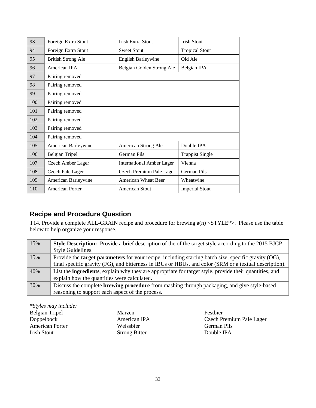| 93  | Foreign Extra Stout       | <b>Irish Extra Stout</b>         | <b>Irish Stout</b>     |
|-----|---------------------------|----------------------------------|------------------------|
| 94  | Foreign Extra Stout       | <b>Sweet Stout</b>               | <b>Tropical Stout</b>  |
| 95  | <b>British Strong Ale</b> | <b>English Barleywine</b>        | Old Ale                |
| 96  | American IPA              | Belgian Golden Strong Ale        | Belgian IPA            |
| 97  | Pairing removed           |                                  |                        |
| 98  | Pairing removed           |                                  |                        |
| 99  | Pairing removed           |                                  |                        |
| 100 | Pairing removed           |                                  |                        |
| 101 | Pairing removed           |                                  |                        |
| 102 | Pairing removed           |                                  |                        |
| 103 | Pairing removed           |                                  |                        |
| 104 | Pairing removed           |                                  |                        |
| 105 | American Barleywine       | American Strong Ale              | Double IPA             |
| 106 | <b>Belgian Tripel</b>     | German Pils                      | <b>Trappist Single</b> |
| 107 | Czech Amber Lager         | <b>International Amber Lager</b> | Vienna                 |
| 108 | Czech Pale Lager          | Czech Premium Pale Lager         | German Pils            |
| 109 | American Barleywine       | <b>American Wheat Beer</b>       | Wheatwine              |
| 110 | American Porter           | American Stout                   | <b>Imperial Stout</b>  |

## **Recipe and Procedure Question**

T14. Provide a complete ALL-GRAIN recipe and procedure for brewing a(n) <STYLE\*>. Please use the table below to help organize your response.

| 15% | <b>Style Description:</b> Provide a brief description of the of the target style according to the 2015 BJCP    |
|-----|----------------------------------------------------------------------------------------------------------------|
|     | Style Guidelines.                                                                                              |
| 15% | Provide the <b>target parameters</b> for your recipe, including starting batch size, specific gravity (OG),    |
|     | final specific gravity (FG), and bitterness in IBUs or HBUs, and color (SRM or a textual description).         |
| 40% | List the <b>ingredients</b> , explain why they are appropriate for target style, provide their quantities, and |
|     | explain how the quantities were calculated.                                                                    |
| 30% | Discuss the complete <b>brewing procedure</b> from mashing through packaging, and give style-based             |
|     | reasoning to support each aspect of the process.                                                               |

*\*Styles may include:* Belgian Tripel Märzen Festbier<br>Doppelbock American IPA Czech Pr American Porter Weissbier German Pils Irish Stout Strong Bitter Double IPA

Czech Premium Pale Lager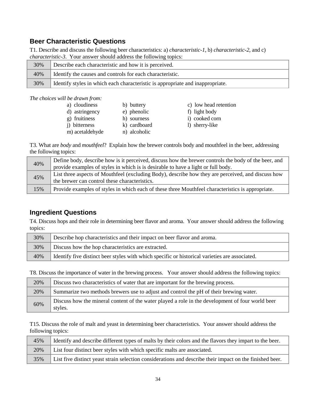#### **Beer Characteristic Questions**

T1. Describe and discuss the following beer characteristics: a) *characteristic-1*, b) *characteristic-2*, and c) *characteristic-3*. Your answer should address the following topics:

| 30% | Describe each characteristic and how it is perceived.                          |  |
|-----|--------------------------------------------------------------------------------|--|
| 40% | Identify the causes and controls for each characteristic.                      |  |
| 30% | Identify styles in which each characteristic is appropriate and inappropriate. |  |
|     |                                                                                |  |

*The choices will be drawn from:*

| a) cloudiness         | b) buttery   | c) low head retention |
|-----------------------|--------------|-----------------------|
| d) astringency        | e) phenolic  | f) light body         |
| g) fruitiness         | h) sourness  | i) cooked corn        |
| <i>i</i> ) bitterness | k) cardboard | 1) sherry-like        |
| m) acetaldehyde       | n) alcoholic |                       |
|                       |              |                       |

T3. What are *body* and *mouthfeel*? Explain how the brewer controls body and mouthfeel in the beer, addressing the following topics:

| 40% | Define body, describe how is it perceived, discuss how the brewer controls the body of the beer, and |
|-----|------------------------------------------------------------------------------------------------------|
|     | provide examples of styles in which is is desirable to have a light or full body.                    |
| 45% | List three aspects of Mouthfeel (excluding Body), describe how they are perceived, and discuss how   |
|     | the brewer can control these characteristics.                                                        |
| 15% | Provide examples of styles in which each of these three Mouthfeel characteristics is appropriate.    |

#### **Ingredient Questions**

T4. Discuss hops and their role in determining beer flavor and aroma. Your answer should address the following topics:

| 30% | Describe hop characteristics and their impact on beer flavor and aroma.                        |  |
|-----|------------------------------------------------------------------------------------------------|--|
| 30% | Discuss how the hop characteristics are extracted.                                             |  |
| 40% | Identify five distinct beer styles with which specific or historical varieties are associated. |  |

T8. Discuss the importance of water in the brewing process. Your answer should address the following topics:

| 20% | Discuss two characteristics of water that are important for the brewing process.                            |  |
|-----|-------------------------------------------------------------------------------------------------------------|--|
| 20% | Summarize two methods brewers use to adjust and control the pH of their brewing water.                      |  |
| 60% | Discuss how the mineral content of the water played a role in the development of four world beer<br>styles. |  |

T15. Discuss the role of malt and yeast in determining beer characteristics. Your answer should address the following topics:

| 45% | Identify and describe different types of malts by their colors and the flavors they impart to the beer.  |  |
|-----|----------------------------------------------------------------------------------------------------------|--|
| 20% | List four distinct beer styles with which specific malts are associated.                                 |  |
| 35% | List five distinct yeast strain selection considerations and describe their impact on the finished beer. |  |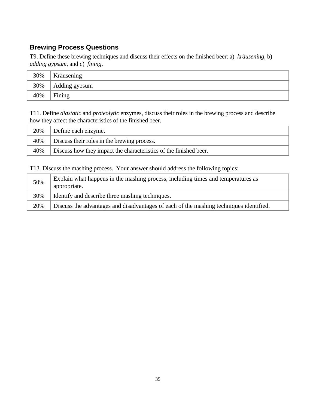## **Brewing Process Questions**

T9. Define these brewing techniques and discuss their effects on the finished beer: a) *kräusening*, b) *adding gypsum*, and c) *fining*.

| 30% | Kräusening    |
|-----|---------------|
| 30% | Adding gypsum |
| 40% | Fining        |

T11. Define *diastatic* and *proteolytic* enzymes, discuss their roles in the brewing process and describe how they affect the characteristics of the finished beer.

| 20% | Define each enzyme.                                               |  |
|-----|-------------------------------------------------------------------|--|
| 40% | Discuss their roles in the brewing process.                       |  |
| 40% | Discuss how they impact the characteristics of the finished beer. |  |

T13. Discuss the mashing process. Your answer should address the following topics:

| 50% | Explain what happens in the mashing process, including times and temperatures as<br>appropriate. |
|-----|--------------------------------------------------------------------------------------------------|
| 30% | Identify and describe three mashing techniques.                                                  |
| 20% | Discuss the advantages and disadvantages of each of the mashing techniques identified.           |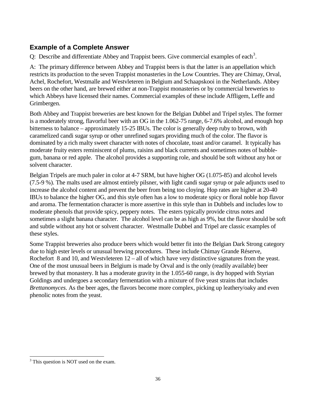#### **Example of a Complete Answer**

Q: Describe and differentiate Abbey and Trappist beers. Give commercial examples of each<sup>[3](#page-39-0)</sup>.

A: The primary difference between Abbey and Trappist beers is that the latter is an appellation which restricts its production to the seven Trappist monasteries in the Low Countries. They are Chimay, Orval, Achel, Rochefort, Westmalle and Westvleteren in Belgium and Schaapskooi in the Netherlands. Abbey beers on the other hand, are brewed either at non-Trappist monasteries or by commercial breweries to which Abbeys have licensed their names. Commercial examples of these include Affligem, Leffe and Grimbergen.

Both Abbey and Trappist breweries are best known for the Belgian Dubbel and Tripel styles. The former is a moderately strong, flavorful beer with an OG in the 1.062-75 range, 6-7.6% alcohol, and enough hop bitterness to balance – approximately 15-25 IBUs. The color is generally deep ruby to brown, with caramelized candi sugar syrup or other unrefined sugars providing much of the color. The flavor is dominated by a rich malty sweet character with notes of chocolate, toast and/or caramel. It typically has moderate fruity esters reminiscent of plums, raisins and black currents and sometimes notes of bubblegum, banana or red apple. The alcohol provides a supporting role, and should be soft without any hot or solvent character.

Belgian Tripels are much paler in color at 4-7 SRM, but have higher OG (1.075-85) and alcohol levels (7.5-9 %). The malts used are almost entirely pilsner, with light candi sugar syrup or pale adjuncts used to increase the alcohol content and prevent the beer from being too cloying. Hop rates are higher at 20-40 IBUs to balance the higher OG, and this style often has a low to moderate spicy or floral noble hop flavor and aroma. The fermentation character is more assertive in this style than in Dubbels and includes low to moderate phenols that provide spicy, peppery notes. The esters typically provide citrus notes and sometimes a slight banana character. The alcohol level can be as high as 9%, but the flavor should be soft and subtle without any hot or solvent character. Westmalle Dubbel and Tripel are classic examples of these styles.

Some Trappist breweries also produce beers which would better fit into the Belgian Dark Strong category due to high ester levels or unusual brewing procedures. These include Chimay Grande Réserve, Rochefort 8 and 10, and Westvleteren 12 – all of which have very distinctive signatures from the yeast. One of the most unusual beers in Belgium is made by Orval and is the only (readily available) beer brewed by that monastery. It has a moderate gravity in the 1.055-60 range, is dry hopped with Styrian Goldings and undergoes a secondary fermentation with a mixture of five yeast strains that includes *Brettanomyces*. As the beer ages, the flavors become more complex, picking up leathery/oaky and even phenolic notes from the yeast.

l

<span id="page-39-0"></span><sup>&</sup>lt;sup>3</sup> This question is NOT used on the exam.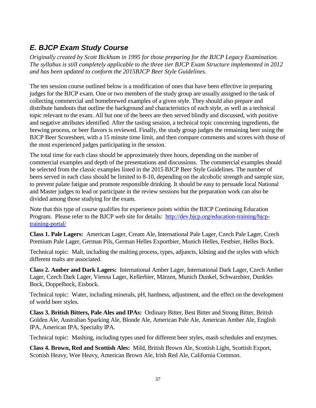# *E. BJCP Exam Study Course*

*Originally created by Scott Bickham in 1995 for those preparing for the BJCP Legacy Examination. The syllabus is still completely applicable to the three tier BJCP Exam Structure implemented in 2012 and has been updated to conform the 2015BJCP Beer Style Guidelines.*

The ten session course outlined below is a modification of ones that have been effective in preparing judges for the BJCP exam. One or two members of the study group are usually assigned to the task of collecting commercial and homebrewed examples of a given style. They should also prepare and distribute handouts that outline the background and characteristics of each style, as well as a technical topic relevant to the exam. All but one of the beers are then served blindly and discussed, with positive and negative attributes identified. After the tasting session, a technical topic concerning ingredients, the brewing process, or beer flavors is reviewed. Finally, the study group judges the remaining beer using the BJCP Beer Scoresheet, with a 15 minute time limit, and then compare comments and scores with those of the most experienced judges participating in the session.

The total time for each class should be approximately three hours, depending on the number of commercial examples and depth of the presentations and discussions. The commercial examples should be selected from the classic examples listed in the 2015 BJCP Beer Style Guidelines. The number of beers served in each class should be limited to 8-10, depending on the alcoholic strength and sample size, to prevent palate fatigue and promote responsible drinking. It should be easy to persuade local National and Master judges to lead or participate in the review sessions but the preparation work can also be divided among those studying for the exam.

Note that this type of course qualifies for experience points within the BJCP Continuing Education Program. Please refer to the BJCP web site for details: [http://dev.bjcp.org/education-training/bjcp](http://dev.bjcp.org/education-training/bjcp-training-portal/)[training-portal/](http://dev.bjcp.org/education-training/bjcp-training-portal/)

**Class 1. Pale Lagers:** American Lager, Cream Ale, International Pale Lager, Czech Pale Lager, Czech Premium Pale Lager, German Pils, German Helles Exportbier, Munich Helles, Festbier, Helles Bock.

Technical topic: Malt, including the malting process, types, adjuncts, kilning and the styles with which different malts are associated.

**Class 2. Amber and Dark Lagers:** International Amber Lager, International Dark Lager, Czech Amber Lager, Czech Dark Lager, Vienna Lager, Kellerbier, Märzen, Munich Dunkel, Schwarzbier, Dunkles Bock, Doppelbock, Eisbock.

Technical topic: Water, including minerals, pH, hardness, adjustment, and the effect on the development of world beer styles.

**Class 3. British Bitters, Pale Ales and IPAs:** Ordinary Bitter, Best Bitter and Strong Bitter, British Golden Ale, Australian Sparking Ale, Blonde Ale, American Pale Ale, American Amber Ale, English IPA, American IPA, Specialty IPA.

Technical topic: Mashing, including types used for different beer styles, mash schedules and enzymes.

**Class 4. Brown, Red and Scottish Ales:** Mild, British Brown Ale, Scottish Light, Scottish Export, Scottish Heavy, Wee Heavy, American Brown Ale, Irish Red Ale, California Common.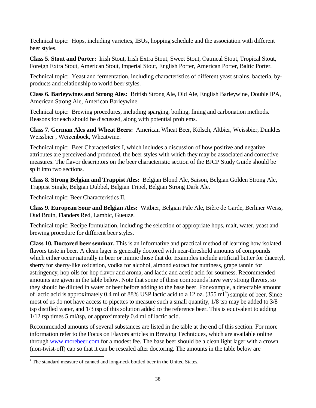Technical topic: Hops, including varieties, IBUs, hopping schedule and the association with different beer styles.

**Class 5. Stout and Porter:** Irish Stout, Irish Extra Stout, Sweet Stout, Oatmeal Stout, Tropical Stout, Foreign Extra Stout, American Stout, Imperial Stout, English Porter, American Porter, Baltic Porter.

Technical topic: Yeast and fermentation, including characteristics of different yeast strains, bacteria, byproducts and relationship to world beer styles.

**Class 6. Barleywines and Strong Ales:** British Strong Ale, Old Ale, English Barleywine, Double IPA, American Strong Ale, American Barleywine.

Technical topic: Brewing procedures, including sparging, boiling, fining and carbonation methods. Reasons for each should be discussed, along with potential problems.

**Class 7. German Ales and Wheat Beers:** American Wheat Beer, Kölsch, Altbier, Weissbier, Dunkles Weissbier , Weizenbock, Wheatwine.

Technical topic: Beer Characteristics I, which includes a discussion of how positive and negative attributes are perceived and produced, the beer styles with which they may be associated and corrective measures. The flavor descriptors on the beer characteristic section of the BJCP Study Guide should be split into two sections.

**Class 8. Strong Belgian and Trappist Ales:** Belgian Blond Ale, Saison, Belgian Golden Strong Ale, Trappist Single, Belgian Dubbel, Belgian Tripel, Belgian Strong Dark Ale.

Technical topic: Beer Characteristics II.

**Class 9. European Sour and Belgian Ales:** Witbier, Belgian Pale Ale, Bière de Garde, Berliner Weiss, Oud Bruin, Flanders Red, Lambic, Gueuze.

Technical topic: Recipe formulation, including the selection of appropriate hops, malt, water, yeast and brewing procedure for different beer styles.

**Class 10. Doctored beer seminar.** This is an informative and practical method of learning how isolated flavors taste in beer. A clean lager is generally doctored with near-threshold amounts of compounds which either occur naturally in beer or mimic those that do. Examples include artificial butter for diacetyl, sherry for sherry-like oxidation, vodka for alcohol, almond extract for nuttiness, grape tannin for astringency, hop oils for hop flavor and aroma, and lactic and acetic acid for sourness. Recommended amounts are given in the table below. Note that some of these compounds have very strong flavors, so they should be diluted in water or beer before adding to the base beer. For example, a detectable amount of lactic acid is approximately 0.[4](#page-41-0) ml of 88% USP lactic acid to a 12 oz.  $(355 \text{ ml}^4)$  sample of beer. Since most of us do not have access to pipettes to measure such a small quantity, 1/8 tsp may be added to 3/8 tsp distilled water, and 1/3 tsp of this solution added to the reference beer. This is equivalent to adding 1/12 tsp times 5 ml/tsp, or approximately 0.4 ml of lactic acid.

Recommended amounts of several substances are listed in the table at the end of this section. For more information refer to the Focus on Flavors articles in Brewing Techniques, which are available online through [www.morebeer.com](http://www.morebeer.com/) for a modest fee. The base beer should be a clean light lager with a crown (non-twist-off) cap so that it can be resealed after doctoring. The amounts in the table below are

<span id="page-41-0"></span><sup>&</sup>lt;sup>4</sup> The standard measure of canned and long-neck bottled beer in the United States. l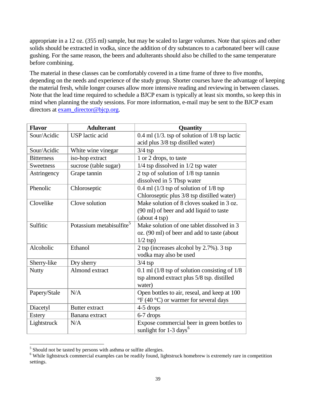appropriate in a 12 oz. (355 ml) sample, but may be scaled to larger volumes. Note that spices and other solids should be extracted in vodka, since the addition of dry substances to a carbonated beer will cause gushing. For the same reason, the beers and adulterants should also be chilled to the same temperature before combining.

The material in these classes can be comfortably covered in a time frame of three to five months, depending on the needs and experience of the study group. Shorter courses have the advantage of keeping the material fresh, while longer courses allow more intensive reading and reviewing in between classes. Note that the lead time required to schedule a BJCP exam is typically at least six months, so keep this in mind when planning the study sessions. For more information, e-mail may be sent to the BJCP exam directors at [exam\\_director@bjcp.org.](mailto:exam_director@bjcp.org)

| <b>Flavor</b>     | <b>Adulterant</b>                    | Quantity                                                           |
|-------------------|--------------------------------------|--------------------------------------------------------------------|
| Sour/Acidic       | <b>USP</b> lactic acid               | 0.4 ml $(1/3. \text{ tsp of solution of } 1/8 \text{ tsp}$ lactic  |
|                   |                                      | acid plus 3/8 tsp distilled water)                                 |
| Sour/Acidic       | White wine vinegar                   | $3/4$ tsp                                                          |
| <b>Bitterness</b> | iso-hop extract                      | 1 or 2 drops, to taste                                             |
| Sweetness         | sucrose (table sugar)                | $1/4$ tsp dissolved in $1/2$ tsp water                             |
| Astringency       | Grape tannin                         | 2 tsp of solution of $1/8$ tsp tannin                              |
|                   |                                      | dissolved in 5 Tbsp water                                          |
| Phenolic          | Chloroseptic                         | $0.4$ ml (1/3 tsp of solution of 1/8 tsp)                          |
|                   |                                      | Chloroseptic plus 3/8 tsp distilled water)                         |
| Clovelike         | Clove solution                       | Make solution of 8 cloves soaked in 3 oz.                          |
|                   |                                      | (90 ml) of beer and add liquid to taste                            |
|                   |                                      | (about 4 tsp)                                                      |
| Sulfitic          | Potassium metabisulfite <sup>5</sup> | Make solution of one tablet dissolved in 3                         |
|                   |                                      | oz. (90 ml) of beer and add to taste (about                        |
|                   |                                      | $1/2$ tsp)                                                         |
| Alcoholic         | Ethanol                              | 2 tsp (increases alcohol by 2.7%). 3 tsp                           |
|                   |                                      | vodka may also be used                                             |
| Sherry-like       | Dry sherry                           | $3/4$ tsp                                                          |
| <b>Nutty</b>      | Almond extract                       | 0.1 ml $(1/8 \text{ tsp of solution consisting of } 1/8)$          |
|                   |                                      | tsp almond extract plus 5/8 tsp. distilled                         |
|                   |                                      | water)                                                             |
| Papery/Stale      | N/A                                  | Open bottles to air, reseal, and keep at 100                       |
|                   |                                      | $\rm{^{\circ}F}$ (40 $\rm{^{\circ}C}$ ) or warmer for several days |
| Diacetyl          | <b>Butter</b> extract                | 4-5 drops                                                          |
| <b>Estery</b>     | Banana extract                       | 6-7 drops                                                          |
| Lightstruck       | N/A                                  | Expose commercial beer in green bottles to                         |
|                   |                                      | sunlight for $1-3$ days <sup>6</sup>                               |

 $<sup>5</sup>$  Should not be tasted by persons with asthma or sulfite allergies.</sup> -

<span id="page-42-1"></span><span id="page-42-0"></span><sup>&</sup>lt;sup>6</sup> While lightstruck commercial examples can be readily found, lightstruck homebrew is extremely rare in competition settings.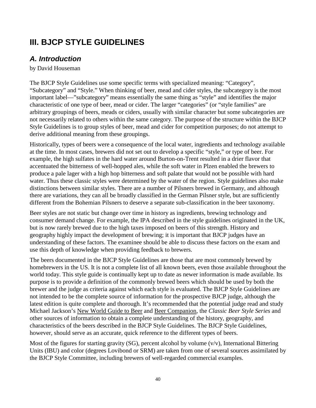# **III. BJCP STYLE GUIDELINES**

# *A. Introduction*

by David Houseman

The BJCP Style Guidelines use some specific terms with specialized meaning: "Category", "Subcategory" and "Style." When thinking of beer, mead and cider styles, the subcategory is the most important label—"subcategory" means essentially the same thing as "style" and identifies the major characteristic of one type of beer, mead or cider. The larger "categories" (or "style families" are arbitrary groupings of beers, meads or ciders, usually with similar character but some subcategories are not necessarily related to others within the same category. The purpose of the structure within the BJCP Style Guidelines is to group styles of beer, mead and cider for competition purposes; do not attempt to derive additional meaning from these groupings.

Historically, types of beers were a consequence of the local water, ingredients and technology available at the time. In most cases, brewers did not set out to develop a specific "style," or type of beer. For example, the high sulfates in the hard water around Burton-on-Trent resulted in a drier flavor that accentuated the bitterness of well-hopped ales, while the soft water in Plzen enabled the brewers to produce a pale lager with a high hop bitterness and soft palate that would not be possible with hard water. Thus these classic styles were determined by the water of the region. Style guidelines also make distinctions between similar styles. There are a number of Pilsners brewed in Germany, and although there are variations, they can all be broadly classified in the German Pilsner style, but are sufficiently different from the Bohemian Pilsners to deserve a separate sub-classification in the beer taxonomy.

Beer styles are not static but change over time in history as ingredients, brewing technology and consumer demand change. For example, the IPA described in the style guidelines originated in the UK, but is now rarely brewed due to the high taxes imposed on beers of this strength. History and geography highly impact the development of brewing; it is important that BJCP judges have an understanding of these factors. The examinee should be able to discuss these factors on the exam and use this depth of knowledge when providing feedback to brewers.

The beers documented in the BJCP Style Guidelines are those that are most commonly brewed by homebrewers in the US. It is not a complete list of all known beers, even those available throughout the world today. This style guide is continually kept up to date as newer information is made available. Its purpose is to provide a definition of the commonly brewed beers which should be used by both the brewer and the judge as criteria against which each style is evaluated. The BJCP Style Guidelines are not intended to be the complete source of information for the prospective BJCP judge, although the latest edition is quite complete and thorough. It's recommended that the potential judge read and study Michael Jackson's New World Guide to Beer and Beer Companion, the *Classic Beer Style Series* and other sources of information to obtain a complete understanding of the history, geography, and characteristics of the beers described in the BJCP Style Guidelines. The BJCP Style Guidelines, however, should serve as an accurate, quick reference to the different types of beers.

Most of the figures for starting gravity (SG), percent alcohol by volume  $(v/v)$ , International Bittering Units (IBU) and color (degrees Lovibond or SRM) are taken from one of several sources assimilated by the BJCP Style Committee, including brewers of well-regarded commercial examples.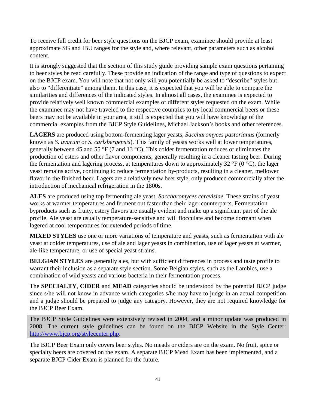To receive full credit for beer style questions on the BJCP exam, examinee should provide at least approximate SG and IBU ranges for the style and, where relevant, other parameters such as alcohol content.

It is strongly suggested that the section of this study guide providing sample exam questions pertaining to beer styles be read carefully. These provide an indication of the range and type of questions to expect on the BJCP exam. You will note that not only will you potentially be asked to "describe" styles but also to "differentiate" among them. In this case, it is expected that you will be able to compare the similarities and differences of the indicated styles. In almost all cases, the examinee is expected to provide relatively well known commercial examples of different styles requested on the exam. While the examinee may not have traveled to the respective countries to try local commercial beers or these beers may not be available in your area, it still is expected that you will have knowledge of the commercial examples from the BJCP Style Guidelines, Michael Jackson's books and other references.

**LAGERS** are produced using bottom-fermenting lager yeasts, *Saccharomyces pastorianus* (formerly known as *S. uvarum* or *S. carlsbergensis*). This family of yeasts works well at lower temperatures, generally between 45 and 55 °F (7 and 13 °C). This colder fermentation reduces or eliminates the production of esters and other flavor components, generally resulting in a cleaner tasting beer. During the fermentation and lagering process, at temperatures down to approximately 32  $\degree$ F (0  $\degree$ C), the lager yeast remains active, continuing to reduce fermentation by-products, resulting in a cleaner, mellower flavor in the finished beer. Lagers are a relatively new beer style, only produced commercially after the introduction of mechanical refrigeration in the 1800s.

**ALES** are produced using top fermenting ale yeast, *Saccharomyces cerevisiae*. These strains of yeast works at warmer temperatures and ferment out faster than their lager counterparts. Fermentation byproducts such as fruity, estery flavors are usually evident and make up a significant part of the ale profile. Ale yeast are usually temperature-sensitive and will flocculate and become dormant when lagered at cool temperatures for extended periods of time.

**MIXED STYLES** use one or more variations of temperature and yeasts, such as fermentation with ale yeast at colder temperatures, use of ale and lager yeasts in combination, use of lager yeasts at warmer, ale-like temperature, or use of special yeast strains.

**BELGIAN STYLES** are generally ales, but with sufficient differences in process and taste profile to warrant their inclusion as a separate style section. Some Belgian styles, such as the Lambics, use a combination of wild yeasts and various bacteria in their fermentation process.

The **SPECIALTY**, **CIDER** and **MEAD** categories should be understood by the potential BJCP judge since s/he will not know in advance which categories s/he may have to judge in an actual competition and a judge should be prepared to judge any category. However, they are not required knowledge for the BJCP Beer Exam.

The BJCP Style Guidelines were extensively revised in 2004, and a minor update was produced in 2008. The current style guidelines can be found on the BJCP Website in the Style Center: [http://www.bjcp.org/stylecenter.php.](http://www.bjcp.org/stylecenter.php)

The BJCP Beer Exam only covers beer styles. No meads or ciders are on the exam. No fruit, spice or specialty beers are covered on the exam. A separate BJCP Mead Exam has been implemented, and a separate BJCP Cider Exam is planned for the future.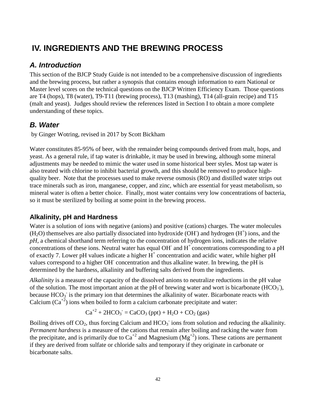# **IV. INGREDIENTS AND THE BREWING PROCESS**

# *A. Introduction*

This section of the BJCP Study Guide is not intended to be a comprehensive discussion of ingredients and the brewing process, but rather a synopsis that contains enough information to earn National or Master level scores on the technical questions on the BJCP Written Efficiency Exam. Those questions are T4 (hops), T8 (water), T9-T11 (brewing process), T13 (mashing), T14 (all-grain recipe) and T15 (malt and yeast). Judges should review the references listed in Section I to obtain a more complete understanding of these topics.

# *B. Water*

by Ginger Wotring, revised in 2017 by Scott Bickham

Water constitutes 85-95% of beer, with the remainder being compounds derived from malt, hops, and yeast. As a general rule, if tap water is drinkable, it may be used in brewing, although some mineral adjustments may be needed to mimic the water used in some historical beer styles. Most tap water is also treated with chlorine to inhibit bacterial growth, and this should be removed to produce highquality beer. Note that the processes used to make reverse osmosis (RO) and distilled water strips out trace minerals such as iron, manganese, copper, and zinc, which are essential for yeast metabolism, so mineral water is often a better choice. Finally, most water contains very low concentrations of bacteria, so it must be sterilized by boiling at some point in the brewing process.

#### **Alkalinity, pH and Hardness**

Water is a solution of ions with negative (anions) and positive (cations) charges. The water molecules  $(H<sub>2</sub>O)$  themselves are also partially dissociated into hydroxide (OH) and hydrogen  $(H<sup>+</sup>)$  ions, and the *pH*, a chemical shorthand term referring to the concentration of hydrogen ions, indicates the relative concentrations of these ions. Neutral water has equal OH $^{\circ}$  and H $^{\circ}$  concentrations corresponding to a pH of exactly 7. Lower pH values indicate a higher  $H^+$  concentration and acidic water, while higher pH values correspond to a higher OH- concentration and thus alkaline water. In brewing, the pH is determined by the hardness, alkalinity and buffering salts derived from the ingredients.

*Alkalinity* is a measure of the capacity of the dissolved anions to neutralize reductions in the pH value of the solution. The most important anion at the pH of brewing water and wort is bicarbonate  $(HCO<sub>3</sub>)$ , because  $HCO<sub>3</sub>$  is the primary ion that determines the alkalinity of water. Bicarbonate reacts with Calcium  $(Ca^{2})$  ions when boiled to form a calcium carbonate precipitate and water:

$$
Ca^{+2} + 2HCO_3 = CaCO_3 (ppt) + H_2O + CO_2 (gas)
$$

Boiling drives off  $CO_2$ , thus forcing Calcium and  $HCO_3^-$  ions from solution and reducing the alkalinity. *Permanent hardness* is a measure of the cations that remain after boiling and racking the water from the precipitate, and is primarily due to  $Ca^{2}$  and Magnesium ( $Mg^{2}$ ) ions. These cations are permanent if they are derived from sulfate or chloride salts and temporary if they originate in carbonate or bicarbonate salts.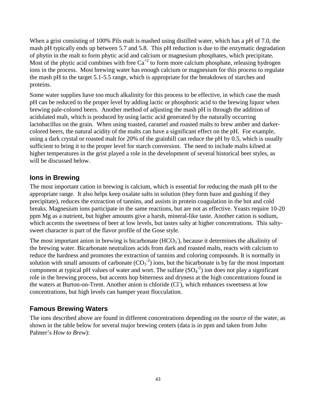When a grist consisting of 100% Pils malt is mashed using distilled water, which has a pH of 7.0, the mash pH typically ends up between 5.7 and 5.8. This pH reduction is due to the enzymatic degradation of phytin in the malt to form phytic acid and calcium or magnesium phosphates, which precipitate. Most of the phytic acid combines with free  $Ca^{2}$  to form more calcium phosphate, releasing hydrogen ions in the process. Most brewing water has enough calcium or magnesium for this process to regulate the mash pH to the target 5.1-5.5 range, which is appropriate for the breakdown of starches and proteins.

Some water supplies have too much alkalinity for this process to be effective, in which case the mash pH can be reduced to the proper level by adding lactic or phosphoric acid to the brewing liquor when brewing pale-colored beers. Another method of adjusting the mash pH is through the addition of acidulated malt, which is produced by using lactic acid generated by the naturally occurring lactobacillus on the grain. When using toasted, caramel and roasted malts to brew amber and darkercolored beers, the natural acidity of the malts can have a significant effect on the pH. For example, using a dark crystal or roasted malt for 20% of the grainbill can reduce the pH by 0.5, which is usually sufficient to bring it to the proper level for starch conversion. The need to include malts kilned at higher temperatures in the grist played a role in the development of several historical beer styles, as will be discussed below.

#### **Ions in Brewing**

The most important cation in brewing is calcium, which is essential for reducing the mash pH to the appropriate range. It also helps keep oxalate salts in solution (they form haze and gushing if they precipitate), reduces the extraction of tannins, and assists in protein coagulation in the hot and cold breaks. Magnesium ions participate in the same reactions, but are not as effective. Yeasts require 10-20 ppm Mg as a nutrient, but higher amounts give a harsh, mineral-like taste. Another cation is sodium, which accents the sweetness of beer at low levels, but tastes salty at higher concentrations. This saltysweet character is part of the flavor profile of the Gose style.

The most important anion in brewing is bicarbonate  $(HCO<sub>3</sub>)$ , because it determines the alkalinity of the brewing water. Bicarbonate neutralizes acids from dark and roasted malts, reacts with calcium to reduce the hardness and promotes the extraction of tannins and coloring compounds. It is normally in solution with small amounts of carbonate  $(CO_3^2)$  ions, but the bicarbonate is by far the most important component at typical pH values of water and wort. The sulfate  $(SO<sub>4</sub><sup>-2</sup>)$  ion does not play a significant role in the brewing process, but accents hop bitterness and dryness at the high concentrations found in the waters at Burton-on-Trent. Another anion is chloride (Cl<sup>-</sup>), which enhances sweetness at low concentrations, but high levels can hamper yeast flocculation.

#### **Famous Brewing Waters**

The ions described above are found in different concentrations depending on the source of the water, as shown in the table below for several major brewing centers (data is in ppm and taken from John Palmer's *How to Brew*):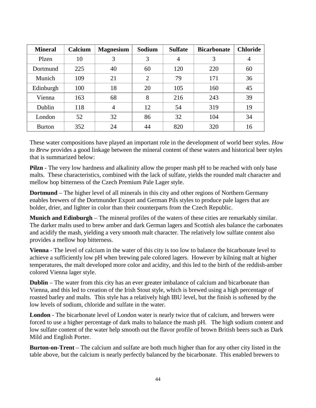| <b>Mineral</b> | Calcium | <b>Magnesium</b> | Sodium | <b>Sulfate</b> | <b>Bicarbonate</b> | <b>Chloride</b> |
|----------------|---------|------------------|--------|----------------|--------------------|-----------------|
| Plzen          | 10      | 3                | 3      | 4              | 3                  | 4               |
| Dortmund       | 225     | 40               | 60     | 120            | 220                | 60              |
| Munich         | 109     | 21               | 2      | 79             | 171                | 36              |
| Edinburgh      | 100     | 18               | 20     | 105            | 160                | 45              |
| Vienna         | 163     | 68               | 8      | 216            | 243                | 39              |
| Dublin         | 118     | 4                | 12     | 54             | 319                | 19              |
| London         | 52      | 32               | 86     | 32             | 104                | 34              |
| <b>Burton</b>  | 352     | 24               | 44     | 820            | 320                | 16              |

These water compositions have played an important role in the development of world beer styles. *How to Brew* provides a good linkage between the mineral content of these waters and historical beer styles that is summarized below:

**Pilzn** - The very low hardness and alkalinity allow the proper mash pH to be reached with only base malts. These characteristics, combined with the lack of sulfate, yields the rounded malt character and mellow hop bitterness of the Czech Premium Pale Lager style.

**Dortmund** – The higher level of all minerals in this city and other regions of Northern Germany enables brewers of the Dortmunder Export and German Pils styles to produce pale lagers that are bolder, drier, and lighter in color than their counterparts from the Czech Republic.

**Munich and Edinburgh** – The mineral profiles of the waters of these cities are remarkably similar. The darker malts used to brew amber and dark German lagers and Scottish ales balance the carbonates and acidify the mash, yielding a very smooth malt character. The relatively low sulfate content also provides a mellow hop bitterness.

**Vienna** - The level of calcium in the water of this city is too low to balance the bicarbonate level to achieve a sufficiently low pH when brewing pale colored lagers. However by kilning malt at higher temperatures, the malt developed more color and acidity, and this led to the birth of the reddish-amber colored Vienna lager style.

**Dublin** – The water from this city has an ever greater imbalance of calcium and bicarbonate than Vienna, and this led to creation of the Irish Stout style, which is brewed using a high percentage of roasted barley and malts. This style has a relatively high IBU level, but the finish is softened by the low levels of sodium, chloride and sulfate in the water.

**London** - The bicarbonate level of London water is nearly twice that of calcium, and brewers were forced to use a higher percentage of dark malts to balance the mash pH. The high sodium content and low sulfate content of the water help smooth out the flavor profile of brown British beers such as Dark Mild and English Porter.

**Burton-on-Trent** – The calcium and sulfate are both much higher than for any other city listed in the table above, but the calcium is nearly perfectly balanced by the bicarbonate. This enabled brewers to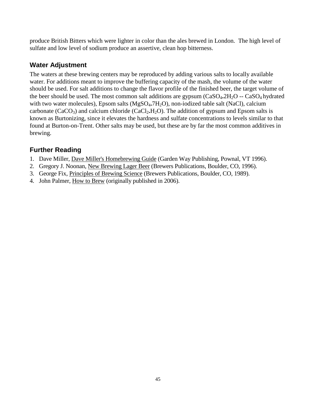produce British Bitters which were lighter in color than the ales brewed in London. The high level of sulfate and low level of sodium produce an assertive, clean hop bitterness.

#### **Water Adjustment**

The waters at these brewing centers may be reproduced by adding various salts to locally available water. For additions meant to improve the buffering capacity of the mash, the volume of the water should be used. For salt additions to change the flavor profile of the finished beer, the target volume of the beer should be used. The most common salt additions are gypsum (CaSO<sub>4</sub>,2H<sub>2</sub>O -- CaSO<sub>4</sub> hydrated with two water molecules), Epsom salts (MgSO<sub>4</sub>**.**7H<sub>2</sub>O), non-iodized table salt (NaCl), calcium carbonate (CaCO<sub>3</sub>) and calcium chloride (CaCl<sub>2</sub>**.H**<sub>2</sub>O). The addition of gypsum and Epsom salts is known as Burtonizing, since it elevates the hardness and sulfate concentrations to levels similar to that found at Burton-on-Trent. Other salts may be used, but these are by far the most common additives in brewing.

## **Further Reading**

- 1. Dave Miller, Dave Miller's Homebrewing Guide (Garden Way Publishing, Pownal, VT 1996).
- 2. Gregory J. Noonan, New Brewing Lager Beer (Brewers Publications, Boulder, CO, 1996).
- 3. George Fix, Principles of Brewing Science (Brewers Publications, Boulder, CO, 1989).
- 4. John Palmer, How to Brew (originally published in 2006).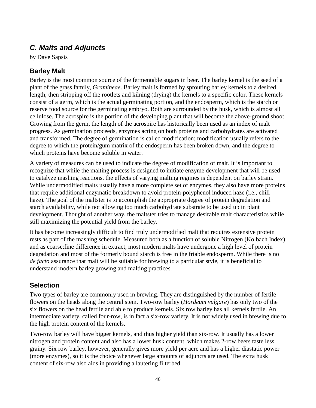## *C. Malts and Adjuncts*

by Dave Sapsis

## **Barley Malt**

Barley is the most common source of the fermentable sugars in beer. The barley kernel is the seed of a plant of the grass family, *Gramineae*. Barley malt is formed by sprouting barley kernels to a desired length, then stripping off the rootlets and kilning (drying) the kernels to a specific color. These kernels consist of a germ, which is the actual germinating portion, and the endosperm, which is the starch or reserve food source for the germinating embryo. Both are surrounded by the husk, which is almost all cellulose. The acrospire is the portion of the developing plant that will become the above-ground shoot. Growing from the germ, the length of the acrospire has historically been used as an index of malt progress. As germination proceeds, enzymes acting on both proteins and carbohydrates are activated and transformed. The degree of germination is called modification; modification usually refers to the degree to which the protein/gum matrix of the endosperm has been broken down, and the degree to which proteins have become soluble in water.

A variety of measures can be used to indicate the degree of modification of malt. It is important to recognize that while the malting process is designed to initiate enzyme development that will be used to catalyze mashing reactions, the effects of varying malting regimes is dependent on barley strain. While undermodified malts usually have a more complete set of enzymes, they also have more proteins that require additional enzymatic breakdown to avoid protein-polyphenol induced haze (i.e., chill haze). The goal of the maltster is to accomplish the appropriate degree of protein degradation and starch availability, while not allowing too much carbohydrate substrate to be used up in plant development. Thought of another way, the maltster tries to manage desirable malt characteristics while still maximizing the potential yield from the barley.

It has become increasingly difficult to find truly undermodified malt that requires extensive protein rests as part of the mashing schedule. Measured both as a function of soluble Nitrogen (Kolbach Index) and as coarse:fine difference in extract, most modern malts have undergone a high level of protein degradation and most of the formerly bound starch is free in the friable endosperm. While there is no *de facto* assurance that malt will be suitable for brewing to a particular style, it is beneficial to understand modern barley growing and malting practices.

#### **Selection**

Two types of barley are commonly used in brewing. They are distinguished by the number of fertile flowers on the heads along the central stem. Two-row barley (*Hordeum vulgare*) has only two of the six flowers on the head fertile and able to produce kernels. Six row barley has all kernels fertile. An intermediate variety, called four-row, is in fact a six-row variety. It is not widely used in brewing due to the high protein content of the kernels.

Two-row barley will have bigger kernels, and thus higher yield than six-row. It usually has a lower nitrogen and protein content and also has a lower husk content, which makes 2-row beers taste less grainy. Six row barley, however, generally gives more yield per acre and has a higher diastatic power (more enzymes), so it is the choice whenever large amounts of adjuncts are used. The extra husk content of six-row also aids in providing a lautering filterbed.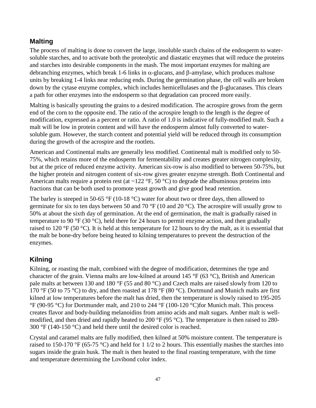## **Malting**

The process of malting is done to convert the large, insoluble starch chains of the endosperm to watersoluble starches, and to activate both the proteolytic and diastatic enzymes that will reduce the proteins and starches into desirable components in the mash. The most important enzymes for malting are debranching enzymes, which break 1-6 links in α-glucans, and β-amylase, which produces maltose units by breaking 1-4 links near reducing ends. During the germination phase, the cell walls are broken down by the cytase enzyme complex, which includes hemicellulases and the β-glucanases. This clears a path for other enzymes into the endosperm so that degradation can proceed more easily.

Malting is basically sprouting the grains to a desired modification. The acrospire grows from the germ end of the corn to the opposite end. The ratio of the acrospire length to the length is the degree of modification, expressed as a percent or ratio. A ratio of 1.0 is indicative of fully-modified malt. Such a malt will be low in protein content and will have the endosperm almost fully converted to watersoluble gum. However, the starch content and potential yield will be reduced through its consumption during the growth of the acrospire and the rootlets.

American and Continental malts are generally less modified. Continental malt is modified only to 50- 75%, which retains more of the endosperm for fermentability and creates greater nitrogen complexity, but at the price of reduced enzyme activity. American six-row is also modified to between 50-75%, but the higher protein and nitrogen content of six-row gives greater enzyme strength. Both Continental and American malts require a protein rest (at ~122  $\degree$ F, 50  $\degree$ C) to degrade the albuminous proteins into fractions that can be both used to promote yeast growth and give good head retention.

The barley is steeped in 50-65 °F (10-18 °C) water for about two or three days, then allowed to germinate for six to ten days between 50 and 70 °F (10 and 20 °C). The acrospire will usually grow to 50% at about the sixth day of germination. At the end of germination, the malt is gradually raised in temperature to 90 °F (30 °C), held there for 24 hours to permit enzyme action, and then gradually raised to 120 °F (50 °C). It is held at this temperature for 12 hours to dry the malt, as it is essential that the malt be bone-dry before being heated to kilning temperatures to prevent the destruction of the enzymes.

#### **Kilning**

Kilning, or roasting the malt, combined with the degree of modification, determines the type and character of the grain. Vienna malts are low-kilned at around 145 °F (63 °C), British and American pale malts at between 130 and 180 °F (55 and 80 °C) and Czech malts are raised slowly from 120 to 170 °F (50 to 75 °C) to dry, and then roasted at 178 °F (80 °C). Dortmund and Munich malts are first kilned at low temperatures before the malt has dried, then the temperature is slowly raised to 195-205 °F (90-95 °C) for Dortmunder malt, and 210 to 244 °F (100-120 °C) for Munich malt. This process creates flavor and body-building melanoidins from amino acids and malt sugars. Amber malt is wellmodified, and then dried and rapidly heated to 200 °F (95 °C). The temperature is then raised to 280- 300 °F (140-150 °C) and held there until the desired color is reached.

Crystal and caramel malts are fully modified, then kilned at 50% moisture content. The temperature is raised to 150-170 °F (65-75 °C) and held for 1 1/2 to 2 hours. This essentially mashes the starches into sugars inside the grain husk. The malt is then heated to the final roasting temperature, with the time and temperature determining the Lovibond color index.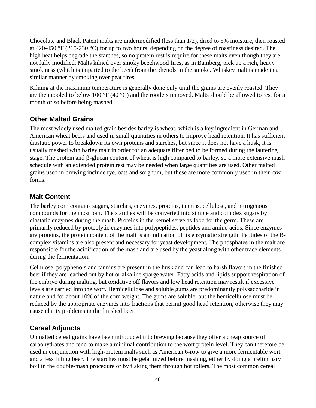Chocolate and Black Patent malts are undermodified (less than 1/2), dried to 5% moisture, then roasted at 420-450 °F (215-230 °C) for up to two hours, depending on the degree of roastiness desired. The high heat helps degrade the starches, so no protein rest is require for these malts even though they are not fully modified. Malts kilned over smoky beechwood fires, as in Bamberg, pick up a rich, heavy smokiness (which is imparted to the beer) from the phenols in the smoke. Whiskey malt is made in a similar manner by smoking over peat fires.

Kilning at the maximum temperature is generally done only until the grains are evenly roasted. They are then cooled to below 100 °F (40 °C) and the rootlets removed. Malts should be allowed to rest for a month or so before being mashed.

#### **Other Malted Grains**

The most widely used malted grain besides barley is wheat, which is a key ingredient in German and American wheat beers and used in small quantities in others to improve head retention. It has sufficient diastatic power to breakdown its own proteins and starches, but since it does not have a husk, it is usually mashed with barley malt in order for an adequate filter bed to be formed during the lautering stage. The protein and β-glucan content of wheat is high compared to barley, so a more extensive mash schedule with an extended protein rest may be needed when large quantities are used. Other malted grains used in brewing include rye, oats and sorghum, but these are more commonly used in their raw forms.

#### **Malt Content**

The barley corn contains sugars, starches, enzymes, proteins, tannins, cellulose, and nitrogenous compounds for the most part. The starches will be converted into simple and complex sugars by diastatic enzymes during the mash. Proteins in the kernel serve as food for the germ. These are primarily reduced by proteolytic enzymes into polypeptides, peptides and amino acids. Since enzymes are proteins, the protein content of the malt is an indication of its enzymatic strength. Peptides of the Bcomplex vitamins are also present and necessary for yeast development. The phosphates in the malt are responsible for the acidification of the mash and are used by the yeast along with other trace elements during the fermentation.

Cellulose, polyphenols and tannins are present in the husk and can lead to harsh flavors in the finished beer if they are leached out by hot or alkaline sparge water. Fatty acids and lipids support respiration of the embryo during malting, but oxidative off flavors and low head retention may result if excessive levels are carried into the wort. Hemicellulose and soluble gums are predominantly polysaccharide in nature and for about 10% of the corn weight. The gums are soluble, but the hemicellulose must be reduced by the appropriate enzymes into fractions that permit good head retention, otherwise they may cause clarity problems in the finished beer.

#### **Cereal Adjuncts**

Unmalted cereal grains have been introduced into brewing because they offer a cheap source of carbohydrates and tend to make a minimal contribution to the wort protein level. They can therefore be used in conjunction with high-protein malts such as American 6-row to give a more fermentable wort and a less filling beer. The starches must be gelatinized before mashing, either by doing a preliminary boil in the double-mash procedure or by flaking them through hot rollers. The most common cereal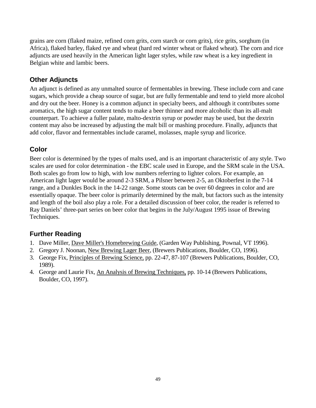grains are corn (flaked maize, refined corn grits, corn starch or corn grits), rice grits, sorghum (in Africa), flaked barley, flaked rye and wheat (hard red winter wheat or flaked wheat). The corn and rice adjuncts are used heavily in the American light lager styles, while raw wheat is a key ingredient in Belgian white and lambic beers.

#### **Other Adjuncts**

An adjunct is defined as any unmalted source of fermentables in brewing. These include corn and cane sugars, which provide a cheap source of sugar, but are fully fermentable and tend to yield more alcohol and dry out the beer. Honey is a common adjunct in specialty beers, and although it contributes some aromatics, the high sugar content tends to make a beer thinner and more alcoholic than its all-malt counterpart. To achieve a fuller palate, malto-dextrin syrup or powder may be used, but the dextrin content may also be increased by adjusting the malt bill or mashing procedure. Finally, adjuncts that add color, flavor and fermentables include caramel, molasses, maple syrup and licorice.

## **Color**

Beer color is determined by the types of malts used, and is an important characteristic of any style. Two scales are used for color determination - the EBC scale used in Europe, and the SRM scale in the USA. Both scales go from low to high, with low numbers referring to lighter colors. For example, an American light lager would be around 2-3 SRM, a Pilsner between 2-5, an Oktoberfest in the 7-14 range, and a Dunkles Bock in the 14-22 range. Some stouts can be over 60 degrees in color and are essentially opaque. The beer color is primarily determined by the malt, but factors such as the intensity and length of the boil also play a role. For a detailed discussion of beer color, the reader is referred to Ray Daniels' three-part series on beer color that begins in the July/August 1995 issue of Brewing Techniques.

#### **Further Reading**

- 1. Dave Miller, Dave Miller's Homebrewing Guide, (Garden Way Publishing, Pownal, VT 1996).
- 2. Gregory J. Noonan, New Brewing Lager Beer, (Brewers Publications, Boulder, CO, 1996).
- 3. George Fix, Principles of Brewing Science, pp. 22-47, 87-107 (Brewers Publications, Boulder, CO, 1989).
- 4. George and Laurie Fix, An Analysis of Brewing Techniques, pp. 10-14 (Brewers Publications, Boulder, CO, 1997).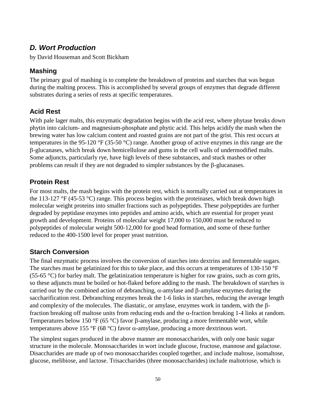## *D. Wort Production*

by David Houseman and Scott Bickham

## **Mashing**

The primary goal of mashing is to complete the breakdown of proteins and starches that was begun during the malting process. This is accomplished by several groups of enzymes that degrade different substrates during a series of rests at specific temperatures.

## **Acid Rest**

With pale lager malts, this enzymatic degradation begins with the acid rest, where phytase breaks down phytin into calcium- and magnesium-phosphate and phytic acid. This helps acidify the mash when the brewing water has low calcium content and roasted grains are not part of the grist. This rest occurs at temperatures in the 95-120 °F (35-50 °C) range. Another group of active enzymes in this range are the β-glucanases, which break down hemicellulose and gums in the cell walls of undermodified malts. Some adjuncts, particularly rye, have high levels of these substances, and stuck mashes or other problems can result if they are not degraded to simpler substances by the β-glucanases.

## **Protein Rest**

For most malts, the mash begins with the protein rest, which is normally carried out at temperatures in the 113-127  $\rm{P}F(45-53 \rm{°C})$  range. This process begins with the proteinases, which break down high molecular weight proteins into smaller fractions such as polypeptides. These polypeptides are further degraded by peptidase enzymes into peptides and amino acids, which are essential for proper yeast growth and development. Proteins of molecular weight 17,000 to 150,000 must be reduced to polypeptides of molecular weight 500-12,000 for good head formation, and some of these further reduced to the 400-1500 level for proper yeast nutrition.

## **Starch Conversion**

The final enzymatic process involves the conversion of starches into dextrins and fermentable sugars. The starches must be gelatinized for this to take place, and this occurs at temperatures of 130-150 °F (55-65  $\degree$ C) for barley malt. The gelatinization temperature is higher for raw grains, such as corn grits, so these adjuncts must be boiled or hot-flaked before adding to the mash. The breakdown of starches is carried out by the combined action of debranching,  $\alpha$ -amylase and β-amylase enzymes during the saccharification rest. Debranching enzymes break the 1-6 links in starches, reducing the average length and complexity of the molecules. The diastatic, or amylase, enzymes work in tandem, with the βfraction breaking off maltose units from reducing ends and the α-fraction breaking 1-4 links at random. Temperatures below 150 °F (65 °C) favor β-amylase, producing a more fermentable wort, while temperatures above 155 °F (68 °C) favor α-amylase, producing a more dextrinous wort.

The simplest sugars produced in the above manner are monosaccharides, with only one basic sugar structure in the molecule. Monosaccharides in wort include glucose, fructose, mannose and galactose. Disaccharides are made up of two monosaccharides coupled together, and include maltose, isomaltose, glucose, melibiose, and lactose. Trisaccharides (three monosaccharides) include maltotriose, which is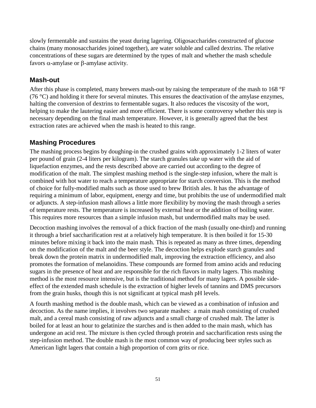slowly fermentable and sustains the yeast during lagering. Oligosaccharides constructed of glucose chains (many monosaccharides joined together), are water soluble and called dextrins. The relative concentrations of these sugars are determined by the types of malt and whether the mash schedule favors α-amylase or β-amylase activity.

#### **Mash-out**

After this phase is completed, many brewers mash-out by raising the temperature of the mash to 168 °F (76  $^{\circ}$ C) and holding it there for several minutes. This ensures the deactivation of the amylase enzymes, halting the conversion of dextrins to fermentable sugars. It also reduces the viscosity of the wort, helping to make the lautering easier and more efficient. There is some controversy whether this step is necessary depending on the final mash temperature. However, it is generally agreed that the best extraction rates are achieved when the mash is heated to this range.

## **Mashing Procedures**

The mashing process begins by doughing-in the crushed grains with approximately 1-2 liters of water per pound of grain (2-4 liters per kilogram). The starch granules take up water with the aid of liquefaction enzymes, and the rests described above are carried out according to the degree of modification of the malt. The simplest mashing method is the single-step infusion, where the malt is combined with hot water to reach a temperature appropriate for starch conversion. This is the method of choice for fully-modified malts such as those used to brew British ales. It has the advantage of requiring a minimum of labor, equipment, energy and time, but prohibits the use of undermodified malt or adjuncts. A step-infusion mash allows a little more flexibility by moving the mash through a series of temperature rests. The temperature is increased by external heat or the addition of boiling water. This requires more resources than a simple infusion mash, but undermodified malts may be used.

Decoction mashing involves the removal of a thick fraction of the mash (usually one-third) and running it through a brief saccharification rest at a relatively high temperature. It is then boiled it for 15-30 minutes before mixing it back into the main mash. This is repeated as many as three times, depending on the modification of the malt and the beer style. The decoction helps explode starch granules and break down the protein matrix in undermodified malt, improving the extraction efficiency, and also promotes the formation of melanoidins. These compounds are formed from amino acids and reducing sugars in the presence of heat and are responsible for the rich flavors in malty lagers. This mashing method is the most resource intensive, but is the traditional method for many lagers. A possible sideeffect of the extended mash schedule is the extraction of higher levels of tannins and DMS precursors from the grain husks, though this is not significant at typical mash pH levels.

A fourth mashing method is the double mash, which can be viewed as a combination of infusion and decoction. As the name implies, it involves two separate mashes: a main mash consisting of crushed malt, and a cereal mash consisting of raw adjuncts and a small charge of crushed malt. The latter is boiled for at least an hour to gelatinize the starches and is then added to the main mash, which has undergone an acid rest. The mixture is then cycled through protein and saccharification rests using the step-infusion method. The double mash is the most common way of producing beer styles such as American light lagers that contain a high proportion of corn grits or rice.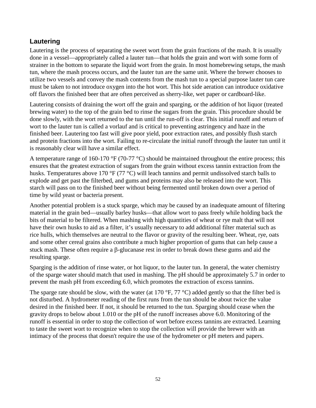### **Lautering**

Lautering is the process of separating the sweet wort from the grain fractions of the mash. It is usually done in a vessel—appropriately called a lauter tun—that holds the grain and wort with some form of strainer in the bottom to separate the liquid wort from the grain. In most homebrewing setups, the mash tun, where the mash process occurs, and the lauter tun are the same unit. Where the brewer chooses to utilize two vessels and convey the mash contents from the mash tun to a special purpose lauter tun care must be taken to not introduce oxygen into the hot wort. This hot side aeration can introduce oxidative off flavors the finished beer that are often perceived as sherry-like, wet paper or cardboard-like.

Lautering consists of draining the wort off the grain and sparging, or the addition of hot liquor (treated brewing water) to the top of the grain bed to rinse the sugars from the grain. This procedure should be done slowly, with the wort returned to the tun until the run-off is clear. This initial runoff and return of wort to the lauter tun is called a vorlauf and is critical to preventing astringency and haze in the finished beer. Lautering too fast will give poor yield, poor extraction rates, and possibly flush starch and protein fractions into the wort. Failing to re-circulate the initial runoff through the lauter tun until it is reasonably clear will have a similar effect.

A temperature range of 160-170 °F (70-77 °C) should be maintained throughout the entire process; this ensures that the greatest extraction of sugars from the grain without excess tannin extraction from the husks. Temperatures above 170 °F (77 °C) will leach tannins and permit undissolved starch balls to explode and get past the filterbed, and gums and proteins may also be released into the wort. This starch will pass on to the finished beer without being fermented until broken down over a period of time by wild yeast or bacteria present.

Another potential problem is a stuck sparge, which may be caused by an inadequate amount of filtering material in the grain bed—usually barley husks—that allow wort to pass freely while holding back the bits of material to be filtered. When mashing with high quantities of wheat or rye malt that will not have their own husks to aid as a filter, it's usually necessary to add additional filter material such as rice hulls, which themselves are neutral to the flavor or gravity of the resulting beer. Wheat, rye, oats and some other cereal grains also contribute a much higher proportion of gums that can help cause a stuck mash. These often require a β-glucanase rest in order to break down these gums and aid the resulting sparge.

Sparging is the addition of rinse water, or hot liquor, to the lauter tun. In general, the water chemistry of the sparge water should match that used in mashing. The pH should be approximately 5.7 in order to prevent the mash pH from exceeding 6.0, which promotes the extraction of excess tannins.

The sparge rate should be slow, with the water (at 170  $\degree$ F, 77  $\degree$ C) added gently so that the filter bed is not disturbed. A hydrometer reading of the first runs from the tun should be about twice the value desired in the finished beer. If not, it should be returned to the tun. Sparging should cease when the gravity drops to below about 1.010 or the pH of the runoff increases above 6.0. Monitoring of the runoff is essential in order to stop the collection of wort before excess tannins are extracted. Learning to taste the sweet wort to recognize when to stop the collection will provide the brewer with an intimacy of the process that doesn't require the use of the hydrometer or pH meters and papers.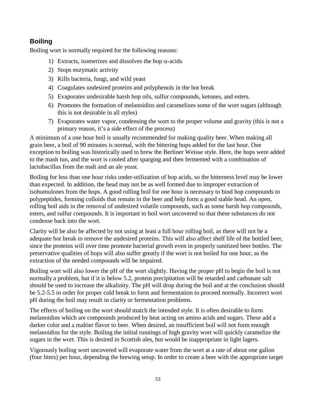#### **Boiling**

Boiling wort is normally required for the following reasons:

- 1) Extracts, isomerizes and dissolves the hop  $\alpha$ -acids
- 2) Stops enzymatic activity
- 3) Kills bacteria, fungi, and wild yeast
- 4) Coagulates undesired proteins and polyphenols in the hot break
- 5) Evaporates undesirable harsh hop oils, sulfur compounds, ketones, and esters.
- 6) Promotes the formation of melanoidins and caramelizes some of the wort sugars (although this is not desirable in all styles)
- 7) Evaporates water vapor, condensing the wort to the proper volume and gravity (this is not a primary reason, it's a side effect of the process)

A minimum of a one hour boil is usually recommended for making quality beer. When making all grain beer, a boil of 90 minutes is normal, with the bittering hops added for the last hour. One exception to boiling was historically used to brew the Berliner Weisse style. Here, the hops were added to the mash tun, and the wort is cooled after sparging and then fermented with a combination of lactobacillus from the malt and an ale yeast.

Boiling for less than one hour risks under-utilization of hop acids, so the bitterness level may be lower than expected. In addition, the head may not be as well formed due to improper extraction of isohumulones from the hops. A good rolling boil for one hour is necessary to bind hop compounds to polypeptides, forming colloids that remain in the beer and help form a good stable head. An open, rolling boil aids in the removal of undesired volatile compounds, such as some harsh hop compounds, esters, and sulfur compounds. It is important to boil wort uncovered so that these substances do not condense back into the wort.

Clarity will be also be affected by not using at least a full hour rolling boil, as there will not be a adequate hot break to remove the undesired proteins. This will also affect shelf life of the bottled beer, since the proteins will over time promote bacterial growth even in properly sanitized beer bottles. The preservative qualities of hops will also suffer greatly if the wort is not boiled for one hour, as the extraction of the needed compounds will be impaired.

Boiling wort will also lower the pH of the wort slightly. Having the proper pH to begin the boil is not normally a problem, but if it is below 5.2, protein precipitation will be retarded and carbonate salt should be used to increase the alkalinity. The pH will drop during the boil and at the conclusion should be 5.2-5.5 in order for proper cold break to form and fermentation to proceed normally. Incorrect wort pH during the boil may result in clarity or fermentation problems.

The effects of boiling on the wort should match the intended style. It is often desirable to form melanoidins which are compounds produced by heat acting on amino acids and sugars. These add a darker color and a maltier flavor to beer. When desired, an insufficient boil will not form enough melanoidins for the style. Boiling the initial runnings of high gravity wort will quickly caramelize the sugars in the wort. This is desired in Scottish ales, but would be inappropriate in light lagers.

Vigorously boiling wort uncovered will evaporate water from the wort at a rate of about one gallon (four liters) per hour, depending the brewing setup. In order to create a beer with the appropriate target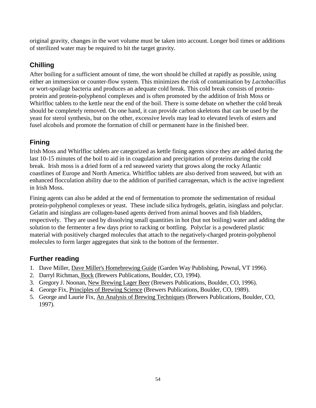original gravity, changes in the wort volume must be taken into account. Longer boil times or additions of sterilized water may be required to hit the target gravity.

# **Chilling**

After boiling for a sufficient amount of time, the wort should be chilled at rapidly as possible, using either an immersion or counter-flow system. This minimizes the risk of contamination by *Lactobacillus* or wort-spoilage bacteria and produces an adequate cold break. This cold break consists of proteinprotein and protein-polyphenol complexes and is often promoted by the addition of Irish Moss or Whirlfloc tablets to the kettle near the end of the boil. There is some debate on whether the cold break should be completely removed. On one hand, it can provide carbon skeletons that can be used by the yeast for sterol synthesis, but on the other, excessive levels may lead to elevated levels of esters and fusel alcohols and promote the formation of chill or permanent haze in the finished beer.

# **Fining**

Irish Moss and Whirlfloc tablets are categorized as kettle fining agents since they are added during the last 10-15 minutes of the boil to aid in in coagulation and precipitation of proteins during the cold break. Irish moss is a dried form of a red seaweed variety that grows along the rocky Atlantic coastlines of Europe and North America. Whirlfloc tablets are also derived from seaweed, but with an enhanced flocculation ability due to the addition of purified carrageenan, which is the active ingredient in Irish Moss.

Fining agents can also be added at the end of fermentation to promote the sedimentation of residual protein-polyphenol complexes or yeast. These include silica hydrogels, gelatin, isinglass and polyclar. Gelatin and isinglass are collagen-based agents derived from animal hooves and fish bladders, respectively. They are used by dissolving small quantities in hot (but not boiling) water and adding the solution to the fermenter a few days prior to racking or bottling. Polyclar is a powdered plastic material with positively charged molecules that attach to the negatively-charged protein-polyphenol molecules to form larger aggregates that sink to the bottom of the fermenter.

# **Further reading**

- 1. Dave Miller, Dave Miller's Homebrewing Guide (Garden Way Publishing, Pownal, VT 1996).
- 2. Darryl Richman, Bock (Brewers Publications, Boulder, CO, 1994).
- 3. Gregory J. Noonan, New Brewing Lager Beer (Brewers Publications, Boulder, CO, 1996).
- 4. George Fix, Principles of Brewing Science (Brewers Publications, Boulder, CO, 1989).
- 5. George and Laurie Fix, An Analysis of Brewing Techniques (Brewers Publications, Boulder, CO, 1997).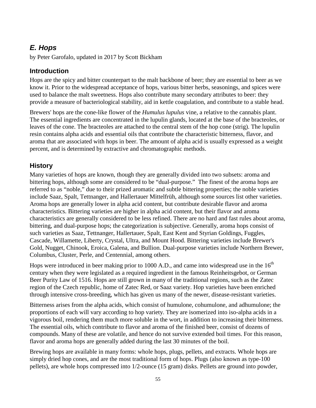# *E. Hops*

by Peter Garofalo, updated in 2017 by Scott Bickham

#### **Introduction**

Hops are the spicy and bitter counterpart to the malt backbone of beer; they are essential to beer as we know it. Prior to the widespread acceptance of hops, various bitter herbs, seasonings, and spices were used to balance the malt sweetness. Hops also contribute many secondary attributes to beer: they provide a measure of bacteriological stability, aid in kettle coagulation, and contribute to a stable head.

Brewers' hops are the cone-like flower of the *Humulus lupulus* vine, a relative to the cannabis plant. The essential ingredients are concentrated in the lupulin glands, located at the base of the bracteoles, or leaves of the cone. The bracteoles are attached to the central stem of the hop cone (strig). The lupulin resin contains alpha acids and essential oils that contribute the characteristic bitterness, flavor, and aroma that are associated with hops in beer. The amount of alpha acid is usually expressed as a weight percent, and is determined by extractive and chromatographic methods.

#### **History**

Many varieties of hops are known, though they are generally divided into two subsets: aroma and bittering hops, although some are considered to be "dual-purpose." The finest of the aroma hops are referred to as "noble," due to their prized aromatic and subtle bittering properties; the noble varieties include Saaz, Spalt, Tettnanger, and Hallertauer Mittelfrüh, although some sources list other varieties. Aroma hops are generally lower in alpha acid content, but contribute desirable flavor and aroma characteristics. Bittering varieties are higher in alpha acid content, but their flavor and aroma characteristics are generally considered to be less refined. There are no hard and fast rules about aroma, bittering, and dual-purpose hops; the categorization is subjective. Generally, aroma hops consist of such varieties as Saaz, Tettnanger, Hallertauer, Spalt, East Kent and Styrian Goldings, Fuggles, Cascade, Willamette, Liberty, Crystal, Ultra, and Mount Hood. Bittering varieties include Brewer's Gold, Nugget, Chinook, Eroica, Galena, and Bullion. Dual-purpose varieties include Northern Brewer, Columbus, Cluster, Perle, and Centennial, among others.

Hops were introduced in beer making prior to 1000 A.D., and came into widespread use in the  $16<sup>th</sup>$ century when they were legislated as a required ingredient in the famous Reinheitsgebot, or German Beer Purity Law of 1516. Hops are still grown in many of the traditional regions, such as the Zatec region of the Czech republic, home of Zatec Red, or Saaz variety. Hop varieties have been enriched through intensive cross-breeding, which has given us many of the newer, disease-resistant varieties.

Bitterness arises from the alpha acids, which consist of humulone, cohumulone, and adhumulone; the proportions of each will vary according to hop variety. They are isomerized into iso-alpha acids in a vigorous boil, rendering them much more soluble in the wort, in addition to increasing their bitterness. The essential oils, which contribute to flavor and aroma of the finished beer, consist of dozens of compounds. Many of these are volatile, and hence do not survive extended boil times. For this reason, flavor and aroma hops are generally added during the last 30 minutes of the boil.

Brewing hops are available in many forms: whole hops, plugs, pellets, and extracts. Whole hops are simply dried hop cones, and are the most traditional form of hops. Plugs (also known as type-100 pellets), are whole hops compressed into 1/2-ounce (15 gram) disks. Pellets are ground into powder,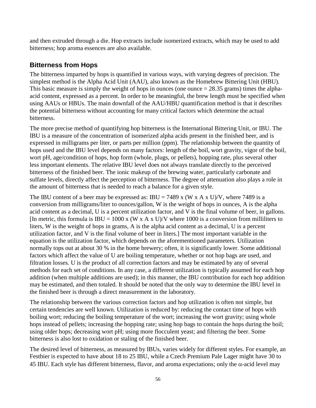and then extruded through a die. Hop extracts include isomerized extracts, which may be used to add bitterness; hop aroma essences are also available.

## **Bitterness from Hops**

The bitterness imparted by hops is quantified in various ways, with varying degrees of precision. The simplest method is the Alpha Acid Unit (AAU), also known as the Homebrew Bittering Unit (HBU). This basic measure is simply the weight of hops in ounces (one ounce  $= 28.35$  grams) times the alphaacid content, expressed as a percent. In order to be meaningful, the brew length must be specified when using AAUs or HBUs. The main downfall of the AAU/HBU quantification method is that it describes the potential bitterness without accounting for many critical factors which determine the actual bitterness.

The more precise method of quantifying hop bitterness is the International Bittering Unit, or IBU. The IBU is a measure of the concentration of isomerized alpha acids present in the finished beer, and is expressed in milligrams per liter, or parts per million (ppm). The relationship between the quantity of hops used and the IBU level depends on many factors: length of the boil, wort gravity, vigor of the boil, wort pH, age/condition of hops, hop form (whole, plugs, or pellets), hopping rate, plus several other less important elements. The relative IBU level does not always translate directly to the perceived bitterness of the finished beer. The ionic makeup of the brewing water, particularly carbonate and sulfate levels, directly affect the perception of bitterness. The degree of attenuation also plays a role in the amount of bitterness that is needed to reach a balance for a given style.

The IBU content of a beer may be expressed as: IBU = 7489 x (W x A x U)/V, where 7489 is a conversion from milligrams/liter to ounces/gallon, W is the weight of hops in ounces, A is the alpha acid content as a decimal, U is a percent utilization factor, and V is the final volume of beer, in gallons. [In metric, this formula is  $IBU = 1000$  x (W x A x U)/V where 1000 is a conversion from milliliters to liters, W is the weight of hops in grams, A is the alpha acid content as a decimal, U is a percent utilization factor, and V is the final volume of beer in liters.] The most important variable in the equation is the utilization factor, which depends on the aforementioned parameters. Utilization normally tops out at about 30 % in the home brewery; often, it is significantly lower. Some additional factors which affect the value of U are boiling temperature, whether or not hop bags are used, and filtration losses. U is the product of all correction factors and may be estimated by any of several methods for each set of conditions. In any case, a different utilization is typically assumed for each hop addition (when multiple additions are used); in this manner, the IBU contribution for each hop addition may be estimated, and then totaled. It should be noted that the only way to determine the IBU level in the finished beer is through a direct measurement in the laboratory.

The relationship between the various correction factors and hop utilization is often not simple, but certain tendencies are well known. Utilization is reduced by: reducing the contact time of hops with boiling wort; reducing the boiling temperature of the wort; increasing the wort gravity; using whole hops instead of pellets; increasing the hopping rate; using hop bags to contain the hops during the boil; using older hops; decreasing wort pH; using more flocculent yeast; and filtering the beer. Some bitterness is also lost to oxidation or staling of the finished beer.

The desired level of bitterness, as measured by IBUs, varies widely for different styles. For example, an Festbier is expected to have about 18 to 25 IBU, while a Czech Premium Pale Lager might have 30 to 45 IBU. Each style has different bitterness, flavor, and aroma expectations; only the  $\alpha$ -acid level may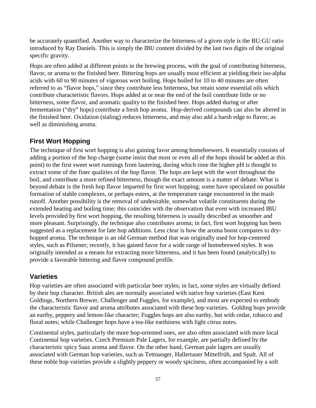be accurately quantified. Another way to characterize the bitterness of a given style is the BU:GU ratio introduced by Ray Daniels. This is simply the IBU content divided by the last two digits of the original specific gravity.

Hops are often added at different points in the brewing process, with the goal of contributing bitterness, flavor, or aroma to the finished beer. Bittering hops are usually most efficient at yielding their iso-alpha acids with 60 to 90 minutes of vigorous wort boiling. Hops boiled for 10 to 40 minutes are often referred to as "flavor hops," since they contribute less bitterness, but retain some essential oils which contribute characteristic flavors. Hops added at or near the end of the boil contribute little or no bitterness, some flavor, and aromatic quality to the finished beer. Hops added during or after fermentation ("dry" hops) contribute a fresh hop aroma. Hop-derived compounds can also be altered in the finished beer. Oxidation (staling) reduces bitterness, and may also add a harsh edge to flavor, as well as diminishing aroma.

## **First Wort Hopping**

The technique of first wort hopping is also gaining favor among homebrewers. It essentially consists of adding a portion of the hop charge (some insist that most or even all of the hops should be added at this point) to the first sweet wort runnings from lautering, during which time the higher pH is thought to extract some of the finer qualities of the hop flavor. The hops are kept with the wort throughout the boil, and contribute a more refined bitterness, though the exact amount is a matter of debate. What is beyond debate is the fresh hop flavor imparted by first wort hopping; some have speculated on possible formation of stable complexes, or perhaps esters, at the temperature range encountered in the mash runoff. Another possibility is the removal of undesirable, somewhat volatile constituents during the extended heating and boiling time; this coincides with the observation that even with increased IBU levels provided by first wort hopping, the resulting bitterness is usually described as smoother and more pleasant. Surprisingly, the technique also contributes aroma; in fact, first wort hopping has been suggested as a replacement for late hop additions. Less clear is how the aroma boost compares to dryhopped aroma. The technique is an old German method that was originally used for hop-centered styles, such as Pilsener; recently, it has gained favor for a wide range of homebrewed styles. It was originally intended as a means for extracting more bitterness, and it has been found (analytically) to provide a favorable bittering and flavor compound profile.

#### **Varieties**

Hop varieties are often associated with particular beer styles; in fact, some styles are virtually defined by their hop character. British ales are normally associated with native hop varieties (East Kent Goldings, Northern Brewer, Challenger and Fuggles, for example), and most are expected to embody the characteristic flavor and aroma attributes associated with these hop varieties. Golding hops provide an earthy, peppery and lemon-like character; Fuggles hops are also earthy, but with cedar, tobacco and floral notes; while Challenger hops have a tea-like earthiness with light citrus notes.

Continental styles, particularly the more hop-oriented ones, are also often associated with more local Continental hop varieties. Czech Premium Pale Lagers, for example, are partially defined by the characteristic spicy Saaz aroma and flavor. On the other hand, German pale lagers are usually associated with German hop varieties, such as Tettnanger, Hallertauer Mittelfrüh, and Spalt. All of these noble hop varieties provide a slightly peppery or woody spiciness, often accompanied by a soft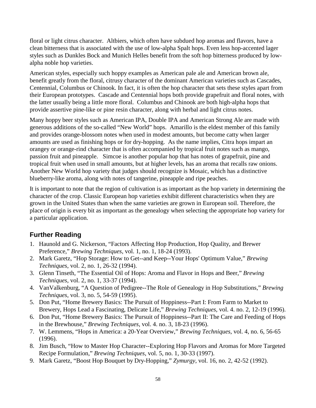floral or light citrus character. Altbiers, which often have subdued hop aromas and flavors, have a clean bitterness that is associated with the use of low-alpha Spalt hops. Even less hop-accented lager styles such as Dunkles Bock and Munich Helles benefit from the soft hop bitterness produced by lowalpha noble hop varieties.

American styles, especially such hoppy examples as American pale ale and American brown ale, benefit greatly from the floral, citrusy character of the dominant American varieties such as Cascades, Centennial, Columbus or Chinook. In fact, it is often the hop character that sets these styles apart from their European prototypes. Cascade and Centennial hops both provide grapefruit and floral notes, with the latter usually being a little more floral. Columbus and Chinook are both high-alpha hops that provide assertive pine-like or pine resin character, along with herbal and light citrus notes.

Many hoppy beer styles such as American IPA, Double IPA and American Strong Ale are made with generous additions of the so-called "New World" hops. Amarillo is the eldest member of this family and provides orange-blossom notes when used in modest amounts, but become catty when larger amounts are used as finishing hops or for dry-hopping. As the name implies, Citra hops impart an orangey or orange-rind character that is often accompanied by tropical fruit notes such as mango, passion fruit and pineapple. Simcoe is another popular hop that has notes of grapefruit, pine and tropical fruit when used in small amounts, but at higher levels, has an aroma that recalls raw onions. Another New World hop variety that judges should recognize is Mosaic, which has a distinctive blueberry-like aroma, along with notes of tangerine, pineapple and ripe peaches.

It is important to note that the region of cultivation is as important as the hop variety in determining the character of the crop. Classic European hop varieties exhibit different characteristics when they are grown in the United States than when the same varieties are grown in European soil. Therefore, the place of origin is every bit as important as the genealogy when selecting the appropriate hop variety for a particular application.

## **Further Reading**

- 1. Haunold and G. Nickerson, "Factors Affecting Hop Production, Hop Quality, and Brewer Preference," *Brewing Techniques*, vol. 1, no. 1, 18-24 (1993).
- 2. Mark Garetz, "Hop Storage: How to Get--and Keep--Your Hops' Optimum Value," *Brewing Techniques*, vol. 2, no. 1, 26-32 (1994).
- 3. Glenn Tinseth, "The Essential Oil of Hops: Aroma and Flavor in Hops and Beer," *Brewing Techniques*, vol. 2, no. 1, 33-37 (1994).
- 4. VanValkenburg, "A Question of Pedigree--The Role of Genealogy in Hop Substitutions," *Brewing Techniques*, vol. 3, no. 5, 54-59 (1995).
- 5. Don Put, "Home Brewery Basics: The Pursuit of Hoppiness--Part I: From Farm to Market to Brewery, Hops Lead a Fascinating, Delicate Life," *Brewing Techniques*, vol. 4. no. 2, 12-19 (1996).
- 6. Don Put, "Home Brewery Basics: The Pursuit of Hoppiness--Part II: The Care and Feeding of Hops in the Brewhouse," *Brewing Techniques*, vol. 4. no. 3, 18-23 (1996).
- 7. W. Lemmens, "Hops in America: a 20-Year Overview," *Brewing Techniques*, vol. 4, no. 6, 56-65 (1996).
- 8. Jim Busch, "How to Master Hop Character--Exploring Hop Flavors and Aromas for More Targeted Recipe Formulation," *Brewing Techniques*, vol. 5, no. 1, 30-33 (1997).
- 9. Mark Garetz, "Boost Hop Bouquet by Dry-Hopping," *Zymurgy*, vol. 16, no. 2, 42-52 (1992).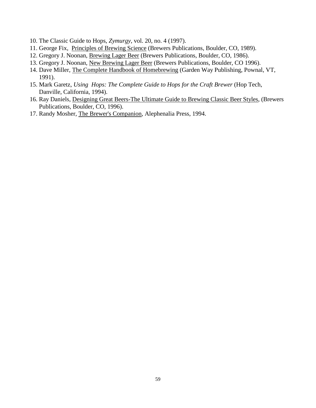- 10. The Classic Guide to Hops, *Zymurgy*, vol. 20, no. 4 (1997).
- 11. George Fix, Principles of Brewing Science (Brewers Publications, Boulder, CO, 1989).
- 12. Gregory J. Noonan, Brewing Lager Beer (Brewers Publications, Boulder, CO, 1986).
- 13. Gregory J. Noonan, New Brewing Lager Beer (Brewers Publications, Boulder, CO 1996).
- 14. Dave Miller, The Complete Handbook of Homebrewing (Garden Way Publishing, Pownal, VT, 1991).
- 15. Mark Garetz, *Using Hops: The Complete Guide to Hops for the Craft Brewer* (Hop Tech, Danville, California, 1994).
- 16. Ray Daniels, Designing Great Beers-The Ultimate Guide to Brewing Classic Beer Styles, (Brewers Publications, Boulder, CO, 1996).
- 17. Randy Mosher, The Brewer's Companion, Alephenalia Press, 1994.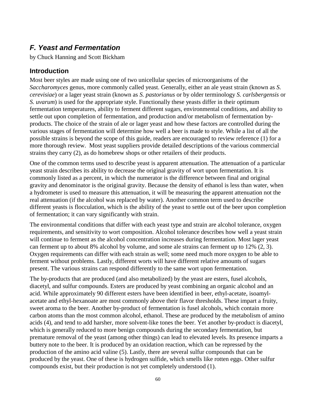# *F. Yeast and Fermentation*

by Chuck Hanning and Scott Bickham

#### **Introduction**

Most beer styles are made using one of two unicellular species of microorganisms of the *Saccharomyces* genus, more commonly called yeast. Generally, either an ale yeast strain (known as *S. cerevisiae*) or a lager yeast strain (known as *S. pastorianus* or by older terminology *S. carlsbergensis* or *S. uvarum*) is used for the appropriate style. Functionally these yeasts differ in their optimum fermentation temperatures, ability to ferment different sugars, environmental conditions, and ability to settle out upon completion of fermentation, and production and/or metabolism of fermentation byproducts. The choice of the strain of ale or lager yeast and how these factors are controlled during the various stages of fermentation will determine how well a beer is made to style. While a list of all the possible strains is beyond the scope of this guide, readers are encouraged to review reference (1) for a more thorough review. Most yeast suppliers provide detailed descriptions of the various commercial strains they carry (2), as do homebrew shops or other retailers of their products.

One of the common terms used to describe yeast is apparent attenuation. The attenuation of a particular yeast strain describes its ability to decrease the original gravity of wort upon fermentation. It is commonly listed as a percent, in which the numerator is the difference between final and original gravity and denominator is the original gravity. Because the density of ethanol is less than water, when a hydrometer is used to measure this attenuation, it will be measuring the apparent attenuation not the real attenuation (if the alcohol was replaced by water). Another common term used to describe different yeasts is flocculation, which is the ability of the yeast to settle out of the beer upon completion of fermentation; it can vary significantly with strain.

The environmental conditions that differ with each yeast type and strain are alcohol tolerance, oxygen requirements, and sensitivity to wort composition. Alcohol tolerance describes how well a yeast strain will continue to ferment as the alcohol concentration increases during fermentation. Most lager yeast can ferment up to about 8% alcohol by volume, and some ale strains can ferment up to 12% (2, 3). Oxygen requirements can differ with each strain as well; some need much more oxygen to be able to ferment without problems. Lastly, different worts will have different relative amounts of sugars present. The various strains can respond differently to the same wort upon fermentation.

The by-products that are produced (and also metabolized) by the yeast are esters, fusel alcohols, diacetyl, and sulfur compounds. Esters are produced by yeast combining an organic alcohol and an acid. While approximately 90 different esters have been identified in beer, ethyl-acetate, isoamylacetate and ethyl-hexanoate are most commonly above their flavor thresholds. These impart a fruity, sweet aroma to the beer. Another by-product of fermentation is fusel alcohols, which contain more carbon atoms than the most common alcohol, ethanol. These are produced by the metabolism of amino acids (4), and tend to add harsher, more solvent-like tones the beer. Yet another by-product is diacetyl, which is generally reduced to more benign compounds during the secondary fermentation, but premature removal of the yeast (among other things) can lead to elevated levels. Its presence imparts a buttery note to the beer. It is produced by an oxidation reaction, which can be repressed by the production of the amino acid valine (5). Lastly, there are several sulfur compounds that can be produced by the yeast. One of these is hydrogen sulfide, which smells like rotten eggs. Other sulfur compounds exist, but their production is not yet completely understood (1).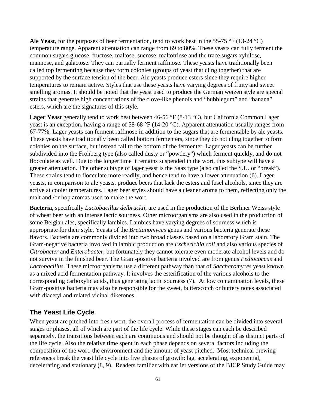**Ale Yeast**, for the purposes of beer fermentation, tend to work best in the 55-75 °F (13-24 °C) temperature range. Apparent attenuation can range from 69 to 80%. These yeasts can fully ferment the common sugars glucose, fructose, maltose, sucrose, maltotriose and the trace sugars xylulose, mannose, and galactose. They can partially ferment raffinose. These yeasts have traditionally been called top fermenting because they form colonies (groups of yeast that cling together) that are supported by the surface tension of the beer. Ale yeasts produce esters since they require higher temperatures to remain active. Styles that use these yeasts have varying degrees of fruity and sweet smelling aromas. It should be noted that the yeast used to produce the German weizen style are special strains that generate high concentrations of the clove-like phenols and "bubblegum" and "banana" esters, which are the signatures of this style.

**Lager Yeast** generally tend to work best between 46-56 °F (8-13 °C), but California Common Lager yeast is an exception, having a range of 58-68 °F (14-20 °C). Apparent attenuation usually ranges from 67-77%. Lager yeasts can ferment raffinose in addition to the sugars that are fermentable by ale yeasts. These yeasts have traditionally been called bottom fermenters, since they do not cling together to form colonies on the surface, but instead fall to the bottom of the fermenter. Lager yeasts can be further subdivided into the Frohberg type (also called dusty or "powdery") which ferment quickly, and do not flocculate as well. Due to the longer time it remains suspended in the wort, this subtype will have a greater attenuation. The other subtype of lager yeast is the Saaz type (also called the S.U. or "break"). These strains tend to flocculate more readily, and hence tend to have a lower attenuation (6). Lager yeasts, in comparison to ale yeasts, produce beers that lack the esters and fusel alcohols, since they are active at cooler temperatures. Lager beer styles should have a cleaner aroma to them, reflecting only the malt and /or hop aromas used to make the wort.

**Bacteria**, specifically *Lactobacillus delbrückii*, are used in the production of the Berliner Weiss style of wheat beer with an intense lactic sourness. Other microorganisms are also used in the production of some Belgian ales, specifically lambics. Lambics have varying degrees of sourness which is appropriate for their style. Yeasts of the *Brettanomyces* genus and various bacteria generate these flavors. Bacteria are commonly divided into two broad classes based on a laboratory Gram stain. The Gram-negative bacteria involved in lambic production are *Escherichia coli* and also various species of *Citrobacter* and *Enterobacter*, but fortunately they cannot tolerate even moderate alcohol levels and do not survive in the finished beer. The Gram-positive bacteria involved are from genus *Pediococcus* and *Lactobacillus*. These microorganisms use a different pathway than that of *Saccharomyces* yeast known as a mixed acid fermentation pathway. It involves the esterification of the various alcohols to the corresponding carboxylic acids, thus generating lactic sourness (7). At low contamination levels, these Gram-positive bacteria may also be responsible for the sweet, butterscotch or buttery notes associated with diacetyl and related vicinal diketones.

#### **The Yeast Life Cycle**

When yeast are pitched into fresh wort, the overall process of fermentation can be divided into several stages or phases, all of which are part of the life cycle. While these stages can each be described separately, the transitions between each are continuous and should not be thought of as distinct parts of the life cycle. Also the relative time spent in each phase depends on several factors including the composition of the wort, the environment and the amount of yeast pitched. Most technical brewing references break the yeast life cycle into five phases of growth: lag, accelerating, exponential, decelerating and stationary (8, 9). Readers familiar with earlier versions of the BJCP Study Guide may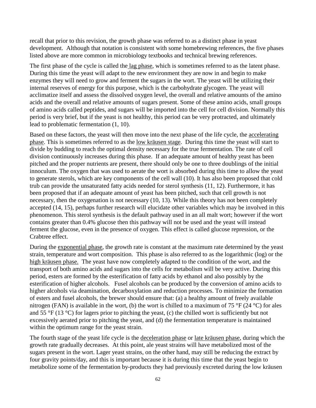recall that prior to this revision, the growth phase was referred to as a distinct phase in yeast development. Although that notation is consistent with some homebrewing references, the five phases listed above are more common in microbiology textbooks and technical brewing references.

The first phase of the cycle is called the lag phase, which is sometimes referred to as the latent phase. During this time the yeast will adapt to the new environment they are now in and begin to make enzymes they will need to grow and ferment the sugars in the wort. The yeast will be utilizing their internal reserves of energy for this purpose, which is the carbohydrate glycogen. The yeast will acclimatize itself and assess the dissolved oxygen level, the overall and relative amounts of the amino acids and the overall and relative amounts of sugars present. Some of these amino acids, small groups of amino acids called peptides, and sugars will be imported into the cell for cell division. Normally this period is very brief, but if the yeast is not healthy, this period can be very protracted, and ultimately lead to problematic fermentation (1, 10).

Based on these factors, the yeast will then move into the next phase of the life cycle, the accelerating phase. This is sometimes referred to as the low kräusen stage. During this time the yeast will start to divide by budding to reach the optimal density necessary for the true fermentation. The rate of cell division continuously increases during this phase. If an adequate amount of healthy yeast has been pitched and the proper nutrients are present, there should only be one to three doublings of the initial innoculum. The oxygen that was used to aerate the wort is absorbed during this time to allow the yeast to generate sterols, which are key components of the cell wall (10). It has also been proposed that cold trub can provide the unsaturated fatty acids needed for sterol synthesis (11, 12). Furthermore, it has been proposed that if an adequate amount of yeast has been pitched, such that cell growth is not necessary, then the oxygenation is not necessary (10, 13). While this theory has not been completely accepted (14, 15), perhaps further research will elucidate other variables which may be involved in this phenomenon. This sterol synthesis is the default pathway used in an all malt wort; however if the wort contains greater than 0.4% glucose then this pathway will not be used and the yeast will instead ferment the glucose, even in the presence of oxygen. This effect is called glucose repression, or the Crabtree effect.

During the exponential phase, the growth rate is constant at the maximum rate determined by the yeast strain, temperature and wort composition. This phase is also referred to as the logarithmic (log) or the high kräusen phase. The yeast have now completely adapted to the condition of the wort, and the transport of both amino acids and sugars into the cells for metabolism will be very active. During this period, esters are formed by the esterification of fatty acids by ethanol and also possibly by the esterification of higher alcohols. Fusel alcohols can be produced by the conversion of amino acids to higher alcohols via deamination, decarboxylation and reduction processes. To minimize the formation of esters and fusel alcohols, the brewer should ensure that: (a) a healthy amount of freely available nitrogen (FAN) is available in the wort, (b) the wort is chilled to a maximum of 75 °F (24 °C) for ales and 55 °F (13 °C) for lagers prior to pitching the yeast, (c) the chilled wort is sufficiently but not excessively aerated prior to pitching the yeast, and (d) the fermentation temperature is maintained within the optimum range for the yeast strain.

The fourth stage of the yeast life cycle is the deceleration phase or late kräusen phase, during which the growth rate gradually decreases. At this point, ale yeast strains will have metabolized most of the sugars present in the wort. Lager yeast strains, on the other hand, may still be reducing the extract by four gravity points/day, and this is important because it is during this time that the yeast begin to metabolize some of the fermentation by-products they had previously excreted during the low kräusen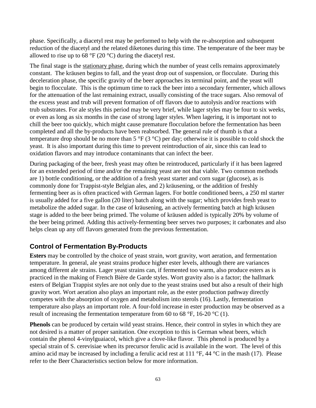phase. Specifically, a diacetyl rest may be performed to help with the re-absorption and subsequent reduction of the diacetyl and the related diketones during this time. The temperature of the beer may be allowed to rise up to 68  $\degree$ F (20  $\degree$ C) during the diacetyl rest.

The final stage is the stationary phase, during which the number of yeast cells remains approximately constant. The kräusen begins to fall, and the yeast drop out of suspension, or flocculate. During this deceleration phase, the specific gravity of the beer approaches its terminal point, and the yeast will begin to flocculate. This is the optimum time to rack the beer into a secondary fermenter, which allows for the attenuation of the last remaining extract, usually consisting of the trace sugars. Also removal of the excess yeast and trub will prevent formation of off flavors due to autolysis and/or reactions with trub substrates. For ale styles this period may be very brief, while lager styles may be four to six weeks, or even as long as six months in the case of strong lager styles. When lagering, it is important not to chill the beer too quickly, which might cause premature flocculation before the fermentation has been completed and all the by-products have been reabsorbed. The general rule of thumb is that a temperature drop should be no more than  $5^{\circ}F(3^{\circ}C)$  per day; otherwise it is possible to cold shock the yeast. It is also important during this time to prevent reintroduction of air, since this can lead to oxidation flavors and may introduce contaminants that can infect the beer.

During packaging of the beer, fresh yeast may often be reintroduced, particularly if it has been lagered for an extended period of time and/or the remaining yeast are not that viable. Two common methods are 1) bottle conditioning, or the addition of a fresh yeast starter and corn sugar (glucose), as is commonly done for Trappist-style Belgian ales, and 2) kräusening, or the addition of freshly fermenting beer as is often practiced with German lagers. For bottle conditioned beers, a 250 ml starter is usually added for a five gallon (20 liter) batch along with the sugar; which provides fresh yeast to metabolize the added sugar. In the case of kräusening, an actively fermenting batch at high kräusen stage is added to the beer being primed. The volume of kräusen added is typically 20% by volume of the beer being primed. Adding this actively-fermenting beer serves two purposes; it carbonates and also helps clean up any off flavors generated from the previous fermentation.

#### **Control of Fermentation By-Products**

**Esters** may be controlled by the choice of yeast strain, wort gravity, wort aeration, and fermentation temperature. In general, ale yeast strains produce higher ester levels, although there are variances among different ale strains. Lager yeast strains can, if fermented too warm, also produce esters as is practiced in the making of French Bière de Garde styles. Wort gravity also is a factor; the hallmark esters of Belgian Trappist styles are not only due to the yeast strains used but also a result of their high gravity wort. Wort aeration also plays an important role, as the ester production pathway directly competes with the absorption of oxygen and metabolism into sterols (16). Lastly, fermentation temperature also plays an important role. A four-fold increase in ester production may be observed as a result of increasing the fermentation temperature from 60 to 68 °F, 16-20 °C (1).

**Phenols** can be produced by certain wild yeast strains. Hence, their control in styles in which they are not desired is a matter of proper sanitation. One exception to this is German wheat beers, which contain the phenol 4-vinylguaiacol, which give a clove-like flavor. This phenol is produced by a special strain of S. cerevisiae when its precursor ferulic acid is available in the wort. The level of this amino acid may be increased by including a ferulic acid rest at 111 °F, 44 °C in the mash (17). Please refer to the Beer Characteristics section below for more information.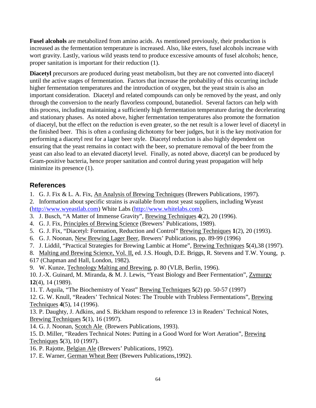**Fusel alcohols** are metabolized from amino acids. As mentioned previously, their production is increased as the fermentation temperature is increased. Also, like esters, fusel alcohols increase with wort gravity. Lastly, various wild yeasts tend to produce excessive amounts of fusel alcohols; hence, proper sanitation is important for their reduction (1).

**Diacetyl** precursors are produced during yeast metabolism, but they are not converted into diacetyl until the active stages of fermentation. Factors that increase the probability of this occurring include higher fermentation temperatures and the introduction of oxygen, but the yeast strain is also an important consideration. Diacetyl and related compounds can only be removed by the yeast, and only through the conversion to the nearly flavorless compound, butanediol. Several factors can help with this process, including maintaining a sufficiently high fermentation temperature during the decelerating and stationary phases. As noted above, higher fermentation temperatures also promote the formation of diacetyl, but the effect on the reduction is even greater, so the net result is a lower level of diacetyl in the finished beer. This is often a confusing dichotomy for beer judges, but it is the key motivation for performing a diacetyl rest for a lager beer style. Diacetyl reduction is also highly dependent on ensuring that the yeast remains in contact with the beer, so premature removal of the beer from the yeast can also lead to an elevated diacetyl level. Finally, as noted above, diacetyl can be produced by Gram-positive bacteria, hence proper sanitation and control during yeast propagation will help minimize its presence  $(1)$ .

## **References**

- 1. G. J. Fix & L. A. Fix, An Analysis of Brewing Techniques (Brewers Publications, 1997).
- 2. Information about specific strains is available from most yeast suppliers, including Wyeast [\(http://www.wyeastlab.com\)](http://www.wyeastlab.com/) White Labs [\(http://www.whitelabs.com\)](http://www.whitelabs.com/).
- 3. J. Busch, "A Matter of Immense Gravity", Brewing Techniques **4**(2), 20 (1996).
- 4. G. J. Fix, Principles of Brewing Science (Brewers' Publications, 1989).
- 5. G. J. Fix, "Diacetyl: Formation, Reduction and Control" Brewing Techniques **1**(2), 20 (1993).
- 6. G. J. Noonan, New Brewing Lager Beer, Brewers' Publications, pp. 89-99 (1996)
- 7. J. Liddil, "Practical Strategies for Brewing Lambic at Home", Brewing Techniques **5**(4),38 (1997).
- 8. Malting and Brewing Science, Vol. II, ed. J.S. Hough, D.E. Briggs, R. Stevens and T.W. Young, p. 617 (Chapman and Hall, London, 1982).
- 9. W. Kunze, Technology Malting and Brewing, p. 80 (VLB, Berlin, 1996).
- 10. J.-X. Guinard, M. Miranda, & M. J. Lewis, "Yeast Biology and Beer Fermentation", Zymurgy **12**(4), 14 (1989).
- 11. T. Aquila, "The Biochemistry of Yeast" Brewing Techniques **5**(2) pp. 50-57 (1997)

12. G. W. Knull, "Readers' Technical Notes: The Trouble with Trubless Fermentations", Brewing Techniques **4**(5), 14 (1996).

13. P. Daughty, J. Adkins, and S. Bickham respond to reference 13 in Readers' Technical Notes, Brewing Techniques **5**(1), 16 (1997).

- 14. G. J. Noonan, Scotch Ale (Brewers Publications, 1993).
- 15. D. Miller, "Readers Technical Notes: Putting in a Good Word for Wort Aeration", Brewing Techniques **5**(3), 10 (1997).
- 16. P. Rajotte, Belgian Ale (Brewers' Publications, 1992).
- 17. E. Warner, German Wheat Beer (Brewers Publications,1992).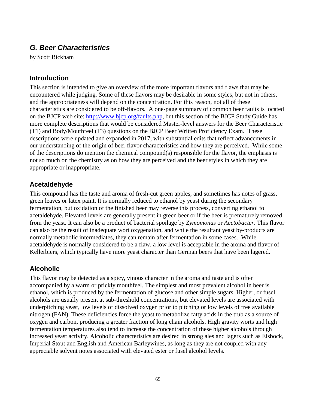## *G. Beer Characteristics*

by Scott Bickham

#### **Introduction**

This section is intended to give an overview of the more important flavors and flaws that may be encountered while judging. Some of these flavors may be desirable in some styles, but not in others, and the appropriateness will depend on the concentration. For this reason, not all of these characteristics are considered to be off-flavors. A one-page summary of common beer faults is located on the BJCP web site: [http://www.bjcp.org/faults.php,](http://www.bjcp.org/faults.php) but this section of the BJCP Study Guide has more complete descriptions that would be considered Master-level answers for the Beer Characteristic (T1) and Body/Mouthfeel (T3) questions on the BJCP Beer Written Proficiency Exam. These descriptions were updated and expanded in 2017, with substantial edits that reflect advancements in our understanding of the origin of beer flavor characteristics and how they are perceived. While some of the descriptions do mention the chemical compound(s) responsible for the flavor, the emphasis is not so much on the chemistry as on how they are perceived and the beer styles in which they are appropriate or inappropriate.

#### **Acetaldehyde**

This compound has the taste and aroma of fresh-cut green apples, and sometimes has notes of grass, green leaves or latex paint. It is normally reduced to ethanol by yeast during the secondary fermentation, but oxidation of the finished beer may reverse this process, converting ethanol to acetaldehyde. Elevated levels are generally present in green beer or if the beer is prematurely removed from the yeast. It can also be a product of bacterial spoilage by *Zymomonas* or *Acetobacter*. This flavor can also be the result of inadequate wort oxygenation, and while the resultant yeast by-products are normally metabolic intermediates, they can remain after fermentation in some cases. While acetaldehyde is normally considered to be a flaw, a low level is acceptable in the aroma and flavor of Kellerbiers, which typically have more yeast character than German beers that have been lagered.

#### **Alcoholic**

This flavor may be detected as a spicy, vinous character in the aroma and taste and is often accompanied by a warm or prickly mouthfeel. The simplest and most prevalent alcohol in beer is ethanol, which is produced by the fermentation of glucose and other simple sugars. Higher, or fusel, alcohols are usually present at sub-threshold concentrations, but elevated levels are associated with underpitching yeast, low levels of dissolved oxygen prior to pitching or low levels of free available nitrogen (FAN). These deficiencies force the yeast to metabolize fatty acids in the trub as a source of oxygen and carbon, producing a greater fraction of long chain alcohols. High gravity worts and high fermentation temperatures also tend to increase the concentration of these higher alcohols through increased yeast activity. Alcoholic characteristics are desired in strong ales and lagers such as Eisbock, Imperial Stout and English and American Barleywines, as long as they are not coupled with any appreciable solvent notes associated with elevated ester or fusel alcohol levels.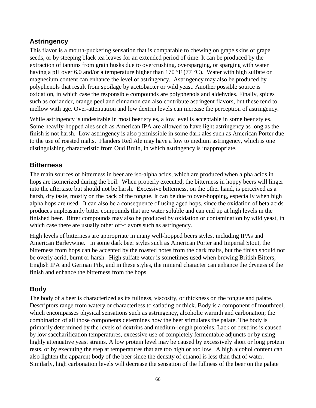#### **Astringency**

This flavor is a mouth-puckering sensation that is comparable to chewing on grape skins or grape seeds, or by steeping black tea leaves for an extended period of time. It can be produced by the extraction of tannins from grain husks due to overcrushing, oversparging, or sparging with water having a pH over 6.0 and/or a temperature higher than 170 °F (77 °C). Water with high sulfate or magnesium content can enhance the level of astringency. Astringency may also be produced by polyphenols that result from spoilage by acetobacter or wild yeast. Another possible source is oxidation, in which case the responsible compounds are polyphenols and aldehydes. Finally, spices such as coriander, orange peel and cinnamon can also contribute astringent flavors, but these tend to mellow with age. Over-attenuation and low dextrin levels can increase the perception of astringency.

While astringency is undesirable in most beer styles, a low level is acceptable in some beer styles. Some heavily-hopped ales such as American IPA are allowed to have light astringency as long as the finish is not harsh. Low astringency is also permissible in some dark ales such as American Porter due to the use of roasted malts. Flanders Red Ale may have a low to medium astringency, which is one distinguishing characteristic from Oud Bruin, in which astringency is inappropriate.

#### **Bitterness**

The main sources of bitterness in beer are iso-alpha acids, which are produced when alpha acids in hops are isomerized during the boil. When properly executed, the bitterness in hoppy beers will linger into the aftertaste but should not be harsh. Excessive bitterness, on the other hand, is perceived as a harsh, dry taste, mostly on the back of the tongue. It can be due to over-hopping, especially when high alpha hops are used. It can also be a consequence of using aged hops, since the oxidation of beta acids produces unpleasantly bitter compounds that are water soluble and can end up at high levels in the finished beer. Bitter compounds may also be produced by oxidation or contamination by wild yeast, in which case there are usually other off-flavors such as astringency.

High levels of bitterness are appropriate in many well-hopped beers styles, including IPAs and American Barleywine. In some dark beer styles such as American Porter and Imperial Stout, the bitterness from hops can be accented by the roasted notes from the dark malts, but the finish should not be overly acrid, burnt or harsh. High sulfate water is sometimes used when brewing British Bitters, English IPA and German Pils, and in these styles, the mineral character can enhance the dryness of the finish and enhance the bitterness from the hops.

## **Body**

The body of a beer is characterized as its fullness, viscosity, or thickness on the tongue and palate. Descriptors range from watery or characterless to satiating or thick. Body is a component of mouthfeel, which encompasses physical sensations such as astringency, alcoholic warmth and carbonation; the combination of all those components determines how the beer stimulates the palate. The body is primarily determined by the levels of dextrins and medium-length proteins. Lack of dextrins is caused by low saccharification temperatures, excessive use of completely fermentable adjuncts or by using highly attenuative yeast strains. A low protein level may be caused by excessively short or long protein rests, or by executing the step at temperatures that are too high or too low. A high alcohol content can also lighten the apparent body of the beer since the density of ethanol is less than that of water. Similarly, high carbonation levels will decrease the sensation of the fullness of the beer on the palate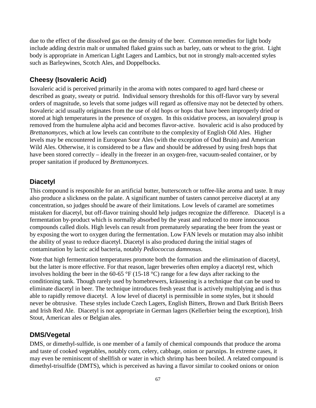due to the effect of the dissolved gas on the density of the beer. Common remedies for light body include adding dextrin malt or unmalted flaked grains such as barley, oats or wheat to the grist. Light body is appropriate in American Light Lagers and Lambics, but not in strongly malt-accented styles such as Barleywines, Scotch Ales, and Doppelbocks.

## **Cheesy (Isovaleric Acid)**

Isovaleric acid is perceived primarily in the aroma with notes compared to aged hard cheese or described as goaty, sweaty or putrid. Individual sensory thresholds for this off-flavor vary by several orders of magnitude, so levels that some judges will regard as offensive may not be detected by others. Isovaleric acid usually originates from the use of old hops or hops that have been improperly dried or stored at high temperatures in the presence of oxygen. In this oxidative process, an isovaleryl group is removed from the humulene alpha acid and becomes flavor-active. Isovaleric acid is also produced by *Brettanomyces*, which at low levels can contribute to the complexity of English Old Ales. Higher levels may be encountered in European Sour Ales (with the exception of Oud Bruin) and American Wild Ales. Otherwise, it is considered to be a flaw and should be addressed by using fresh hops that have been stored correctly – ideally in the freezer in an oxygen-free, vacuum-sealed container, or by proper sanitation if produced by *Brettanomyces*.

#### **Diacetyl**

This compound is responsible for an artificial butter, butterscotch or toffee-like aroma and taste. It may also produce a slickness on the palate. A significant number of tasters cannot perceive diacetyl at any concentration, so judges should be aware of their limitations. Low levels of caramel are sometimes mistaken for diacetyl, but off-flavor training should help judges recognize the difference. Diacetyl is a fermentation by-product which is normally absorbed by the yeast and reduced to more innocuous compounds called diols. High levels can result from prematurely separating the beer from the yeast or by exposing the wort to oxygen during the fermentation. Low FAN levels or mutation may also inhibit the ability of yeast to reduce diacetyl. Diacetyl is also produced during the initial stages of contamination by lactic acid bacteria, notably *Pediococcus damnosus*.

Note that high fermentation temperatures promote both the formation and the elimination of diacetyl, but the latter is more effective. For that reason, lager breweries often employ a diacetyl rest, which involves holding the beer in the 60-65 °F (15-18 °C) range for a few days after racking to the conditioning tank. Though rarely used by homebrewers, kräusening is a technique that can be used to eliminate diacetyl in beer. The technique introduces fresh yeast that is actively multiplying and is thus able to rapidly remove diacetyl. A low level of diacetyl is permissible in some styles, but it should never be obtrusive. These styles include Czech Lagers, English Bitters, Brown and Dark British Beers and Irish Red Ale. Diacetyl is not appropriate in German lagers (Kellerbier being the exception), Irish Stout, American ales or Belgian ales.

#### **DMS/Vegetal**

DMS, or dimethyl-sulfide, is one member of a family of chemical compounds that produce the aroma and taste of cooked vegetables, notably corn, celery, cabbage, onion or parsnips. In extreme cases, it may even be reminiscent of shellfish or water in which shrimp has been boiled. A related compound is dimethyl-trisulfide (DMTS), which is perceived as having a flavor similar to cooked onions or onion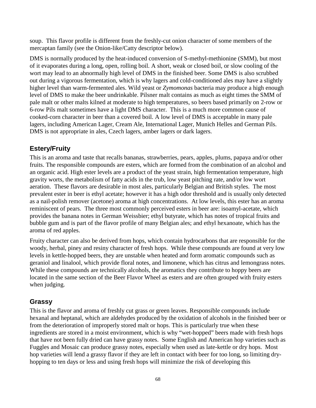soup. This flavor profile is different from the freshly-cut onion character of some members of the mercaptan family (see the Onion-like/Catty descriptor below).

DMS is normally produced by the heat-induced conversion of S-methyl-methionine (SMM), but most of it evaporates during a long, open, rolling boil. A short, weak or closed boil, or slow cooling of the wort may lead to an abnormally high level of DMS in the finished beer. Some DMS is also scrubbed out during a vigorous fermentation, which is why lagers and cold-conditioned ales may have a slightly higher level than warm-fermented ales. Wild yeast or *Zymomonas* bacteria may produce a high enough level of DMS to make the beer undrinkable. Pilsner malt contains as much as eight times the SMM of pale malt or other malts kilned at moderate to high temperatures, so beers based primarily on 2-row or 6-row Pils malt sometimes have a light DMS character. This is a much more common cause of cooked-corn character in beer than a covered boil. A low level of DMS is acceptable in many pale lagers, including American Lager, Cream Ale, International Lager, Munich Helles and German Pils. DMS is not appropriate in ales, Czech lagers, amber lagers or dark lagers.

#### **Estery/Fruity**

This is an aroma and taste that recalls bananas, strawberries, pears, apples, plums, papaya and/or other fruits. The responsible compounds are esters, which are formed from the combination of an alcohol and an organic acid. High ester levels are a product of the yeast strain, high fermentation temperature, high gravity worts, the metabolism of fatty acids in the trub, low yeast pitching rate, and/or low wort aeration. These flavors are desirable in most ales, particularly Belgian and British styles. The most prevalent ester in beer is ethyl acetate; however it has a high odor threshold and is usually only detected as a nail-polish remover (acetone) aroma at high concentrations. At low levels, this ester has an aroma reminiscent of pears. The three most commonly perceived esters in beer are: isoamyl-acetate, which provides the banana notes in German Weissbier; ethyl butyrate, which has notes of tropical fruits and bubble gum and is part of the flavor profile of many Belgian ales; and ethyl hexanoate, which has the aroma of red apples.

Fruity character can also be derived from hops, which contain hydrocarbons that are responsible for the woody, herbal, piney and resiny character of fresh hops. While these compounds are found at very low levels in kettle-hopped beers, they are unstable when heated and form aromatic compounds such as geraniol and linalool, which provide floral notes, and limonene, which has citrus and lemongrass notes. While these compounds are technically alcohols, the aromatics they contribute to hoppy beers are located in the same section of the Beer Flavor Wheel as esters and are often grouped with fruity esters when judging.

#### **Grassy**

This is the flavor and aroma of freshly cut grass or green leaves. Responsible compounds include hexanal and heptanal, which are aldehydes produced by the oxidation of alcohols in the finished beer or from the deterioration of improperly stored malt or hops. This is particularly true when these ingredients are stored in a moist environment, which is why "wet-hopped" beers made with fresh hops that have not been fully dried can have grassy notes. Some English and American hop varieties such as Fuggles and Mosaic can produce grassy notes, especially when used as late-kettle or dry hops. Most hop varieties will lend a grassy flavor if they are left in contact with beer for too long, so limiting dryhopping to ten days or less and using fresh hops will minimize the risk of developing this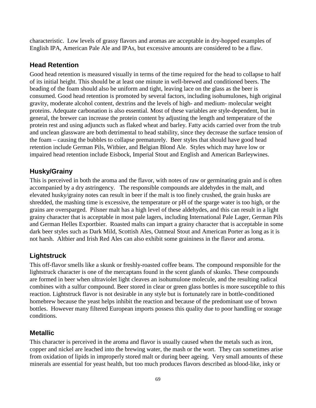characteristic. Low levels of grassy flavors and aromas are acceptable in dry-hopped examples of English IPA, American Pale Ale and IPAs, but excessive amounts are considered to be a flaw.

## **Head Retention**

Good head retention is measured visually in terms of the time required for the head to collapse to half of its initial height. This should be at least one minute in well-brewed and conditioned beers. The beading of the foam should also be uniform and tight, leaving lace on the glass as the beer is consumed. Good head retention is promoted by several factors, including isohumulones, high original gravity, moderate alcohol content, dextrins and the levels of high- and medium- molecular weight proteins. Adequate carbonation is also essential. Most of these variables are style-dependent, but in general, the brewer can increase the protein content by adjusting the length and temperature of the protein rest and using adjuncts such as flaked wheat and barley. Fatty acids carried over from the trub and unclean glassware are both detrimental to head stability, since they decrease the surface tension of the foam – causing the bubbles to collapse prematurely. Beer styles that should have good head retention include German Pils, Witbier, and Belgian Blond Ale. Styles which may have low or impaired head retention include Eisbock, Imperial Stout and English and American Barleywines.

## **Husky/Grainy**

This is perceived in both the aroma and the flavor, with notes of raw or germinating grain and is often accompanied by a dry astringency. The responsible compounds are aldehydes in the malt, and elevated husky/grainy notes can result in beer if the malt is too finely crushed, the grain husks are shredded, the mashing time is excessive, the temperature or pH of the sparge water is too high, or the grains are oversparged. Pilsner malt has a high level of these aldehydes, and this can result in a light grainy character that is acceptable in most pale lagers, including International Pale Lager, German Pils and German Helles Exportbier. Roasted malts can impart a grainy character that is acceptable in some dark beer styles such as Dark Mild, Scottish Ales, Oatmeal Stout and American Porter as long as it is not harsh. Altbier and Irish Red Ales can also exhibit some graininess in the flavor and aroma.

## **Lightstruck**

This off-flavor smells like a skunk or freshly-roasted coffee beans. The compound responsible for the lightstruck character is one of the mercaptans found in the scent glands of skunks. These compounds are formed in beer when ultraviolet light cleaves an isohumulone molecule, and the resulting radical combines with a sulfur compound. Beer stored in clear or green glass bottles is more susceptible to this reaction. Lightstruck flavor is not desirable in any style but is fortunately rare in bottle-conditioned homebrew because the yeast helps inhibit the reaction and because of the predominant use of brown bottles. However many filtered European imports possess this quality due to poor handling or storage conditions.

### **Metallic**

This character is perceived in the aroma and flavor is usually caused when the metals such as iron, copper and nickel are leached into the brewing water, the mash or the wort. They can sometimes arise from oxidation of lipids in improperly stored malt or during beer ageing. Very small amounts of these minerals are essential for yeast health, but too much produces flavors described as blood-like, inky or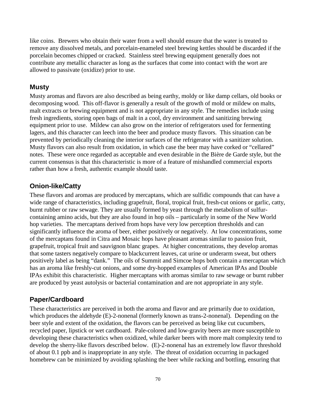like coins. Brewers who obtain their water from a well should ensure that the water is treated to remove any dissolved metals, and porcelain-enameled steel brewing kettles should be discarded if the porcelain becomes chipped or cracked. Stainless steel brewing equipment generally does not contribute any metallic character as long as the surfaces that come into contact with the wort are allowed to passivate (oxidize) prior to use.

### **Musty**

Musty aromas and flavors are also described as being earthy, moldy or like damp cellars, old books or decomposing wood. This off-flavor is generally a result of the growth of mold or mildew on malts, malt extracts or brewing equipment and is not appropriate in any style. The remedies include using fresh ingredients, storing open bags of malt in a cool, dry environment and sanitizing brewing equipment prior to use. Mildew can also grow on the interior of refrigerators used for fermenting lagers, and this character can leech into the beer and produce musty flavors. This situation can be prevented by periodically cleaning the interior surfaces of the refrigerator with a sanitizer solution. Musty flavors can also result from oxidation, in which case the beer may have corked or "cellared" notes. These were once regarded as acceptable and even desirable in the Bière de Garde style, but the current consensus is that this characteristic is more of a feature of mishandled commercial exports rather than how a fresh, authentic example should taste.

### **Onion-like/Catty**

These flavors and aromas are produced by mercaptans, which are sulfidic compounds that can have a wide range of characteristics, including grapefruit, floral, tropical fruit, fresh-cut onions or garlic, catty, burnt rubber or raw sewage. They are usually formed by yeast through the metabolism of sulfurcontaining amino acids, but they are also found in hop oils – particularly in some of the New World hop varieties. The mercaptans derived from hops have very low perception thresholds and can significantly influence the aroma of beer, either positively or negatively. At low concentrations, some of the mercaptans found in Citra and Mosaic hops have pleasant aromas similar to passion fruit, grapefruit, tropical fruit and sauvignon blanc grapes. At higher concentrations, they develop aromas that some tasters negatively compare to blackcurrent leaves, cat urine or underarm sweat, but others positively label as being "dank." The oils of Summit and Simcoe hops both contain a mercaptan which has an aroma like freshly-cut onions, and some dry-hopped examples of American IPAs and Double IPAs exhibit this characteristic. Higher mercaptans with aromas similar to raw sewage or burnt rubber are produced by yeast autolysis or bacterial contamination and are not appropriate in any style.

### **Paper/Cardboard**

These characteristics are perceived in both the aroma and flavor and are primarily due to oxidation, which produces the aldehyde (E)-2-nonenal (formerly known as trans-2-nonenal). Depending on the beer style and extent of the oxidation, the flavors can be perceived as being like cut cucumbers, recycled paper, lipstick or wet cardboard. Pale-colored and low-gravity beers are more susceptible to developing these characteristics when oxidized, while darker beers with more malt complexity tend to develop the sherry-like flavors described below. (E)-2-nonenal has an extremely low flavor threshold of about 0.1 ppb and is inappropriate in any style. The threat of oxidation occurring in packaged homebrew can be minimized by avoiding splashing the beer while racking and bottling, ensuring that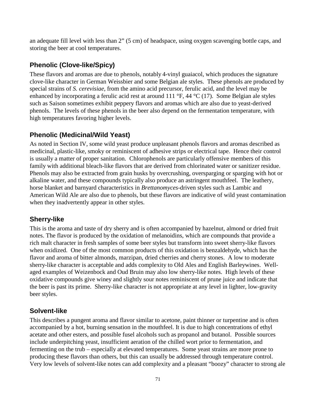an adequate fill level with less than 2" (5 cm) of headspace, using oxygen scavenging bottle caps, and storing the beer at cool temperatures.

# **Phenolic (Clove-like/Spicy)**

These flavors and aromas are due to phenols, notably 4-vinyl guaiacol, which produces the signature clove-like character in German Weissbier and some Belgian ale styles. These phenols are produced by special strains of *S. cerevisiae,* from the amino acid precursor, ferulic acid, and the level may be enhanced by incorporating a ferulic acid rest at around 111 °F, 44 °C (17). Some Belgian ale styles such as Saison sometimes exhibit peppery flavors and aromas which are also due to yeast-derived phenols. The levels of these phenols in the beer also depend on the fermentation temperature, with high temperatures favoring higher levels.

## **Phenolic (Medicinal/Wild Yeast)**

As noted in Section IV, some wild yeast produce unpleasant phenols flavors and aromas described as medicinal, plastic-like, smoky or reminiscent of adhesive strips or electrical tape. Hence their control is usually a matter of proper sanitation. Chlorophenols are particularly offensive members of this family with additional bleach-like flavors that are derived from chlorinated water or sanitizer residue. Phenols may also be extracted from grain husks by overcrushing, oversparging or sparging with hot or alkaline water, and these compounds typically also produce an astringent mouthfeel. The leathery, horse blanket and barnyard characteristics in *Brettanomyces*-driven styles such as Lambic and American Wild Ale are also due to phenols, but these flavors are indicative of wild yeast contamination when they inadvertently appear in other styles.

## **Sherry-like**

This is the aroma and taste of dry sherry and is often accompanied by hazelnut, almond or dried fruit notes. The flavor is produced by the oxidation of melanoidins, which are compounds that provide a rich malt character in fresh samples of some beer styles but transform into sweet sherry-like flavors when oxidized. One of the most common products of this oxidation is benzaldehyde, which has the flavor and aroma of bitter almonds, marzipan, dried cherries and cherry stones. A low to moderate sherry-like character is acceptable and adds complexity to Old Ales and English Barleywines. Wellaged examples of Weizenbock and Oud Bruin may also low sherry-like notes. High levels of these oxidative compounds give winey and slightly sour notes reminiscent of prune juice and indicate that the beer is past its prime. Sherry-like character is not appropriate at any level in lighter, low-gravity beer styles.

### **Solvent-like**

This describes a pungent aroma and flavor similar to acetone, paint thinner or turpentine and is often accompanied by a hot, burning sensation in the mouthfeel. It is due to high concentrations of ethyl acetate and other esters, and possible fusel alcohols such as propanol and butanol. Possible sources include underpitching yeast, insufficient aeration of the chilled wort prior to fermentation, and fermenting on the trub – especially at elevated temperatures. Some yeast strains are more prone to producing these flavors than others, but this can usually be addressed through temperature control. Very low levels of solvent-like notes can add complexity and a pleasant "boozy" character to strong ale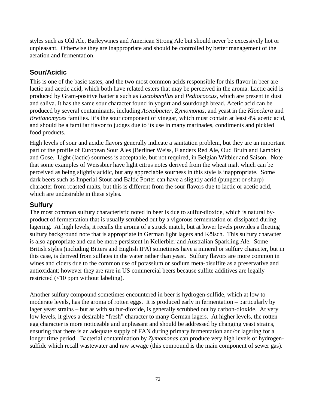styles such as Old Ale, Barleywines and American Strong Ale but should never be excessively hot or unpleasant. Otherwise they are inappropriate and should be controlled by better management of the aeration and fermentation.

## **Sour/Acidic**

This is one of the basic tastes, and the two most common acids responsible for this flavor in beer are lactic and acetic acid, which both have related esters that may be perceived in the aroma. Lactic acid is produced by Gram-positive bacteria such as *Lactobacillus* and *Pediococcus*, which are present in dust and saliva. It has the same sour character found in yogurt and sourdough bread. Acetic acid can be produced by several contaminants, including *Acetobacter*, *Zymomonas*, and yeast in the *Kloeckera* and *Brettanomyces* families. It's the sour component of vinegar, which must contain at least 4% acetic acid, and should be a familiar flavor to judges due to its use in many marinades, condiments and pickled food products.

High levels of sour and acidic flavors generally indicate a sanitation problem, but they are an important part of the profile of European Sour Ales (Berliner Weiss, Flanders Red Ale, Oud Bruin and Lambic) and Gose. Light (lactic) sourness is acceptable, but not required, in Belgian Witbier and Saison. Note that some examples of Weissbier have light citrus notes derived from the wheat malt which can be perceived as being slightly acidic, but any appreciable sourness in this style is inappropriate. Some dark beers such as Imperial Stout and Baltic Porter can have a slightly acrid (pungent or sharp) character from roasted malts, but this is different from the sour flavors due to lactic or acetic acid, which are undesirable in these styles.

### **Sulfury**

The most common sulfury characteristic noted in beer is due to sulfur-dioxide, which is natural byproduct of fermentation that is usually scrubbed out by a vigorous fermentation or dissipated during lagering. At high levels, it recalls the aroma of a struck match, but at lower levels provides a fleeting sulfury background note that is appropriate in German light lagers and Kölsch. This sulfury character is also appropriate and can be more persistent in Kellerbier and Australian Sparkling Ale. Some British styles (including Bitters and English IPA) sometimes have a mineral or sulfury character, but in this case, is derived from sulfates in the water rather than yeast. Sulfury flavors are more common in wines and ciders due to the common use of potassium or sodium meta-bisulfite as a preservative and antioxidant; however they are rare in US commercial beers because sulfite additives are legally restricted (<10 ppm without labeling).

Another sulfury compound sometimes encountered in beer is hydrogen-sulfide, which at low to moderate levels, has the aroma of rotten eggs. It is produced early in fermentation – particularly by lager yeast strains – but as with sulfur-dioxide, is generally scrubbed out by carbon-dioxide. At very low levels, it gives a desirable "fresh" character to many German lagers. At higher levels, the rotten egg character is more noticeable and unpleasant and should be addressed by changing yeast strains, ensuring that there is an adequate supply of FAN during primary fermentation and/or lagering for a longer time period. Bacterial contamination by *Zymomonas* can produce very high levels of hydrogensulfide which recall wastewater and raw sewage (this compound is the main component of sewer gas).